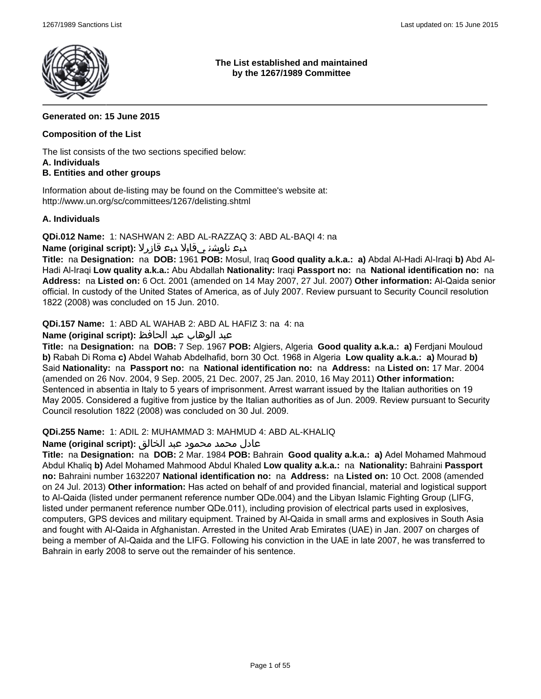

**The List established and maintained by the 1267/1989 Committee**

### **Generated on: 15 June 2015**

### **Composition of the List**

The list consists of the two sections specified below: **A. Individuals**

### **B. Entities and other groups**

Information about de-listing may be found on the Committee's website at: http://www.un.org/sc/committees/1267/delisting.shtml

### **A. Individuals**

**QDi.012 Name:** 1: NASHWAN 2: ABD AL-RAZZAQ 3: ABD AL-BAQI 4: na

### دبع ناوشن يقابلا دبع قازرلا **:(script original (Name**

**Title:** na **Designation:** na **DOB:** 1961 **POB:** Mosul, Iraq **Good quality a.k.a.: a)** Abdal Al-Hadi Al-Iraqi **b)** Abd Al-Hadi Al-Iraqi **Low quality a.k.a.:** Abu Abdallah **Nationality:** Iraqi **Passport no:** na **National identification no:** na **Address:** na **Listed on:** 6 Oct. 2001 (amended on 14 May 2007, 27 Jul. 2007) **Other information:** Al-Qaida senior official. In custody of the United States of America, as of July 2007. Review pursuant to Security Council resolution 1822 (2008) was concluded on 15 Jun. 2010.

**QDi.157 Name:** 1: ABD AL WAHAB 2: ABD AL HAFIZ 3: na 4: na

### عبد الوهاب عبد الحافظ **:(script original (Name**

**Title:** na **Designation:** na **DOB:** 7 Sep. 1967 **POB:** Algiers, Algeria **Good quality a.k.a.: a)** Ferdjani Mouloud **b)** Rabah Di Roma **c)** Abdel Wahab Abdelhafid, born 30 Oct. 1968 in Algeria **Low quality a.k.a.: a)** Mourad **b)** Said **Nationality:** na **Passport no:** na **National identification no:** na **Address:** na **Listed on:** 17 Mar. 2004 (amended on 26 Nov. 2004, 9 Sep. 2005, 21 Dec. 2007, 25 Jan. 2010, 16 May 2011) **Other information:** Sentenced in absentia in Italy to 5 years of imprisonment. Arrest warrant issued by the Italian authorities on 19 May 2005. Considered a fugitive from justice by the Italian authorities as of Jun. 2009. Review pursuant to Security Council resolution 1822 (2008) was concluded on 30 Jul. 2009.

#### **QDi.255 Name:** 1: ADIL 2: MUHAMMAD 3: MAHMUD 4: ABD AL-KHALIQ

#### عادل محمد محمود عبد الخالق **:(script original (Name**

**Title:** na **Designation:** na **DOB:** 2 Mar. 1984 **POB:** Bahrain **Good quality a.k.a.: a)** Adel Mohamed Mahmoud Abdul Khaliq **b)** Adel Mohamed Mahmood Abdul Khaled **Low quality a.k.a.:** na **Nationality:** Bahraini **Passport no:** Bahraini number 1632207 **National identification no:** na **Address:** na **Listed on:** 10 Oct. 2008 (amended on 24 Jul. 2013) **Other information:** Has acted on behalf of and provided financial, material and logistical support to Al-Qaida (listed under permanent reference number QDe.004) and the Libyan Islamic Fighting Group (LIFG, listed under permanent reference number QDe.011), including provision of electrical parts used in explosives, computers, GPS devices and military equipment. Trained by Al-Qaida in small arms and explosives in South Asia and fought with Al-Qaida in Afghanistan. Arrested in the United Arab Emirates (UAE) in Jan. 2007 on charges of being a member of Al-Qaida and the LIFG. Following his conviction in the UAE in late 2007, he was transferred to Bahrain in early 2008 to serve out the remainder of his sentence.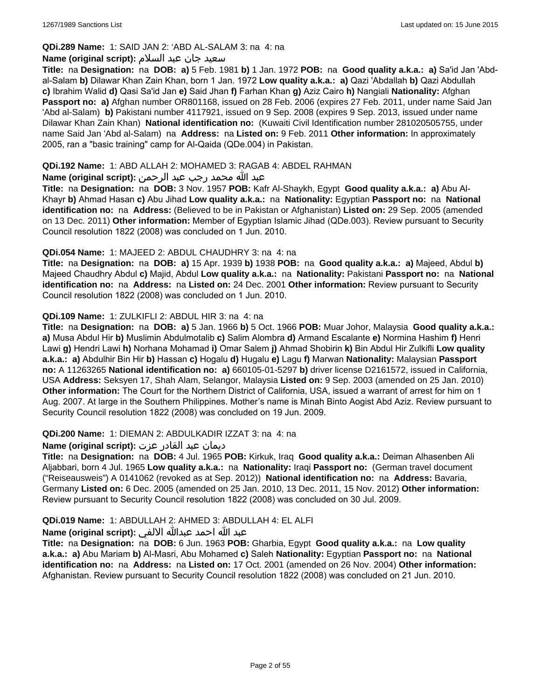# **QDi.289 Name:** 1: SAID JAN 2: 'ABD AL-SALAM 3: na 4: na

#### سعید جان عبد السلام **:(script original (Name**

**Title:** na **Designation:** na **DOB: a)** 5 Feb. 1981 **b)** 1 Jan. 1972 **POB:** na **Good quality a.k.a.: a)** Sa'id Jan 'Abdal-Salam **b)** Dilawar Khan Zain Khan, born 1 Jan. 1972 **Low quality a.k.a.: a)** Qazi 'Abdallah **b)** Qazi Abdullah **c)** Ibrahim Walid **d)** Qasi Sa'id Jan **e)** Said Jhan **f)** Farhan Khan **g)** Aziz Cairo **h)** Nangiali **Nationality:** Afghan **Passport no: a)** Afghan number OR801168, issued on 28 Feb. 2006 (expires 27 Feb. 2011, under name Said Jan 'Abd al-Salam) **b)** Pakistani number 4117921, issued on 9 Sep. 2008 (expires 9 Sep. 2013, issued under name Dilawar Khan Zain Khan) **National identification no:** (Kuwaiti Civil Identification number 281020505755, under name Said Jan 'Abd al-Salam) na **Address:** na **Listed on:** 9 Feb. 2011 **Other information:** In approximately 2005, ran a "basic training" camp for Al-Qaida (QDe.004) in Pakistan.

### **QDi.192 Name:** 1: ABD ALLAH 2: MOHAMED 3: RAGAB 4: ABDEL RAHMAN

### عبد الله محمد رجب عبد الرحمن **:(script original (Name**

**Title:** na **Designation:** na **DOB:** 3 Nov. 1957 **POB:** Kafr Al-Shaykh, Egypt **Good quality a.k.a.: a)** Abu Al-Khayr **b)** Ahmad Hasan **c)** Abu Jihad **Low quality a.k.a.:** na **Nationality:** Egyptian **Passport no:** na **National identification no:** na **Address:** (Believed to be in Pakistan or Afghanistan) **Listed on:** 29 Sep. 2005 (amended on 13 Dec. 2011) **Other information:** Member of Egyptian Islamic Jihad (QDe.003). Review pursuant to Security Council resolution 1822 (2008) was concluded on 1 Jun. 2010.

### **QDi.054 Name:** 1: MAJEED 2: ABDUL CHAUDHRY 3: na 4: na

**Title:** na **Designation:** na **DOB: a)** 15 Apr. 1939 **b)** 1938 **POB:** na **Good quality a.k.a.: a)** Majeed, Abdul **b)** Majeed Chaudhry Abdul **c)** Majid, Abdul **Low quality a.k.a.:** na **Nationality:** Pakistani **Passport no:** na **National identification no:** na **Address:** na **Listed on:** 24 Dec. 2001 **Other information:** Review pursuant to Security Council resolution 1822 (2008) was concluded on 1 Jun. 2010.

### **QDi.109 Name:** 1: ZULKIFLI 2: ABDUL HIR 3: na 4: na

**Title:** na **Designation:** na **DOB: a)** 5 Jan. 1966 **b)** 5 Oct. 1966 **POB:** Muar Johor, Malaysia **Good quality a.k.a.: a)** Musa Abdul Hir **b)** Muslimin Abdulmotalib **c)** Salim Alombra **d)** Armand Escalante **e)** Normina Hashim **f)** Henri Lawi **g)** Hendri Lawi **h)** Norhana Mohamad **i)** Omar Salem **j)** Ahmad Shobirin **k)** Bin Abdul Hir Zulkifli **Low quality a.k.a.: a)** Abdulhir Bin Hir **b)** Hassan **c)** Hogalu **d)** Hugalu **e)** Lagu **f)** Marwan **Nationality:** Malaysian **Passport no:** A 11263265 **National identification no: a)** 660105-01-5297 **b)** driver license D2161572, issued in California, USA **Address:** Seksyen 17, Shah Alam, Selangor, Malaysia **Listed on:** 9 Sep. 2003 (amended on 25 Jan. 2010) **Other information:** The Court for the Northern District of California, USA, issued a warrant of arrest for him on 1 Aug. 2007. At large in the Southern Philippines. Mother's name is Minah Binto Aogist Abd Aziz. Review pursuant to Security Council resolution 1822 (2008) was concluded on 19 Jun. 2009.

#### **QDi.200 Name:** 1: DIEMAN 2: ABDULKADIR IZZAT 3: na 4: na

#### ديمان عبد القادر عزت **:(script original (Name**

**Title:** na **Designation:** na **DOB:** 4 Jul. 1965 **POB:** Kirkuk, Iraq **Good quality a.k.a.:** Deiman Alhasenben Ali Aljabbari, born 4 Jul. 1965 **Low quality a.k.a.:** na **Nationality:** Iraqi **Passport no:** (German travel document ("Reiseausweis") A 0141062 (revoked as at Sep. 2012)) **National identification no:** na **Address:** Bavaria, Germany **Listed on:** 6 Dec. 2005 (amended on 25 Jan. 2010, 13 Dec. 2011, 15 Nov. 2012) **Other information:** Review pursuant to Security Council resolution 1822 (2008) was concluded on 30 Jul. 2009.

### **QDi.019 Name:** 1: ABDULLAH 2: AHMED 3: ABDULLAH 4: EL ALFI

### عبد الله احمد عبدالله الالفي **:(script original (Name**

**Title:** na **Designation:** na **DOB:** 6 Jun. 1963 **POB:** Gharbia, Egypt **Good quality a.k.a.:** na **Low quality a.k.a.: a)** Abu Mariam **b)** Al-Masri, Abu Mohamed **c)** Saleh **Nationality:** Egyptian **Passport no:** na **National identification no:** na **Address:** na **Listed on:** 17 Oct. 2001 (amended on 26 Nov. 2004) **Other information:** Afghanistan. Review pursuant to Security Council resolution 1822 (2008) was concluded on 21 Jun. 2010.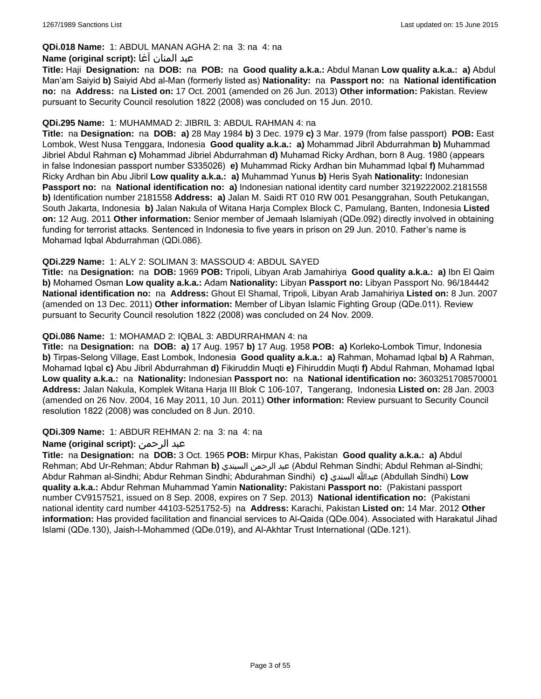### **QDi.018 Name:** 1: ABDUL MANAN AGHA 2: na 3: na 4: na

#### عبد المنان آغا **:(script original (Name**

**Title:** Haji **Designation:** na **DOB:** na **POB:** na **Good quality a.k.a.:** Abdul Manan **Low quality a.k.a.: a)** Abdul Man'am Saiyid **b)** Saiyid Abd al-Man (formerly listed as) **Nationality:** na **Passport no:** na **National identification no:** na **Address:** na **Listed on:** 17 Oct. 2001 (amended on 26 Jun. 2013) **Other information:** Pakistan. Review pursuant to Security Council resolution 1822 (2008) was concluded on 15 Jun. 2010.

#### **QDi.295 Name:** 1: MUHAMMAD 2: JIBRIL 3: ABDUL RAHMAN 4: na

**Title:** na **Designation:** na **DOB: a)** 28 May 1984 **b)** 3 Dec. 1979 **c)** 3 Mar. 1979 (from false passport) **POB:** East Lombok, West Nusa Tenggara, Indonesia **Good quality a.k.a.: a)** Mohammad Jibril Abdurrahman **b)** Muhammad Jibriel Abdul Rahman **c)** Mohammad Jibriel Abdurrahman **d)** Muhamad Ricky Ardhan, born 8 Aug. 1980 (appears in false Indonesian passport number S335026) **e)** Muhammad Ricky Ardhan bin Muhammad Iqbal **f)** Muhammad Ricky Ardhan bin Abu Jibril **Low quality a.k.a.: a)** Muhammad Yunus **b)** Heris Syah **Nationality:** Indonesian **Passport no:** na **National identification no: a)** Indonesian national identity card number 3219222002.2181558 **b)** Identification number 2181558 **Address: a)** Jalan M. Saidi RT 010 RW 001 Pesanggrahan, South Petukangan, South Jakarta, Indonesia **b)** Jalan Nakula of Witana Harja Complex Block C, Pamulang, Banten, Indonesia **Listed on:** 12 Aug. 2011 **Other information:** Senior member of Jemaah Islamiyah (QDe.092) directly involved in obtaining funding for terrorist attacks. Sentenced in Indonesia to five years in prison on 29 Jun. 2010. Father's name is Mohamad Iqbal Abdurrahman (QDi.086).

#### **QDi.229 Name:** 1: ALY 2: SOLIMAN 3: MASSOUD 4: ABDUL SAYED

**Title:** na **Designation:** na **DOB:** 1969 **POB:** Tripoli, Libyan Arab Jamahiriya **Good quality a.k.a.: a)** Ibn El Qaim **b)** Mohamed Osman **Low quality a.k.a.:** Adam **Nationality:** Libyan **Passport no:** Libyan Passport No. 96/184442 **National identification no:** na **Address:** Ghout El Shamal, Tripoli, Libyan Arab Jamahiriya **Listed on:** 8 Jun. 2007 (amended on 13 Dec. 2011) **Other information:** Member of Libyan Islamic Fighting Group (QDe.011). Review pursuant to Security Council resolution 1822 (2008) was concluded on 24 Nov. 2009.

#### **QDi.086 Name:** 1: MOHAMAD 2: IQBAL 3: ABDURRAHMAN 4: na

**Title:** na **Designation:** na **DOB: a)** 17 Aug. 1957 **b)** 17 Aug. 1958 **POB: a)** Korleko-Lombok Timur, Indonesia **b)** Tirpas-Selong Village, East Lombok, Indonesia **Good quality a.k.a.: a)** Rahman, Mohamad Iqbal **b)** A Rahman, Mohamad Iqbal **c)** Abu Jibril Abdurrahman **d)** Fikiruddin Muqti **e)** Fihiruddin Muqti **f)** Abdul Rahman, Mohamad Iqbal **Low quality a.k.a.:** na **Nationality:** Indonesian **Passport no:** na **National identification no:** 3603251708570001 **Address:** Jalan Nakula, Komplek Witana Harja III Blok C 106-107, Tangerang, Indonesia **Listed on:** 28 Jan. 2003 (amended on 26 Nov. 2004, 16 May 2011, 10 Jun. 2011) **Other information:** Review pursuant to Security Council resolution 1822 (2008) was concluded on 8 Jun. 2010.

#### **QDi.309 Name:** 1: ABDUR REHMAN 2: na 3: na 4: na

#### **Name (original script):** الرحمن عبد

**Title:** na **Designation:** na **DOB:** 3 Oct. 1965 **POB:** Mirpur Khas, Pakistan **Good quality a.k.a.: a)** Abdul Rehman; Abd Ur-Rehman; Abdur Rahman **b)** السيندي الرحمن عبد) Abdul Rehman Sindhi; Abdul Rehman al-Sindhi; Abdur Rahman al-Sindhi; Abdur Rehman Sindhi; Abdurahman Sindhi) **c)** السندي عبدالله) Abdullah Sindhi) **Low quality a.k.a.:** Abdur Rehman Muhammad Yamin **Nationality:** Pakistani **Passport no:** (Pakistani passport number CV9157521, issued on 8 Sep. 2008, expires on 7 Sep. 2013) **National identification no:** (Pakistani national identity card number 44103-5251752-5) na **Address:** Karachi, Pakistan **Listed on:** 14 Mar. 2012 **Other information:** Has provided facilitation and financial services to Al-Qaida (QDe.004). Associated with Harakatul Jihad Islami (QDe.130), Jaish-I-Mohammed (QDe.019), and Al-Akhtar Trust International (QDe.121).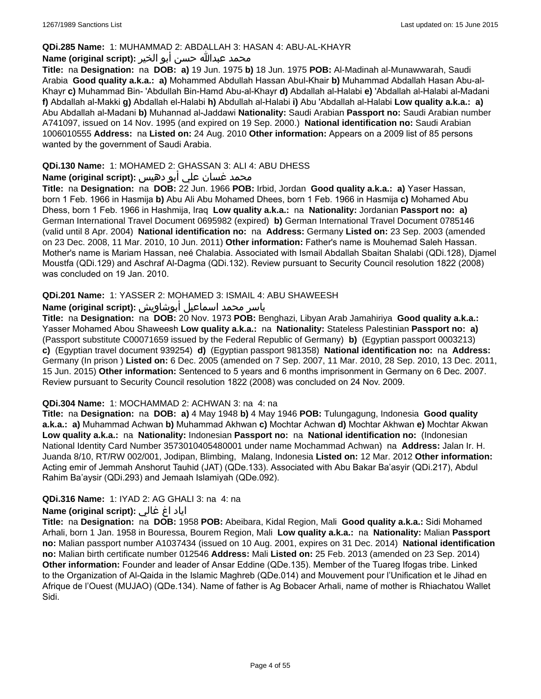#### **QDi.285 Name:** 1: MUHAMMAD 2: ABDALLAH 3: HASAN 4: ABU-AL-KHAYR

#### محمد عبدالله حسن أبو الخير **:Name (original script**)

**Title:** na **Designation:** na **DOB: a)** 19 Jun. 1975 **b)** 18 Jun. 1975 **POB:** Al-Madinah al-Munawwarah, Saudi Arabia **Good quality a.k.a.: a)** Mohammed Abdullah Hassan Abul-Khair **b)** Muhammad Abdallah Hasan Abu-al-Khayr **c)** Muhammad Bin- 'Abdullah Bin-Hamd Abu-al-Khayr **d)** Abdallah al-Halabi **e)** 'Abdallah al-Halabi al-Madani **f)** Abdallah al-Makki **g)** Abdallah el-Halabi **h)** Abdullah al-Halabi **i)** Abu 'Abdallah al-Halabi **Low quality a.k.a.: a)** Abu Abdallah al-Madani **b)** Muhannad al-Jaddawi **Nationality:** Saudi Arabian **Passport no:** Saudi Arabian number A741097, issued on 14 Nov. 1995 (and expired on 19 Sep. 2000.) **National identification no:** Saudi Arabian 1006010555 **Address:** na **Listed on:** 24 Aug. 2010 **Other information:** Appears on a 2009 list of 85 persons wanted by the government of Saudi Arabia.

### **QDi.130 Name:** 1: MOHAMED 2: GHASSAN 3: ALI 4: ABU DHESS

# محمد غسان علي أبو دهيس **:Name (original script**)

**Title:** na **Designation:** na **DOB:** 22 Jun. 1966 **POB:** Irbid, Jordan **Good quality a.k.a.: a)** Yaser Hassan, born 1 Feb. 1966 in Hasmija **b)** Abu Ali Abu Mohamed Dhees, born 1 Feb. 1966 in Hasmija **c)** Mohamed Abu Dhess, born 1 Feb. 1966 in Hashmija, Iraq **Low quality a.k.a.:** na **Nationality:** Jordanian **Passport no: a)** German International Travel Document 0695982 (expired) **b)** German International Travel Document 0785146 (valid until 8 Apr. 2004) **National identification no:** na **Address:** Germany **Listed on:** 23 Sep. 2003 (amended on 23 Dec. 2008, 11 Mar. 2010, 10 Jun. 2011) **Other information:** Father's name is Mouhemad Saleh Hassan. Mother's name is Mariam Hassan, neé Chalabia. Associated with Ismail Abdallah Sbaitan Shalabi (QDi.128), Djamel Moustfa (QDi.129) and Aschraf Al-Dagma (QDi.132). Review pursuant to Security Council resolution 1822 (2008) was concluded on 19 Jan. 2010.

### **QDi.201 Name:** 1: YASSER 2: MOHAMED 3: ISMAIL 4: ABU SHAWEESH

# ياسر محمد اسماعيل أبوشاويش :Name (original script)

**Title:** na **Designation:** na **DOB:** 20 Nov. 1973 **POB:** Benghazi, Libyan Arab Jamahiriya **Good quality a.k.a.:** Yasser Mohamed Abou Shaweesh **Low quality a.k.a.:** na **Nationality:** Stateless Palestinian **Passport no: a)**  (Passport substitute C00071659 issued by the Federal Republic of Germany) **b)** (Egyptian passport 0003213) **c)** (Egyptian travel document 939254) **d)** (Egyptian passport 981358) **National identification no:** na **Address:** Germany (In prison ) **Listed on:** 6 Dec. 2005 (amended on 7 Sep. 2007, 11 Mar. 2010, 28 Sep. 2010, 13 Dec. 2011, 15 Jun. 2015) **Other information:** Sentenced to 5 years and 6 months imprisonment in Germany on 6 Dec. 2007. Review pursuant to Security Council resolution 1822 (2008) was concluded on 24 Nov. 2009.

#### **QDi.304 Name:** 1: MOCHAMMAD 2: ACHWAN 3: na 4: na

**Title:** na **Designation:** na **DOB: a)** 4 May 1948 **b)** 4 May 1946 **POB:** Tulungagung, Indonesia **Good quality a.k.a.: a)** Muhammad Achwan **b)** Muhammad Akhwan **c)** Mochtar Achwan **d)** Mochtar Akhwan **e)** Mochtar Akwan **Low quality a.k.a.:** na **Nationality:** Indonesian **Passport no:** na **National identification no:** (Indonesian National Identity Card Number 3573010405480001 under name Mochammad Achwan) na **Address:** Jalan Ir. H. Juanda 8/10, RT/RW 002/001, Jodipan, Blimbing, Malang, Indonesia **Listed on:** 12 Mar. 2012 **Other information:** Acting emir of Jemmah Anshorut Tauhid (JAT) (QDe.133). Associated with Abu Bakar Ba'asyir (QDi.217), Abdul Rahim Ba'aysir (QDi.293) and Jemaah Islamiyah (QDe.092).

#### **QDi.316 Name:** 1: IYAD 2: AG GHALI 3: na 4: na

### اياد اغ غالي **:(script original (Name**

**Title:** na **Designation:** na **DOB:** 1958 **POB:** Abeibara, Kidal Region, Mali **Good quality a.k.a.:** Sidi Mohamed Arhali, born 1 Jan. 1958 in Bouressa, Bourem Region, Mali **Low quality a.k.a.:** na **Nationality:** Malian **Passport no:** Malian passport number A1037434 (issued on 10 Aug. 2001, expires on 31 Dec. 2014) **National identification no:** Malian birth certificate number 012546 **Address:** Mali **Listed on:** 25 Feb. 2013 (amended on 23 Sep. 2014) **Other information:** Founder and leader of Ansar Eddine (QDe.135). Member of the Tuareg Ifogas tribe. Linked to the Organization of Al-Qaida in the Islamic Maghreb (QDe.014) and Mouvement pour l'Unification et le Jihad en Afrique de l'Ouest (MUJAO) (QDe.134). Name of father is Ag Bobacer Arhali, name of mother is Rhiachatou Wallet Sidi.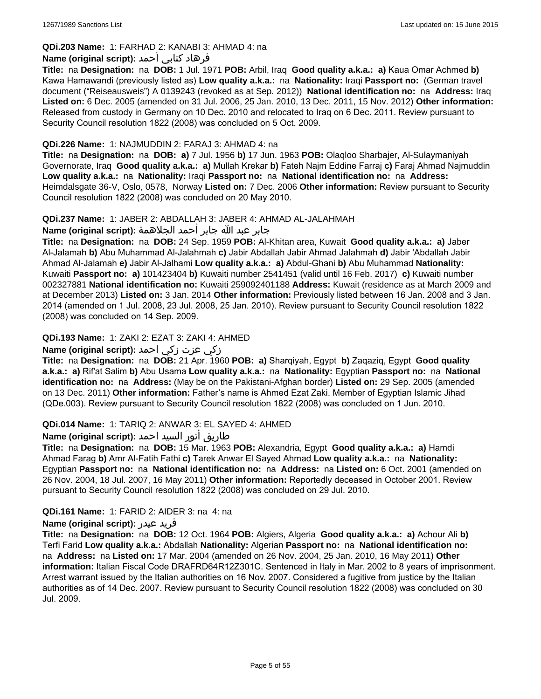# **QDi.203 Name:** 1: FARHAD 2: KANABI 3: AHMAD 4: na

### فرهاد كنابي أحمد **:Name (original script)**

**Title:** na **Designation:** na **DOB:** 1 Jul. 1971 **POB:** Arbil, Iraq **Good quality a.k.a.: a)** Kaua Omar Achmed **b)** Kawa Hamawandi (previously listed as) **Low quality a.k.a.:** na **Nationality:** Iraqi **Passport no:** (German travel document ("Reiseausweis") A 0139243 (revoked as at Sep. 2012)) **National identification no:** na **Address:** Iraq **Listed on:** 6 Dec. 2005 (amended on 31 Jul. 2006, 25 Jan. 2010, 13 Dec. 2011, 15 Nov. 2012) **Other information:** Released from custody in Germany on 10 Dec. 2010 and relocated to Iraq on 6 Dec. 2011. Review pursuant to Security Council resolution 1822 (2008) was concluded on 5 Oct. 2009.

#### **QDi.226 Name:** 1: NAJMUDDIN 2: FARAJ 3: AHMAD 4: na

**Title:** na **Designation:** na **DOB: a)** 7 Jul. 1956 **b)** 17 Jun. 1963 **POB:** Olaqloo Sharbajer, Al-Sulaymaniyah Governorate, Iraq **Good quality a.k.a.: a)** Mullah Krekar **b)** Fateh Najm Eddine Farraj **c)** Faraj Ahmad Najmuddin **Low quality a.k.a.:** na **Nationality:** Iraqi **Passport no:** na **National identification no:** na **Address:** Heimdalsgate 36-V, Oslo, 0578, Norway **Listed on:** 7 Dec. 2006 **Other information:** Review pursuant to Security Council resolution 1822 (2008) was concluded on 20 May 2010.

### **QDi.237 Name:** 1: JABER 2: ABDALLAH 3: JABER 4: AHMAD AL-JALAHMAH

جابر عبد الله جابر أحمد الجلاهمة **:(script original (Name**

**Title:** na **Designation:** na **DOB:** 24 Sep. 1959 **POB:** Al-Khitan area, Kuwait **Good quality a.k.a.: a)** Jaber Al-Jalamah **b)** Abu Muhammad Al-Jalahmah **c)** Jabir Abdallah Jabir Ahmad Jalahmah **d)** Jabir 'Abdallah Jabir Ahmad Al-Jalamah **e)** Jabir Al-Jalhami **Low quality a.k.a.: a)** Abdul-Ghani **b)** Abu Muhammad **Nationality:** Kuwaiti **Passport no: a)** 101423404 **b)** Kuwaiti number 2541451 (valid until 16 Feb. 2017) **c)** Kuwaiti number 002327881 **National identification no:** Kuwaiti 259092401188 **Address:** Kuwait (residence as at March 2009 and at December 2013) **Listed on:** 3 Jan. 2014 **Other information:** Previously listed between 16 Jan. 2008 and 3 Jan. 2014 (amended on 1 Jul. 2008, 23 Jul. 2008, 25 Jan. 2010). Review pursuant to Security Council resolution 1822 (2008) was concluded on 14 Sep. 2009.

### **QDi.193 Name:** 1: ZAKI 2: EZAT 3: ZAKI 4: AHMED

### زكي عزت زكي احمد **:(script original (Name**

**Title:** na **Designation:** na **DOB:** 21 Apr. 1960 **POB: a)** Sharqiyah, Egypt **b)** Zaqaziq, Egypt **Good quality a.k.a.: a)** Rif'at Salim **b)** Abu Usama **Low quality a.k.a.:** na **Nationality:** Egyptian **Passport no:** na **National identification no:** na **Address:** (May be on the Pakistani-Afghan border) **Listed on:** 29 Sep. 2005 (amended on 13 Dec. 2011) **Other information:** Father's name is Ahmed Ezat Zaki. Member of Egyptian Islamic Jihad (QDe.003). Review pursuant to Security Council resolution 1822 (2008) was concluded on 1 Jun. 2010.

### **QDi.014 Name:** 1: TARIQ 2: ANWAR 3: EL SAYED 4: AHMED

# طاريق أنور السيد احمد **:Name (original script**)

**Title:** na **Designation:** na **DOB:** 15 Mar. 1963 **POB:** Alexandria, Egypt **Good quality a.k.a.: a)** Hamdi Ahmad Farag **b)** Amr Al-Fatih Fathi **c)** Tarek Anwar El Sayed Ahmad **Low quality a.k.a.:** na **Nationality:** Egyptian **Passport no:** na **National identification no:** na **Address:** na **Listed on:** 6 Oct. 2001 (amended on 26 Nov. 2004, 18 Jul. 2007, 16 May 2011) **Other information:** Reportedly deceased in October 2001. Review pursuant to Security Council resolution 1822 (2008) was concluded on 29 Jul. 2010.

### **QDi.161 Name:** 1: FARID 2: AIDER 3: na 4: na

#### **Name (original script):** عيدر فريد

**Title:** na **Designation:** na **DOB:** 12 Oct. 1964 **POB:** Algiers, Algeria **Good quality a.k.a.: a)** Achour Ali **b)** Terfi Farid **Low quality a.k.a.:** Abdallah **Nationality:** Algerian **Passport no:** na **National identification no:**  na **Address:** na **Listed on:** 17 Mar. 2004 (amended on 26 Nov. 2004, 25 Jan. 2010, 16 May 2011) **Other information:** Italian Fiscal Code DRAFRD64R12Z301C. Sentenced in Italy in Mar. 2002 to 8 years of imprisonment. Arrest warrant issued by the Italian authorities on 16 Nov. 2007. Considered a fugitive from justice by the Italian authorities as of 14 Dec. 2007. Review pursuant to Security Council resolution 1822 (2008) was concluded on 30 Jul. 2009.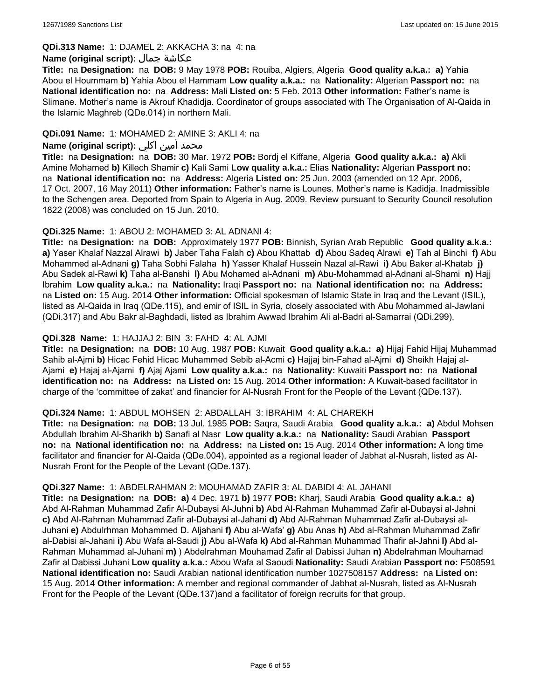#### **QDi.313 Name:** 1: DJAMEL 2: AKKACHA 3: na 4: na

#### **Name (original script):** جمال عكاشة

**Title:** na **Designation:** na **DOB:** 9 May 1978 **POB:** Rouiba, Algiers, Algeria **Good quality a.k.a.: a)** Yahia Abou el Hoummam **b)** Yahia Abou el Hammam **Low quality a.k.a.:** na **Nationality:** Algerian **Passport no:** na **National identification no:** na **Address:** Mali **Listed on:** 5 Feb. 2013 **Other information:** Father's name is Slimane. Mother's name is Akrouf Khadidja. Coordinator of groups associated with The Organisation of Al-Qaida in the Islamic Maghreb (QDe.014) in northern Mali.

### **QDi.091 Name:** 1: MOHAMED 2: AMINE 3: AKLI 4: na

### محمد أمين اكلي **:Name (original script)**

**Title:** na **Designation:** na **DOB:** 30 Mar. 1972 **POB:** Bordj el Kiffane, Algeria **Good quality a.k.a.: a)** Akli Amine Mohamed **b)** Killech Shamir **c)** Kali Sami **Low quality a.k.a.:** Elias **Nationality:** Algerian **Passport no:**  na **National identification no:** na **Address:** Algeria **Listed on:** 25 Jun. 2003 (amended on 12 Apr. 2006, 17 Oct. 2007, 16 May 2011) **Other information:** Father's name is Lounes. Mother's name is Kadidja. Inadmissible to the Schengen area. Deported from Spain to Algeria in Aug. 2009. Review pursuant to Security Council resolution 1822 (2008) was concluded on 15 Jun. 2010.

#### **QDi.325 Name:** 1: ABOU 2: MOHAMED 3: AL ADNANI 4:

**Title:** na **Designation:** na **DOB:** Approximately 1977 **POB:** Binnish, Syrian Arab Republic **Good quality a.k.a.: a)** Yaser Khalaf Nazzal Alrawi **b)** Jaber Taha Falah **c)** Abou Khattab **d)** Abou Sadeq Alrawi **e)** Tah al Binchi **f)** Abu Mohammed al-Adnani **g)** Taha Sobhi Falaha **h)** Yasser Khalaf Hussein Nazal al-Rawi **i)** Abu Baker al-Khatab **j)** Abu Sadek al-Rawi **k)** Taha al-Banshi **l)** Abu Mohamed al-Adnani **m)** Abu-Mohammad al-Adnani al-Shami **n)** Hajj Ibrahim **Low quality a.k.a.:** na **Nationality:** Iraqi **Passport no:** na **National identification no:** na **Address:**  na **Listed on:** 15 Aug. 2014 **Other information:** Official spokesman of Islamic State in Iraq and the Levant (ISIL), listed as Al-Qaida in Iraq (QDe.115), and emir of ISIL in Syria, closely associated with Abu Mohammed al-Jawlani (QDi.317) and Abu Bakr al-Baghdadi, listed as Ibrahim Awwad Ibrahim Ali al-Badri al-Samarrai (QDi.299).

#### **QDi.328 Name:** 1: HAJJAJ 2: BIN 3: FAHD 4: AL AJMI

**Title:** na **Designation:** na **DOB:** 10 Aug. 1987 **POB:** Kuwait **Good quality a.k.a.: a)** Hijaj Fahid Hijaj Muhammad Sahib al-Ajmi **b)** Hicac Fehid Hicac Muhammed Sebib al-Acmi **c)** Hajjaj bin-Fahad al-Ajmi **d)** Sheikh Hajaj al-Ajami **e)** Hajaj al-Ajami **f)** Ajaj Ajami **Low quality a.k.a.:** na **Nationality:** Kuwaiti **Passport no:** na **National identification no:** na **Address:** na **Listed on:** 15 Aug. 2014 **Other information:** A Kuwait-based facilitator in charge of the 'committee of zakat' and financier for Al-Nusrah Front for the People of the Levant (QDe.137).

#### **QDi.324 Name:** 1: ABDUL MOHSEN 2: ABDALLAH 3: IBRAHIM 4: AL CHAREKH

**Title:** na **Designation:** na **DOB:** 13 Jul. 1985 **POB:** Saqra, Saudi Arabia **Good quality a.k.a.: a)** Abdul Mohsen Abdullah Ibrahim Al-Sharikh **b)** Sanafi al Nasr **Low quality a.k.a.:** na **Nationality:** Saudi Arabian **Passport no:** na **National identification no:** na **Address:** na **Listed on:** 15 Aug. 2014 **Other information:** A long time facilitator and financier for Al-Qaida (QDe.004), appointed as a regional leader of Jabhat al-Nusrah, listed as Al-Nusrah Front for the People of the Levant (QDe.137).

#### **QDi.327 Name:** 1: ABDELRAHMAN 2: MOUHAMAD ZAFIR 3: AL DABIDI 4: AL JAHANI

**Title:** na **Designation:** na **DOB: a)** 4 Dec. 1971 **b)** 1977 **POB:** Kharj, Saudi Arabia **Good quality a.k.a.: a)** Abd Al-Rahman Muhammad Zafir Al-Dubaysi Al-Juhni **b)** Abd Al-Rahman Muhammad Zafir al-Dubaysi al-Jahni **c)** Abd Al-Rahman Muhammad Zafir al-Dubaysi al-Jahani **d)** Abd Al-Rahman Muhammad Zafir al-Dubaysi al-Juhani **e)** Abdulrhman Mohammed D. Aljahani **f)** Abu al-Wafa' **g)** Abu Anas **h)** Abd al-Rahman Muhammad Zafir al-Dabisi al-Jahani **i)** Abu Wafa al-Saudi **j)** Abu al-Wafa **k)** Abd al-Rahman Muhammad Thafir al-Jahni **l)** Abd al-Rahman Muhammad al-Juhani **m)** ) Abdelrahman Mouhamad Zafir al Dabissi Juhan **n)** Abdelrahman Mouhamad Zafir al Dabissi Juhani **Low quality a.k.a.:** Abou Wafa al Saoudi **Nationality:** Saudi Arabian **Passport no:** F508591 **National identification no:** Saudi Arabian national identification number 1027508157 **Address:** na **Listed on:** 15 Aug. 2014 **Other information:** A member and regional commander of Jabhat al-Nusrah, listed as Al-Nusrah Front for the People of the Levant (QDe.137)and a facilitator of foreign recruits for that group.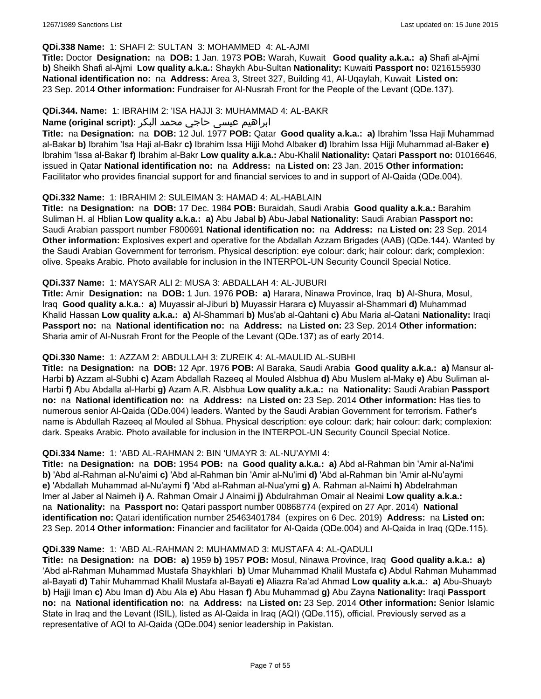### **QDi.338 Name:** 1: SHAFI 2: SULTAN 3: MOHAMMED 4: AL-AJMI

**Title:** Doctor **Designation:** na **DOB:** 1 Jan. 1973 **POB:** Warah, Kuwait **Good quality a.k.a.: a)** Shafi al-Ajmi **b)** Sheikh Shafi al-Ajmi **Low quality a.k.a.:** Shaykh Abu-Sultan **Nationality:** Kuwaiti **Passport no:** 0216155930 **National identification no:** na **Address:** Area 3, Street 327, Building 41, Al-Uqaylah, Kuwait **Listed on:** 23 Sep. 2014 **Other information:** Fundraiser for Al-Nusrah Front for the People of the Levant (QDe.137).

#### **QDi.344. Name:** 1: IBRAHIM 2: 'ISA HAJJI 3: MUHAMMAD 4: AL-BAKR

### ابراهیم عیسی حاجي محمد البکر **:(script original (Name**

**Title:** na **Designation:** na **DOB:** 12 Jul. 1977 **POB:** Qatar **Good quality a.k.a.: a)** Ibrahim 'Issa Haji Muhammad al-Bakar **b)** Ibrahim 'Isa Haji al-Bakr **c)** Ibrahim Issa Hijji Mohd Albaker **d)** Ibrahim Issa Hijji Muhammad al-Baker **e)** Ibrahim 'Issa al-Bakar **f)** Ibrahim al-Bakr **Low quality a.k.a.:** Abu-Khalil **Nationality:** Qatari **Passport no:** 01016646, issued in Qatar **National identification no:** na **Address:** na **Listed on:** 23 Jan. 2015 **Other information:** Facilitator who provides financial support for and financial services to and in support of Al-Qaida (QDe.004).

### **QDi.332 Name:** 1: IBRAHIM 2: SULEIMAN 3: HAMAD 4: AL-HABLAIN

**Title:** na **Designation:** na **DOB:** 17 Dec. 1984 **POB:** Buraidah, Saudi Arabia **Good quality a.k.a.:** Barahim Suliman H. al Hblian **Low quality a.k.a.: a)** Abu Jabal **b)** Abu-Jabal **Nationality:** Saudi Arabian **Passport no:** Saudi Arabian passport number F800691 **National identification no:** na **Address:** na **Listed on:** 23 Sep. 2014 **Other information:** Explosives expert and operative for the Abdallah Azzam Brigades (AAB) (QDe.144). Wanted by the Saudi Arabian Government for terrorism. Physical description: eye colour: dark; hair colour: dark; complexion: olive. Speaks Arabic. Photo available for inclusion in the INTERPOL-UN Security Council Special Notice.

#### **QDi.337 Name:** 1: MAYSAR ALI 2: MUSA 3: ABDALLAH 4: AL-JUBURI

**Title:** Amir **Designation:** na **DOB:** 1 Jun. 1976 **POB: a)** Harara, Ninawa Province, Iraq **b)** Al-Shura, Mosul, Iraq **Good quality a.k.a.: a)** Muyassir al-Jiburi **b)** Muyassir Harara **c)** Muyassir al-Shammari **d)** Muhammad Khalid Hassan **Low quality a.k.a.: a)** Al-Shammari **b)** Mus'ab al-Qahtani **c)** Abu Maria al-Qatani **Nationality:** Iraqi **Passport no:** na **National identification no:** na **Address:** na **Listed on:** 23 Sep. 2014 **Other information:** Sharia amir of Al-Nusrah Front for the People of the Levant (QDe.137) as of early 2014.

### **QDi.330 Name:** 1: AZZAM 2: ABDULLAH 3: ZUREIK 4: AL-MAULID AL-SUBHI

**Title:** na **Designation:** na **DOB:** 12 Apr. 1976 **POB:** Al Baraka, Saudi Arabia **Good quality a.k.a.: a)** Mansur al-Harbi **b)** Azzam al-Subhi **c)** Azam Abdallah Razeeq al Mouled Alsbhua **d)** Abu Muslem al-Maky **e)** Abu Suliman al-Harbi **f)** Abu Abdalla al-Harbi **g)** Azam A.R. Alsbhua **Low quality a.k.a.:** na **Nationality:** Saudi Arabian **Passport no:** na **National identification no:** na **Address:** na **Listed on:** 23 Sep. 2014 **Other information:** Has ties to numerous senior Al-Qaida (QDe.004) leaders. Wanted by the Saudi Arabian Government for terrorism. Father's name is Abdullah Razeeq al Mouled al Sbhua. Physical description: eye colour: dark; hair colour: dark; complexion: dark. Speaks Arabic. Photo available for inclusion in the INTERPOL-UN Security Council Special Notice.

### **QDi.334 Name:** 1: 'ABD AL-RAHMAN 2: BIN 'UMAYR 3: AL-NU'AYMI 4:

**Title:** na **Designation:** na **DOB:** 1954 **POB:** na **Good quality a.k.a.: a)** Abd al-Rahman bin 'Amir al-Na'imi **b)** 'Abd al-Rahman al-Nu'aimi **c)** 'Abd al-Rahman bin 'Amir al-Nu'imi **d)** 'Abd al-Rahman bin 'Amir al-Nu'aymi **e)** 'Abdallah Muhammad al-Nu'aymi **f)** 'Abd al-Rahman al-Nua'ymi **g)** A. Rahman al-Naimi **h)** Abdelrahman Imer al Jaber al Naimeh **i)** A. Rahman Omair J Alnaimi **j)** Abdulrahman Omair al Neaimi **Low quality a.k.a.:**  na **Nationality:** na **Passport no:** Qatari passport number 00868774 (expired on 27 Apr. 2014) **National identification no:** Qatari identification number 25463401784 (expires on 6 Dec. 2019) **Address:** na **Listed on:** 23 Sep. 2014 **Other information:** Financier and facilitator for Al-Qaida (QDe.004) and Al-Qaida in Iraq (QDe.115).

#### **QDi.339 Name:** 1: 'ABD AL-RAHMAN 2: MUHAMMAD 3: MUSTAFA 4: AL-QADULI

**Title:** na **Designation:** na **DOB: a)** 1959 **b)** 1957 **POB:** Mosul, Ninawa Province, Iraq **Good quality a.k.a.: a)** 'Abd al-Rahman Muhammad Mustafa Shaykhlari **b)** Umar Muhammad Khalil Mustafa **c)** Abdul Rahman Muhammad al-Bayati **d)** Tahir Muhammad Khalil Mustafa al-Bayati **e)** Aliazra Ra'ad Ahmad **Low quality a.k.a.: a)** Abu-Shuayb **b)** Hajji Iman **c)** Abu Iman **d)** Abu Ala **e)** Abu Hasan **f)** Abu Muhammad **g)** Abu Zayna **Nationality:** Iraqi **Passport no:** na **National identification no:** na **Address:** na **Listed on:** 23 Sep. 2014 **Other information:** Senior Islamic State in Iraq and the Levant (ISIL), listed as Al-Qaida in Iraq (AQI) (QDe.115), official. Previously served as a representative of AQI to Al-Qaida (QDe.004) senior leadership in Pakistan.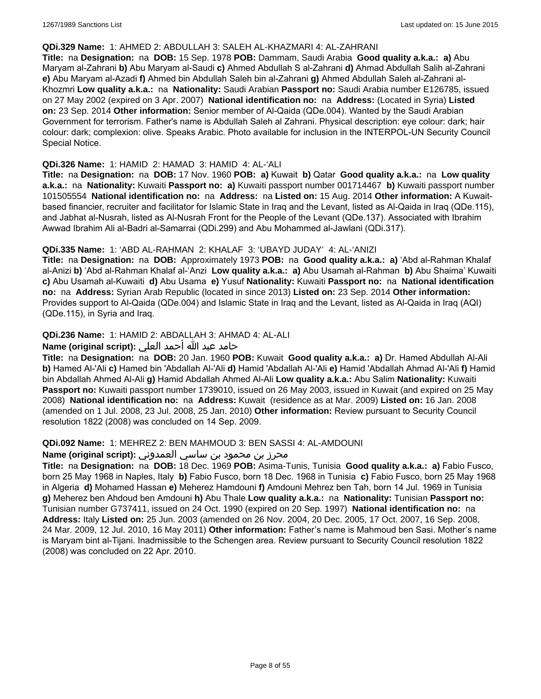#### **QDi.329 Name:** 1: AHMED 2: ABDULLAH 3: SALEH AL-KHAZMARI 4: AL-ZAHRANI

**Title:** na **Designation:** na **DOB:** 15 Sep. 1978 **POB:** Dammam, Saudi Arabia **Good quality a.k.a.: a)** Abu Maryam al-Zahrani **b)** Abu Maryam al-Saudi **c)** Ahmed Abdullah S al-Zahrani **d)** Ahmad Abdullah Salih al-Zahrani **e)** Abu Maryam al-Azadi **f)** Ahmed bin Abdullah Saleh bin al-Zahrani **g)** Ahmed Abdullah Saleh al-Zahrani al-Khozmri **Low quality a.k.a.:** na **Nationality:** Saudi Arabian **Passport no:** Saudi Arabia number E126785, issued on 27 May 2002 (expired on 3 Apr. 2007) **National identification no:** na **Address:** (Located in Syria) **Listed on:** 23 Sep. 2014 **Other information:** Senior member of Al-Qaida (QDe.004). Wanted by the Saudi Arabian Government for terrorism. Father's name is Abdullah Saleh al Zahrani. Physical description: eye colour: dark; hair colour: dark; complexion: olive. Speaks Arabic. Photo available for inclusion in the INTERPOL-UN Security Council Special Notice.

#### **QDi.326 Name:** 1: HAMID 2: HAMAD 3: HAMID 4: AL-'ALI

**Title:** na **Designation:** na **DOB:** 17 Nov. 1960 **POB: a)** Kuwait **b)** Qatar **Good quality a.k.a.:** na **Low quality a.k.a.:** na **Nationality:** Kuwaiti **Passport no: a)** Kuwaiti passport number 001714467 **b)** Kuwaiti passport number 101505554 **National identification no:** na **Address:** na **Listed on:** 15 Aug. 2014 **Other information:** A Kuwaitbased financier, recruiter and facilitator for Islamic State in Iraq and the Levant, listed as Al-Qaida in Iraq (QDe.115), and Jabhat al-Nusrah, listed as Al-Nusrah Front for the People of the Levant (QDe.137). Associated with Ibrahim Awwad Ibrahim Ali al-Badri al-Samarrai (QDi.299) and Abu Mohammed al-Jawlani (QDi.317).

### **QDi.335 Name:** 1: 'ABD AL-RAHMAN 2: KHALAF 3: 'UBAYD JUDAY' 4: AL-'ANIZI

**Title:** na **Designation:** na **DOB:** Approximately 1973 **POB:** na **Good quality a.k.a.: a)** 'Abd al-Rahman Khalaf al-Anizi **b)** 'Abd al-Rahman Khalaf al-'Anzi **Low quality a.k.a.: a)** Abu Usamah al-Rahman **b)** Abu Shaima' Kuwaiti **c)** Abu Usamah al-Kuwaiti **d)** Abu Usama **e)** Yusuf **Nationality:** Kuwaiti **Passport no:** na **National identification no:** na **Address:** Syrian Arab Republic (located in since 2013) **Listed on:** 23 Sep. 2014 **Other information:** Provides support to Al-Qaida (QDe.004) and Islamic State in Iraq and the Levant, listed as Al-Qaida in Iraq (AQI) (QDe.115), in Syria and Iraq.

### **QDi.236 Name:** 1: HAMID 2: ABDALLAH 3: AHMAD 4: AL-ALI

### حامد عبد الله أحمد العلي **:(script original (Name**

**Title:** na **Designation:** na **DOB:** 20 Jan. 1960 **POB:** Kuwait **Good quality a.k.a.: a)** Dr. Hamed Abdullah Al-Ali **b)** Hamed Al-'Ali **c)** Hamed bin 'Abdallah Al-'Ali **d)** Hamid 'Abdallah Al-'Ali **e)** Hamid 'Abdallah Ahmad Al-'Ali **f)** Hamid bin Abdallah Ahmed Al-Ali **g)** Hamid Abdallah Ahmed Al-Ali **Low quality a.k.a.:** Abu Salim **Nationality:** Kuwaiti **Passport no:** Kuwaiti passport number 1739010, issued on 26 May 2003, issued in Kuwait (and expired on 25 May 2008) **National identification no:** na **Address:** Kuwait (residence as at Mar. 2009) **Listed on:** 16 Jan. 2008 (amended on 1 Jul. 2008, 23 Jul. 2008, 25 Jan. 2010) **Other information:** Review pursuant to Security Council resolution 1822 (2008) was concluded on 14 Sep. 2009.

#### **QDi.092 Name:** 1: MEHREZ 2: BEN MAHMOUD 3: BEN SASSI 4: AL-AMDOUNI

### محرز بن محمود بن ساسي العمدوني **:Name (original script**)

**Title:** na **Designation:** na **DOB:** 18 Dec. 1969 **POB:** Asima-Tunis, Tunisia **Good quality a.k.a.: a)** Fabio Fusco, born 25 May 1968 in Naples, Italy **b)** Fabio Fusco, born 18 Dec. 1968 in Tunisia **c)** Fabio Fusco, born 25 May 1968 in Algeria **d)** Mohamed Hassan **e)** Meherez Hamdouni **f)** Amdouni Mehrez ben Tah, born 14 Jul. 1969 in Tunisia **g)** Meherez ben Ahdoud ben Amdouni **h)** Abu Thale **Low quality a.k.a.:** na **Nationality:** Tunisian **Passport no:** Tunisian number G737411, issued on 24 Oct. 1990 (expired on 20 Sep. 1997) **National identification no:** na **Address:** Italy **Listed on:** 25 Jun. 2003 (amended on 26 Nov. 2004, 20 Dec. 2005, 17 Oct. 2007, 16 Sep. 2008, 24 Mar. 2009, 12 Jul. 2010, 16 May 2011) **Other information:** Father's name is Mahmoud ben Sasi. Mother's name is Maryam bint al-Tijani. Inadmissible to the Schengen area. Review pursuant to Security Council resolution 1822 (2008) was concluded on 22 Apr. 2010.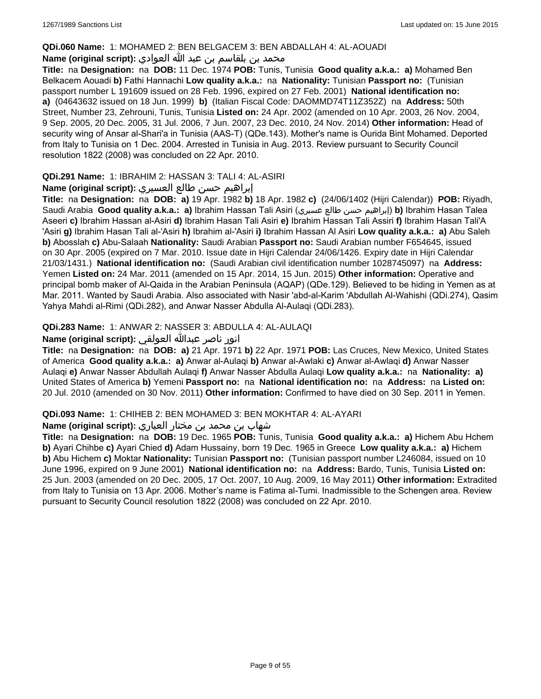#### **QDi.060 Name:** 1: MOHAMED 2: BEN BELGACEM 3: BEN ABDALLAH 4: AL-AOUADI

# محمد بن بلقاسم بن عبد الله العوادي **:**Name (original script)

**Title:** na **Designation:** na **DOB:** 11 Dec. 1974 **POB:** Tunis, Tunisia **Good quality a.k.a.: a)** Mohamed Ben Belkacem Aouadi **b)** Fathi Hannachi **Low quality a.k.a.:** na **Nationality:** Tunisian **Passport no:** (Tunisian passport number L 191609 issued on 28 Feb. 1996, expired on 27 Feb. 2001) **National identification no: a)** (04643632 issued on 18 Jun. 1999) **b)** (Italian Fiscal Code: DAOMMD74T11Z352Z) na **Address:** 50th Street, Number 23, Zehrouni, Tunis, Tunisia **Listed on:** 24 Apr. 2002 (amended on 10 Apr. 2003, 26 Nov. 2004, 9 Sep. 2005, 20 Dec. 2005, 31 Jul. 2006, 7 Jun. 2007, 23 Dec. 2010, 24 Nov. 2014) **Other information:** Head of security wing of Ansar al-Shari'a in Tunisia (AAS-T) (QDe.143). Mother's name is Ourida Bint Mohamed. Deported from Italy to Tunisia on 1 Dec. 2004. Arrested in Tunisia in Aug. 2013. Review pursuant to Security Council resolution 1822 (2008) was concluded on 22 Apr. 2010.

### **QDi.291 Name:** 1: IBRAHIM 2: HASSAN 3: TALI 4: AL-ASIRI

### إبراهيم حسن طالع العسيري **:(script original (Name**

**Title:** na **Designation:** na **DOB: a)** 19 Apr. 1982 **b)** 18 Apr. 1982 **c)** (24/06/1402 (Hijri Calendar)) **POB:** Riyadh, Saudi Arabia **Good quality a.k.a.: a)** Ibrahim Hassan Tali Asiri (عسيري طالع حسن إبراهيم(**b)** Ibrahim Hasan Talea Aseeri **c)** Ibrahim Hassan al-Asiri **d)** Ibrahim Hasan Tali Asiri **e)** Ibrahim Hassan Tali Assiri **f)** Ibrahim Hasan Tali'A 'Asiri **g)** Ibrahim Hasan Tali al-'Asiri **h)** Ibrahim al-'Asiri **i)** Ibrahim Hassan Al Asiri **Low quality a.k.a.: a)** Abu Saleh **b)** Abosslah **c)** Abu-Salaah **Nationality:** Saudi Arabian **Passport no:** Saudi Arabian number F654645, issued on 30 Apr. 2005 (expired on 7 Mar. 2010. Issue date in Hijri Calendar 24/06/1426. Expiry date in Hijri Calendar 21/03/1431.) **National identification no:** (Saudi Arabian civil identification number 1028745097) na **Address:** Yemen **Listed on:** 24 Mar. 2011 (amended on 15 Apr. 2014, 15 Jun. 2015) **Other information:** Operative and principal bomb maker of Al-Qaida in the Arabian Peninsula (AQAP) (QDe.129). Believed to be hiding in Yemen as at Mar. 2011. Wanted by Saudi Arabia. Also associated with Nasir 'abd-al-Karim 'Abdullah Al-Wahishi (QDi.274), Qasim Yahya Mahdi al-Rimi (QDi.282), and Anwar Nasser Abdulla Al-Aulaqi (QDi.283).

### **QDi.283 Name:** 1: ANWAR 2: NASSER 3: ABDULLA 4: AL-AULAQI

### انور ناصر عبدالله العولقي **:(script original (Name**

**Title:** na **Designation:** na **DOB: a)** 21 Apr. 1971 **b)** 22 Apr. 1971 **POB:** Las Cruces, New Mexico, United States of America **Good quality a.k.a.: a)** Anwar al-Aulaqi **b)** Anwar al-Awlaki **c)** Anwar al-Awlaqi **d)** Anwar Nasser Aulaqi **e)** Anwar Nasser Abdullah Aulaqi **f)** Anwar Nasser Abdulla Aulaqi **Low quality a.k.a.:** na **Nationality: a)** United States of America **b)** Yemeni **Passport no:** na **National identification no:** na **Address:** na **Listed on:** 20 Jul. 2010 (amended on 30 Nov. 2011) **Other information:** Confirmed to have died on 30 Sep. 2011 in Yemen.

#### **QDi.093 Name:** 1: CHIHEB 2: BEN MOHAMED 3: BEN MOKHTAR 4: AL-AYARI

### شهاب بن محمد بن مختار العياري **:(script original (Name**

**Title:** na **Designation:** na **DOB:** 19 Dec. 1965 **POB:** Tunis, Tunisia **Good quality a.k.a.: a)** Hichem Abu Hchem **b)** Ayari Chihbe **c)** Ayari Chied **d)** Adam Hussainy, born 19 Dec. 1965 in Greece **Low quality a.k.a.: a)** Hichem **b)** Abu Hichem **c)** Moktar **Nationality:** Tunisian **Passport no:** (Tunisian passport number L246084, issued on 10 June 1996, expired on 9 June 2001) **National identification no:** na **Address:** Bardo, Tunis, Tunisia **Listed on:** 25 Jun. 2003 (amended on 20 Dec. 2005, 17 Oct. 2007, 10 Aug. 2009, 16 May 2011) **Other information:** Extradited from Italy to Tunisia on 13 Apr. 2006. Mother's name is Fatima al-Tumi. Inadmissible to the Schengen area. Review pursuant to Security Council resolution 1822 (2008) was concluded on 22 Apr. 2010.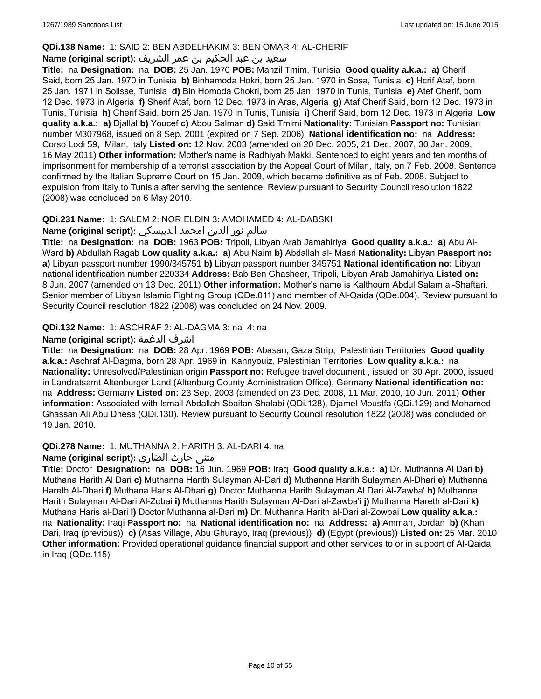### **QDi.138 Name:** 1: SAID 2: BEN ABDELHAKIM 3: BEN OMAR 4: AL-CHERIF

### سعيد بن عبد الحكيم بن عمر الشريف **:(script original (Name**

**Title:** na **Designation:** na **DOB:** 25 Jan. 1970 **POB:** Manzil Tmim, Tunisia **Good quality a.k.a.: a)** Cherif Said, born 25 Jan. 1970 in Tunisia **b)** Binhamoda Hokri, born 25 Jan. 1970 in Sosa, Tunisia **c)** Hcrif Ataf, born 25 Jan. 1971 in Solisse, Tunisia **d)** Bin Homoda Chokri, born 25 Jan. 1970 in Tunis, Tunisia **e)** Atef Cherif, born 12 Dec. 1973 in Algeria **f)** Sherif Ataf, born 12 Dec. 1973 in Aras, Algeria **g)** Ataf Cherif Said, born 12 Dec. 1973 in Tunis, Tunisia **h)** Cherif Said, born 25 Jan. 1970 in Tunis, Tunisia **i)** Cherif Said, born 12 Dec. 1973 in Algeria **Low quality a.k.a.: a)** Djallal **b)** Youcef **c)** Abou Salman **d)** Said Tmimi **Nationality:** Tunisian **Passport no:** Tunisian number M307968, issued on 8 Sep. 2001 (expired on 7 Sep. 2006) **National identification no:** na **Address:** Corso Lodi 59, Milan, Italy **Listed on:** 12 Nov. 2003 (amended on 20 Dec. 2005, 21 Dec. 2007, 30 Jan. 2009, 16 May 2011) **Other information:** Mother's name is Radhiyah Makki. Sentenced to eight years and ten months of imprisonment for membership of a terrorist association by the Appeal Court of Milan, Italy, on 7 Feb. 2008. Sentence confirmed by the Italian Supreme Court on 15 Jan. 2009, which became definitive as of Feb. 2008. Subject to expulsion from Italy to Tunisia after serving the sentence. Review pursuant to Security Council resolution 1822 (2008) was concluded on 6 May 2010.

### **QDi.231 Name:** 1: SALEM 2: NOR ELDIN 3: AMOHAMED 4: AL-DABSKI

### سالم نور الدين امحمد الدبيسكي **:(script original (Name**

**Title:** na **Designation:** na **DOB:** 1963 **POB:** Tripoli, Libyan Arab Jamahiriya **Good quality a.k.a.: a)** Abu Al-Ward **b)** Abdullah Ragab **Low quality a.k.a.: a)** Abu Naim **b)** Abdallah al- Masri **Nationality:** Libyan **Passport no: a)** Libyan passport number 1990/345751 **b)** Libyan passport number 345751 **National identification no:** Libyan national identification number 220334 **Address:** Bab Ben Ghasheer, Tripoli, Libyan Arab Jamahiriya **Listed on:** 8 Jun. 2007 (amended on 13 Dec. 2011) **Other information:** Mother's name is Kalthoum Abdul Salam al-Shaftari. Senior member of Libyan Islamic Fighting Group (QDe.011) and member of Al-Qaida (QDe.004). Review pursuant to Security Council resolution 1822 (2008) was concluded on 24 Nov. 2009.

### **QDi.132 Name:** 1: ASCHRAF 2: AL-DAGMA 3: na 4: na

### **Name (original script):** الدغمة اشرف

**Title:** na **Designation:** na **DOB:** 28 Apr. 1969 **POB:** Abasan, Gaza Strip, Palestinian Territories **Good quality a.k.a.:** Aschraf Al-Dagma, born 28 Apr. 1969 in Kannyouiz, Palestinian Territories **Low quality a.k.a.:** na **Nationality:** Unresolved/Palestinian origin **Passport no:** Refugee travel document , issued on 30 Apr. 2000, issued in Landratsamt Altenburger Land (Altenburg County Administration Office), Germany **National identification no:**  na **Address:** Germany **Listed on:** 23 Sep. 2003 (amended on 23 Dec. 2008, 11 Mar. 2010, 10 Jun. 2011) **Other information:** Associated with Ismail Abdallah Sbaitan Shalabi (QDi.128), Djamel Moustfa (QDi.129) and Mohamed Ghassan Ali Abu Dhess (QDi.130). Review pursuant to Security Council resolution 1822 (2008) was concluded on 19 Jan. 2010.

#### **QDi.278 Name:** 1: MUTHANNA 2: HARITH 3: AL-DARI 4: na

# مثنى حارث الضاري :Name (original script)

**Title:** Doctor **Designation:** na **DOB:** 16 Jun. 1969 **POB:** Iraq **Good quality a.k.a.: a)** Dr. Muthanna Al Dari **b)** Muthana Harith Al Dari **c)** Muthanna Harith Sulayman Al-Dari **d)** Muthanna Harith Sulayman Al-Dhari **e)** Muthanna Hareth Al-Dhari **f)** Muthana Haris Al-Dhari **g)** Doctor Muthanna Harith Sulayman Al Dari Al-Zawba' **h)** Muthanna Harith Sulayman Al-Dari Al-Zobai **i)** Muthanna Harith Sulayman Al-Dari al-Zawba'i **j)** Muthanna Hareth al-Dari **k)** Muthana Haris al-Dari **l)** Doctor Muthanna al-Dari **m)** Dr. Muthanna Harith al-Dari al-Zowbai **Low quality a.k.a.:**  na **Nationality:** Iraqi **Passport no:** na **National identification no:** na **Address: a)** Amman, Jordan **b)** (Khan Dari, Iraq (previous)) **c)** (Asas Village, Abu Ghurayb, Iraq (previous)) **d)** (Egypt (previous)) **Listed on:** 25 Mar. 2010 **Other information:** Provided operational guidance financial support and other services to or in support of Al-Qaida in Iraq (QDe.115).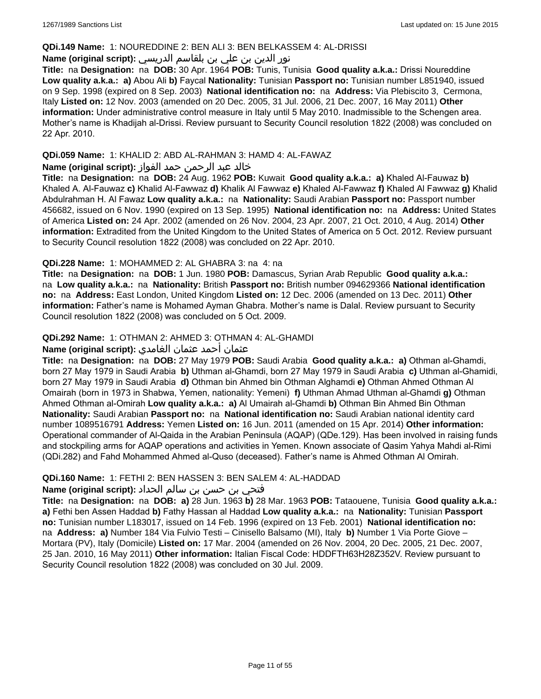#### **QDi.149 Name:** 1: NOUREDDINE 2: BEN ALI 3: BEN BELKASSEM 4: AL-DRISSI

# نور الدين بن علي بن بلقاسم الدريسي **:(script original (Name**

**Title:** na **Designation:** na **DOB:** 30 Apr. 1964 **POB:** Tunis, Tunisia **Good quality a.k.a.:** Drissi Noureddine **Low quality a.k.a.: a)** Abou Ali **b)** Faycal **Nationality:** Tunisian **Passport no:** Tunisian number L851940, issued on 9 Sep. 1998 (expired on 8 Sep. 2003) **National identification no:** na **Address:** Via Plebiscito 3, Cermona, Italy **Listed on:** 12 Nov. 2003 (amended on 20 Dec. 2005, 31 Jul. 2006, 21 Dec. 2007, 16 May 2011) **Other information:** Under administrative control measure in Italy until 5 May 2010. Inadmissible to the Schengen area. Mother's name is Khadijah al-Drissi. Review pursuant to Security Council resolution 1822 (2008) was concluded on 22 Apr. 2010.

### **QDi.059 Name:** 1: KHALID 2: ABD AL-RAHMAN 3: HAMD 4: AL-FAWAZ

### خالد عبد الرحمن حمد الفواز **:(script original (Name**

**Title:** na **Designation:** na **DOB:** 24 Aug. 1962 **POB:** Kuwait **Good quality a.k.a.: a)** Khaled Al-Fauwaz **b)** Khaled A. Al-Fauwaz **c)** Khalid Al-Fawwaz **d)** Khalik Al Fawwaz **e)** Khaled Al-Fawwaz **f)** Khaled Al Fawwaz **g)** Khalid Abdulrahman H. Al Fawaz **Low quality a.k.a.:** na **Nationality:** Saudi Arabian **Passport no:** Passport number 456682, issued on 6 Nov. 1990 (expired on 13 Sep. 1995) **National identification no:** na **Address:** United States of America **Listed on:** 24 Apr. 2002 (amended on 26 Nov. 2004, 23 Apr. 2007, 21 Oct. 2010, 4 Aug. 2014) **Other information:** Extradited from the United Kingdom to the United States of America on 5 Oct. 2012. Review pursuant to Security Council resolution 1822 (2008) was concluded on 22 Apr. 2010.

### **QDi.228 Name:** 1: MOHAMMED 2: AL GHABRA 3: na 4: na

**Title:** na **Designation:** na **DOB:** 1 Jun. 1980 **POB:** Damascus, Syrian Arab Republic **Good quality a.k.a.:**  na **Low quality a.k.a.:** na **Nationality:** British **Passport no:** British number 094629366 **National identification no:** na **Address:** East London, United Kingdom **Listed on:** 12 Dec. 2006 (amended on 13 Dec. 2011) **Other information:** Father's name is Mohamed Ayman Ghabra. Mother's name is Dalal. Review pursuant to Security Council resolution 1822 (2008) was concluded on 5 Oct. 2009.

### **QDi.292 Name:** 1: OTHMAN 2: AHMED 3: OTHMAN 4: AL-GHAMDI

### عثمان أحمد عثمان الغامدي **:(script original (Name**

**Title:** na **Designation:** na **DOB:** 27 May 1979 **POB:** Saudi Arabia **Good quality a.k.a.: a)** Othman al-Ghamdi, born 27 May 1979 in Saudi Arabia **b)** Uthman al-Ghamdi, born 27 May 1979 in Saudi Arabia **c)** Uthman al-Ghamidi, born 27 May 1979 in Saudi Arabia **d)** Othman bin Ahmed bin Othman Alghamdi **e)** Othman Ahmed Othman Al Omairah (born in 1973 in Shabwa, Yemen, nationality: Yemeni) **f)** Uthman Ahmad Uthman al-Ghamdi **g)** Othman Ahmed Othman al-Omirah **Low quality a.k.a.: a)** Al Umairah al-Ghamdi **b)** Othman Bin Ahmed Bin Othman **Nationality:** Saudi Arabian **Passport no:** na **National identification no:** Saudi Arabian national identity card number 1089516791 **Address:** Yemen **Listed on:** 16 Jun. 2011 (amended on 15 Apr. 2014) **Other information:** Operational commander of Al-Qaida in the Arabian Peninsula (AQAP) (QDe.129). Has been involved in raising funds and stockpiling arms for AQAP operations and activities in Yemen. Known associate of Qasim Yahya Mahdi al-Rimi (QDi.282) and Fahd Mohammed Ahmed al-Quso (deceased). Father's name is Ahmed Othman Al Omirah.

### **QDi.160 Name:** 1: FETHI 2: BEN HASSEN 3: BEN SALEM 4: AL-HADDAD

### فتحي بن حسن بن سالم الحداد **:(script original (Name**

**Title:** na **Designation:** na **DOB: a)** 28 Jun. 1963 **b)** 28 Mar. 1963 **POB:** Tataouene, Tunisia **Good quality a.k.a.: a)** Fethi ben Assen Haddad **b)** Fathy Hassan al Haddad **Low quality a.k.a.:** na **Nationality:** Tunisian **Passport no:** Tunisian number L183017, issued on 14 Feb. 1996 (expired on 13 Feb. 2001) **National identification no:**  na **Address: a)** Number 184 Via Fulvio Testi – Cinisello Balsamo (MI), Italy **b)** Number 1 Via Porte Giove – Mortara (PV), Italy (Domicile) **Listed on:** 17 Mar. 2004 (amended on 26 Nov. 2004, 20 Dec. 2005, 21 Dec. 2007, 25 Jan. 2010, 16 May 2011) **Other information:** Italian Fiscal Code: HDDFTH63H28Z352V. Review pursuant to Security Council resolution 1822 (2008) was concluded on 30 Jul. 2009.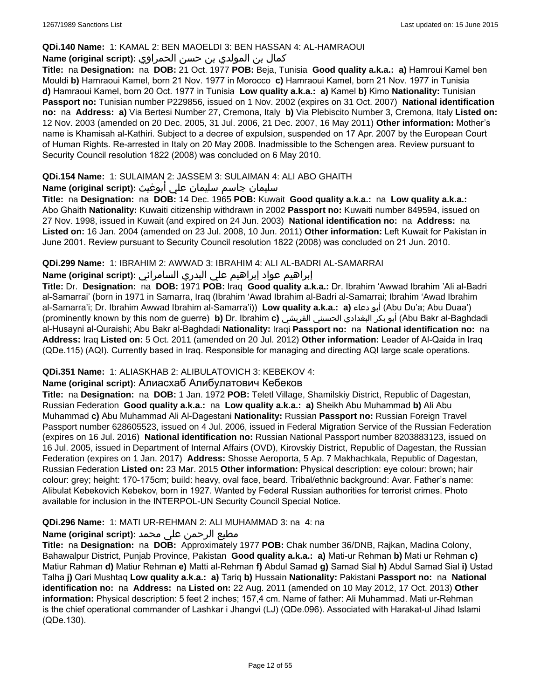### **QDi.140 Name:** 1: KAMAL 2: BEN MAOELDI 3: BEN HASSAN 4: AL-HAMRAOUI

# كمال بن المولدي بن حسن الحمراوي **:(script original (Name**

**Title:** na **Designation:** na **DOB:** 21 Oct. 1977 **POB:** Beja, Tunisia **Good quality a.k.a.: a)** Hamroui Kamel ben Mouldi **b)** Hamraoui Kamel, born 21 Nov. 1977 in Morocco **c)** Hamraoui Kamel, born 21 Nov. 1977 in Tunisia **d)** Hamraoui Kamel, born 20 Oct. 1977 in Tunisia **Low quality a.k.a.: a)** Kamel **b)** Kimo **Nationality:** Tunisian **Passport no:** Tunisian number P229856, issued on 1 Nov. 2002 (expires on 31 Oct. 2007) **National identification no:** na **Address: a)** Via Bertesi Number 27, Cremona, Italy **b)** Via Plebiscito Number 3, Cremona, Italy **Listed on:** 12 Nov. 2003 (amended on 20 Dec. 2005, 31 Jul. 2006, 21 Dec. 2007, 16 May 2011) **Other information:** Mother's name is Khamisah al-Kathiri. Subject to a decree of expulsion, suspended on 17 Apr. 2007 by the European Court of Human Rights. Re-arrested in Italy on 20 May 2008. Inadmissible to the Schengen area. Review pursuant to Security Council resolution 1822 (2008) was concluded on 6 May 2010.

### **QDi.154 Name:** 1: SULAIMAN 2: JASSEM 3: SULAIMAN 4: ALI ABO GHAITH

### سليمان جاسم سليمان علي أبوغيث **:(script original (Name**

**Title:** na **Designation:** na **DOB:** 14 Dec. 1965 **POB:** Kuwait **Good quality a.k.a.:** na **Low quality a.k.a.:** Abo Ghaith **Nationality:** Kuwaiti citizenship withdrawn in 2002 **Passport no:** Kuwaiti number 849594, issued on 27 Nov. 1998, issued in Kuwait (and expired on 24 Jun. 2003) **National identification no:** na **Address:** na **Listed on:** 16 Jan. 2004 (amended on 23 Jul. 2008, 10 Jun. 2011) **Other information:** Left Kuwait for Pakistan in June 2001. Review pursuant to Security Council resolution 1822 (2008) was concluded on 21 Jun. 2010.

### **QDi.299 Name:** 1: IBRAHIM 2: AWWAD 3: IBRAHIM 4: ALI AL-BADRI AL-SAMARRAI

# إبراهيم عواد إبراهيم علي البدري السامرائي **:(script original (Name**

**Title:** Dr. **Designation:** na **DOB:** 1971 **POB:** Iraq **Good quality a.k.a.:** Dr. Ibrahim 'Awwad Ibrahim 'Ali al-Badri al-Samarrai' (born in 1971 in Samarra, Iraq (Ibrahim 'Awad Ibrahim al-Badri al-Samarrai; Ibrahim 'Awad Ibrahim al-Samarra'i; Dr. Ibrahim Awwad Ibrahim al-Samarra'i)) **Low quality a.k.a.: a)** دعاء أبو) Abu Du'a; Abu Duaa') (prominently known by this nom de guerre) **b)** Dr. Ibrahim **c)** القريشي الحسيني البغدادي بكر أبو) Abu Bakr al-Baghdadi al-Husayni al-Quraishi; Abu Bakr al-Baghdadi **Nationality:** Iraqi **Passport no:** na **National identification no:** na **Address:** Iraq **Listed on:** 5 Oct. 2011 (amended on 20 Jul. 2012) **Other information:** Leader of Al-Qaida in Iraq (QDe.115) (AQI). Currently based in Iraq. Responsible for managing and directing AQI large scale operations.

### **QDi.351 Name:** 1: ALIASKHAB 2: ALIBULATOVICH 3: KEBEKOV 4:

# **Name (original script):** Алиaсхаб Алибулатович Кебеков

**Title:** na **Designation:** na **DOB:** 1 Jan. 1972 **POB:** Teletl Village, Shamilskiy District, Republic of Dagestan, Russian Federation **Good quality a.k.a.:** na **Low quality a.k.a.: a)** Sheikh Abu Muhammad **b)** Ali Abu Muhammad **c)** Abu Muhammad Ali Al-Dagestani **Nationality:** Russian **Passport no:** Russian Foreign Travel Passport number 628605523, issued on 4 Jul. 2006, issued in Federal Migration Service of the Russian Federation (expires on 16 Jul. 2016) **National identification no:** Russian National Passport number 8203883123, issued on 16 Jul. 2005, issued in Department of Internal Affairs (OVD), Kirovskiy District, Republic of Dagestan, the Russian Federation (expires on 1 Jan. 2017) **Address:** Shosse Aeroporta, 5 Ap. 7 Makhachkala, Republic of Dagestan, Russian Federation **Listed on:** 23 Mar. 2015 **Other information:** Physical description: eye colour: brown; hair colour: grey; height: 170-175cm; build: heavy, oval face, beard. Tribal/ethnic background: Avar. Father's name: Alibulat Kebekovich Kebekov, born in 1927. Wanted by Federal Russian authorities for terrorist crimes. Photo available for inclusion in the INTERPOL-UN Security Council Special Notice.

### **QDi.296 Name:** 1: MATI UR-REHMAN 2: ALI MUHAMMAD 3: na 4: na

# مطیع الرحمن علی محمد **:Name (original script)**

**Title:** na **Designation:** na **DOB:** Approximately 1977 **POB:** Chak number 36/DNB, Rajkan, Madina Colony, Bahawalpur District, Punjab Province, Pakistan **Good quality a.k.a.: a)** Mati-ur Rehman **b)** Mati ur Rehman **c)** Matiur Rahman **d)** Matiur Rehman **e)** Matti al-Rehman **f)** Abdul Samad **g)** Samad Sial **h)** Abdul Samad Sial **i)** Ustad Talha **j)** Qari Mushtaq **Low quality a.k.a.: a)** Tariq **b)** Hussain **Nationality:** Pakistani **Passport no:** na **National identification no:** na **Address:** na **Listed on:** 22 Aug. 2011 (amended on 10 May 2012, 17 Oct. 2013) **Other information:** Physical description: 5 feet 2 inches; 157,4 cm. Name of father: Ali Muhammad. Mati ur-Rehman is the chief operational commander of Lashkar i Jhangvi (LJ) (QDe.096). Associated with Harakat-ul Jihad Islami (QDe.130).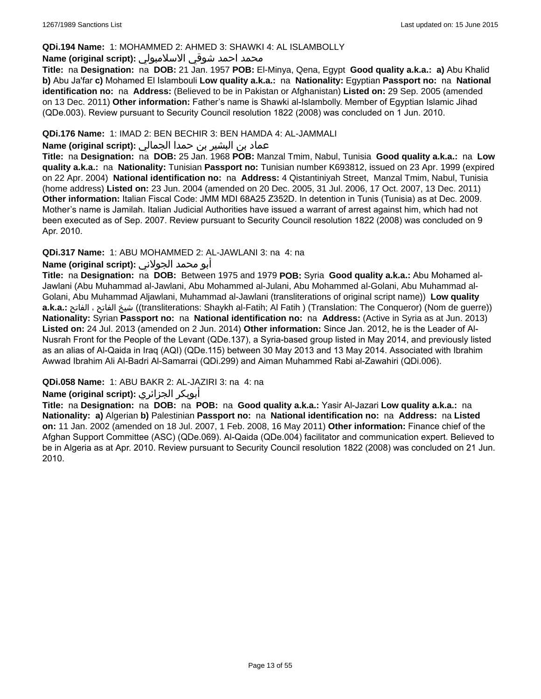#### **QDi.194 Name:** 1: MOHAMMED 2: AHMED 3: SHAWKI 4: AL ISLAMBOLLY

#### محمد احمد شوقي الاسلامبولي **:Name (original script)**

**Title:** na **Designation:** na **DOB:** 21 Jan. 1957 **POB:** El-Minya, Qena, Egypt **Good quality a.k.a.: a)** Abu Khalid **b)** Abu Ja'far **c)** Mohamed El Islambouli **Low quality a.k.a.:** na **Nationality:** Egyptian **Passport no:** na **National identification no:** na **Address:** (Believed to be in Pakistan or Afghanistan) **Listed on:** 29 Sep. 2005 (amended on 13 Dec. 2011) **Other information:** Father's name is Shawki al-Islambolly. Member of Egyptian Islamic Jihad (QDe.003). Review pursuant to Security Council resolution 1822 (2008) was concluded on 1 Jun. 2010.

### **QDi.176 Name:** 1: IMAD 2: BEN BECHIR 3: BEN HAMDA 4: AL-JAMMALI

### عماد بن البشير بن حمدا الجمالي **:(script original (Name**

**Title:** na **Designation:** na **DOB:** 25 Jan. 1968 **POB:** Manzal Tmim, Nabul, Tunisia **Good quality a.k.a.:** na **Low quality a.k.a.:** na **Nationality:** Tunisian **Passport no:** Tunisian number K693812, issued on 23 Apr. 1999 (expired on 22 Apr. 2004) **National identification no:** na **Address:** 4 Qistantiniyah Street, Manzal Tmim, Nabul, Tunisia (home address) **Listed on:** 23 Jun. 2004 (amended on 20 Dec. 2005, 31 Jul. 2006, 17 Oct. 2007, 13 Dec. 2011) **Other information:** Italian Fiscal Code: JMM MDI 68A25 Z352D. In detention in Tunis (Tunisia) as at Dec. 2009. Mother's name is Jamilah. Italian Judicial Authorities have issued a warrant of arrest against him, which had not been executed as of Sep. 2007. Review pursuant to Security Council resolution 1822 (2008) was concluded on 9 Apr. 2010.

### **QDi.317 Name:** 1: ABU MOHAMMED 2: AL-JAWLANI 3: na 4: na

### أبو محمد الجولاني **:(script original (Name**

**Title:** na **Designation:** na **DOB:** Between 1975 and 1979 **POB:** Syria **Good quality a.k.a.:** Abu Mohamed al-Jawlani (Abu Muhammad al-Jawlani, Abu Mohammed al-Julani, Abu Mohammed al-Golani, Abu Muhammad al-Golani, Abu Muhammad Aljawlani, Muhammad al-Jawlani (transliterations of original script name)) **Low quality a.k.a.:** الفاتح ، الفاتح شيخ)) transliterations: Shaykh al-Fatih; Al Fatih ) (Translation: The Conqueror) (Nom de guerre)) **Nationality:** Syrian **Passport no:** na **National identification no:** na **Address:** (Active in Syria as at Jun. 2013) **Listed on:** 24 Jul. 2013 (amended on 2 Jun. 2014) **Other information:** Since Jan. 2012, he is the Leader of Al-Nusrah Front for the People of the Levant (QDe.137), a Syria-based group listed in May 2014, and previously listed as an alias of Al-Qaida in Iraq (AQI) (QDe.115) between 30 May 2013 and 13 May 2014. Associated with Ibrahim Awwad Ibrahim Ali Al-Badri Al-Samarrai (QDi.299) and Aiman Muhammed Rabi al-Zawahiri (QDi.006).

### **QDi.058 Name:** 1: ABU BAKR 2: AL-JAZIRI 3: na 4: na

### **Name (original script):** الجزائري أبوبكر

**Title:** na **Designation:** na **DOB:** na **POB:** na **Good quality a.k.a.:** Yasir Al-Jazari **Low quality a.k.a.:** na **Nationality: a)** Algerian **b)** Palestinian **Passport no:** na **National identification no:** na **Address:** na **Listed on:** 11 Jan. 2002 (amended on 18 Jul. 2007, 1 Feb. 2008, 16 May 2011) **Other information:** Finance chief of the Afghan Support Committee (ASC) (QDe.069). Al-Qaida (QDe.004) facilitator and communication expert. Believed to be in Algeria as at Apr. 2010. Review pursuant to Security Council resolution 1822 (2008) was concluded on 21 Jun. 2010.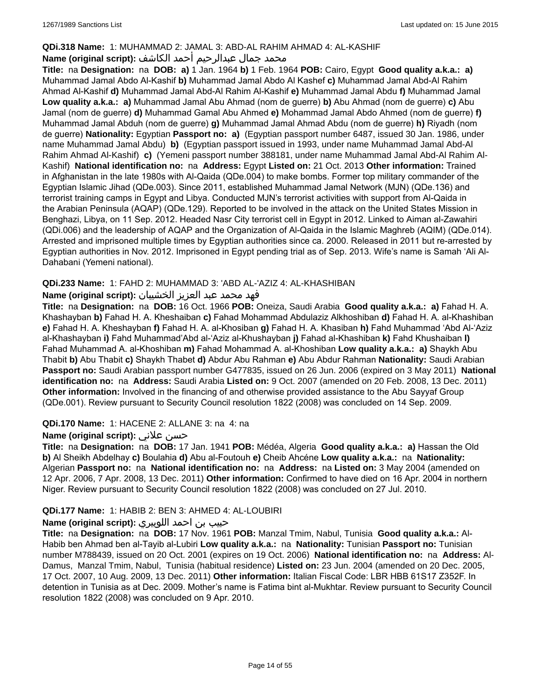### **QDi.318 Name:** 1: MUHAMMAD 2: JAMAL 3: ABD-AL RAHIM AHMAD 4: AL-KASHIF

### محمد جمال عبدالرحيم أحمد الكاشف **:Name (original script**)

**Title:** na **Designation:** na **DOB: a)** 1 Jan. 1964 **b)** 1 Feb. 1964 **POB:** Cairo, Egypt **Good quality a.k.a.: a)** Muhammad Jamal Abdo Al-Kashif **b)** Muhammad Jamal Abdo Al Kashef **c)** Muhammad Jamal Abd-Al Rahim Ahmad Al-Kashif **d)** Muhammad Jamal Abd-Al Rahim Al-Kashif **e)** Muhammad Jamal Abdu **f)** Muhammad Jamal **Low quality a.k.a.: a)** Muhammad Jamal Abu Ahmad (nom de guerre) **b)** Abu Ahmad (nom de guerre) **c)** Abu Jamal (nom de guerre) **d)** Muhammad Gamal Abu Ahmed **e)** Mohammad Jamal Abdo Ahmed (nom de guerre) **f)** Muhammad Jamal Abduh (nom de guerre) **g)** Muhammad Jamal Ahmad Abdu (nom de guerre) **h)** Riyadh (nom de guerre) **Nationality:** Egyptian **Passport no: a)** (Egyptian passport number 6487, issued 30 Jan. 1986, under name Muhammad Jamal Abdu) **b)** (Egyptian passport issued in 1993, under name Muhammad Jamal Abd-Al Rahim Ahmad Al-Kashif) **c)** (Yemeni passport number 388181, under name Muhammad Jamal Abd-Al Rahim Al-Kashif) **National identification no:** na **Address:** Egypt **Listed on:** 21 Oct. 2013 **Other information:** Trained in Afghanistan in the late 1980s with Al-Qaida (QDe.004) to make bombs. Former top military commander of the Egyptian Islamic Jihad (QDe.003). Since 2011, established Muhammad Jamal Network (MJN) (QDe.136) and terrorist training camps in Egypt and Libya. Conducted MJN's terrorist activities with support from Al-Qaida in the Arabian Peninsula (AQAP) (QDe.129). Reported to be involved in the attack on the United States Mission in Benghazi, Libya, on 11 Sep. 2012. Headed Nasr City terrorist cell in Egypt in 2012. Linked to Aiman al-Zawahiri (QDi.006) and the leadership of AQAP and the Organization of Al-Qaida in the Islamic Maghreb (AQIM) (QDe.014). Arrested and imprisoned multiple times by Egyptian authorities since ca. 2000. Released in 2011 but re-arrested by Egyptian authorities in Nov. 2012. Imprisoned in Egypt pending trial as of Sep. 2013. Wife's name is Samah 'Ali Al-Dahabani (Yemeni national).

### **QDi.233 Name:** 1: FAHD 2: MUHAMMAD 3: 'ABD AL-'AZIZ 4: AL-KHASHIBAN

### فهد محمد عبد العزيز الخشيبان **:(script original (Name**

**Title:** na **Designation:** na **DOB:** 16 Oct. 1966 **POB:** Oneiza, Saudi Arabia **Good quality a.k.a.: a)** Fahad H. A. Khashayban **b)** Fahad H. A. Kheshaiban **c)** Fahad Mohammad Abdulaziz Alkhoshiban **d)** Fahad H. A. al-Khashiban **e)** Fahad H. A. Kheshayban **f)** Fahad H. A. al-Khosiban **g)** Fahad H. A. Khasiban **h)** Fahd Muhammad 'Abd Al-'Aziz al-Khashayban **i)** Fahd Muhammad'Abd al-'Aziz al-Khushayban **j)** Fahad al-Khashiban **k)** Fahd Khushaiban **l)** Fahad Muhammad A. al-Khoshiban **m)** Fahad Mohammad A. al-Khoshiban **Low quality a.k.a.: a)** Shaykh Abu Thabit **b)** Abu Thabit **c)** Shaykh Thabet **d)** Abdur Abu Rahman **e)** Abu Abdur Rahman **Nationality:** Saudi Arabian **Passport no:** Saudi Arabian passport number G477835, issued on 26 Jun. 2006 (expired on 3 May 2011) **National identification no:** na **Address:** Saudi Arabia **Listed on:** 9 Oct. 2007 (amended on 20 Feb. 2008, 13 Dec. 2011) **Other information:** Involved in the financing of and otherwise provided assistance to the Abu Sayyaf Group (QDe.001). Review pursuant to Security Council resolution 1822 (2008) was concluded on 14 Sep. 2009.

#### **QDi.170 Name:** 1: HACENE 2: ALLANE 3: na 4: na

### **Name (original script):** علاني حسن

**Title:** na **Designation:** na **DOB:** 17 Jan. 1941 **POB:** Médéa, Algeria **Good quality a.k.a.: a)** Hassan the Old **b)** Al Sheikh Abdelhay **c)** Boulahia **d)** Abu al-Foutouh **e)** Cheib Ahcéne **Low quality a.k.a.:** na **Nationality:** Algerian **Passport no:** na **National identification no:** na **Address:** na **Listed on:** 3 May 2004 (amended on 12 Apr. 2006, 7 Apr. 2008, 13 Dec. 2011) **Other information:** Confirmed to have died on 16 Apr. 2004 in northern Niger. Review pursuant to Security Council resolution 1822 (2008) was concluded on 27 Jul. 2010.

### **QDi.177 Name:** 1: HABIB 2: BEN 3: AHMED 4: AL-LOUBIRI

### حبيب بن احمد اللوبيري **:(script original (Name**

**Title:** na **Designation:** na **DOB:** 17 Nov. 1961 **POB:** Manzal Tmim, Nabul, Tunisia **Good quality a.k.a.:** Al-Habib ben Ahmad ben al-Tayib al-Lubiri **Low quality a.k.a.:** na **Nationality:** Tunisian **Passport no:** Tunisian number M788439, issued on 20 Oct. 2001 (expires on 19 Oct. 2006) **National identification no:** na **Address:** Al-Damus, Manzal Tmim, Nabul, Tunisia (habitual residence) **Listed on:** 23 Jun. 2004 (amended on 20 Dec. 2005, 17 Oct. 2007, 10 Aug. 2009, 13 Dec. 2011) **Other information:** Italian Fiscal Code: LBR HBB 61S17 Z352F. In detention in Tunisia as at Dec. 2009. Mother's name is Fatima bint al-Mukhtar. Review pursuant to Security Council resolution 1822 (2008) was concluded on 9 Apr. 2010.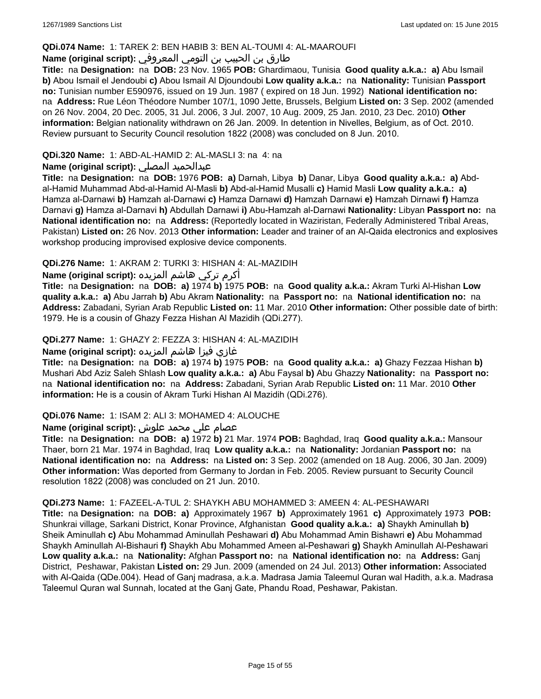#### **QDi.074 Name:** 1: TAREK 2: BEN HABIB 3: BEN AL-TOUMI 4: AL-MAAROUFI

### طارق بن الحبيب بن التومي المعروفي **:(script original (Name**

**Title:** na **Designation:** na **DOB:** 23 Nov. 1965 **POB:** Ghardimaou, Tunisia **Good quality a.k.a.: a)** Abu Ismail **b)** Abou Ismail el Jendoubi **c)** Abou Ismail Al Djoundoubi **Low quality a.k.a.:** na **Nationality:** Tunisian **Passport no:** Tunisian number E590976, issued on 19 Jun. 1987 ( expired on 18 Jun. 1992) **National identification no:**  na **Address:** Rue Léon Théodore Number 107/1, 1090 Jette, Brussels, Belgium **Listed on:** 3 Sep. 2002 (amended on 26 Nov. 2004, 20 Dec. 2005, 31 Jul. 2006, 3 Jul. 2007, 10 Aug. 2009, 25 Jan. 2010, 23 Dec. 2010) **Other information:** Belgian nationality withdrawn on 26 Jan. 2009. In detention in Nivelles, Belgium, as of Oct. 2010. Review pursuant to Security Council resolution 1822 (2008) was concluded on 8 Jun. 2010.

### **QDi.320 Name:** 1: ABD-AL-HAMID 2: AL-MASLI 3: na 4: na

### **Name (original script):** المصلي عبدالحميد

**Title:** na **Designation:** na **DOB:** 1976 **POB: a)** Darnah, Libya **b)** Danar, Libya **Good quality a.k.a.: a)** Abdal-Hamid Muhammad Abd-al-Hamid Al-Masli **b)** Abd-al-Hamid Musalli **c)** Hamid Masli **Low quality a.k.a.: a)** Hamza al-Darnawi **b)** Hamzah al-Darnawi **c)** Hamza Darnawi **d)** Hamzah Darnawi **e)** Hamzah Dirnawi **f)** Hamza Darnavi **g)** Hamza al-Darnavi **h)** Abdullah Darnawi **i)** Abu-Hamzah al-Darnawi **Nationality:** Libyan **Passport no:** na **National identification no:** na **Address:** (Reportedly located in Waziristan, Federally Administered Tribal Areas, Pakistan) **Listed on:** 26 Nov. 2013 **Other information:** Leader and trainer of an Al-Qaida electronics and explosives workshop producing improvised explosive device components.

### **QDi.276 Name:** 1: AKRAM 2: TURKI 3: HISHAN 4: AL-MAZIDIH

أكرم تركي هاشم المزيده **:(script original (Name**

**Title:** na **Designation:** na **DOB: a)** 1974 **b)** 1975 **POB:** na **Good quality a.k.a.:** Akram Turki Al-Hishan **Low quality a.k.a.: a)** Abu Jarrah **b)** Abu Akram **Nationality:** na **Passport no:** na **National identification no:** na **Address:** Zabadani, Syrian Arab Republic **Listed on:** 11 Mar. 2010 **Other information:** Other possible date of birth: 1979. He is a cousin of Ghazy Fezza Hishan Al Mazidih (QDi.277).

### **QDi.277 Name:** 1: GHAZY 2: FEZZA 3: HISHAN 4: AL-MAZIDIH

### غازي فيزا هاشم المزيده **:(script original (Name**

**Title:** na **Designation:** na **DOB: a)** 1974 **b)** 1975 **POB:** na **Good quality a.k.a.: a)** Ghazy Fezzaa Hishan **b)** Mushari Abd Aziz Saleh Shlash **Low quality a.k.a.: a)** Abu Faysal **b)** Abu Ghazzy **Nationality:** na **Passport no:**  na **National identification no:** na **Address:** Zabadani, Syrian Arab Republic **Listed on:** 11 Mar. 2010 **Other information:** He is a cousin of Akram Turki Hishan Al Mazidih (QDi.276).

#### **QDi.076 Name:** 1: ISAM 2: ALI 3: MOHAMED 4: ALOUCHE

# عصام علي محمد علوش **:(script original (Name**

**Title:** na **Designation:** na **DOB: a)** 1972 **b)** 21 Mar. 1974 **POB:** Baghdad, Iraq **Good quality a.k.a.:** Mansour Thaer, born 21 Mar. 1974 in Baghdad, Iraq **Low quality a.k.a.:** na **Nationality:** Jordanian **Passport no:** na **National identification no:** na **Address:** na **Listed on:** 3 Sep. 2002 (amended on 18 Aug. 2006, 30 Jan. 2009) **Other information:** Was deported from Germany to Jordan in Feb. 2005. Review pursuant to Security Council resolution 1822 (2008) was concluded on 21 Jun. 2010.

#### **QDi.273 Name:** 1: FAZEEL-A-TUL 2: SHAYKH ABU MOHAMMED 3: AMEEN 4: AL-PESHAWARI

**Title:** na **Designation:** na **DOB: a)** Approximately 1967 **b)** Approximately 1961 **c)** Approximately 1973 **POB:** Shunkrai village, Sarkani District, Konar Province, Afghanistan **Good quality a.k.a.: a)** Shaykh Aminullah **b)** Sheik Aminullah **c)** Abu Mohammad Aminullah Peshawari **d)** Abu Mohammad Amin Bishawri **e)** Abu Mohammad Shaykh Aminullah Al-Bishauri **f)** Shaykh Abu Mohammed Ameen al-Peshawari **g)** Shaykh Aminullah Al-Peshawari **Low quality a.k.a.:** na **Nationality:** Afghan **Passport no:** na **National identification no:** na **Address:** Ganj District, Peshawar, Pakistan **Listed on:** 29 Jun. 2009 (amended on 24 Jul. 2013) **Other information:** Associated with Al-Qaida (QDe.004). Head of Ganj madrasa, a.k.a. Madrasa Jamia Taleemul Quran wal Hadith, a.k.a. Madrasa Taleemul Quran wal Sunnah, located at the Ganj Gate, Phandu Road, Peshawar, Pakistan.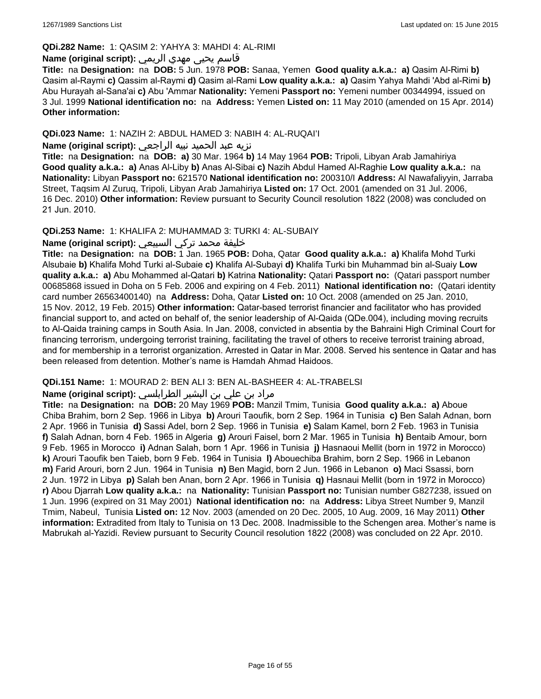#### **QDi.282 Name:** 1: QASIM 2: YAHYA 3: MAHDI 4: AL-RIMI

# قاسم يحيى مهدي الريمي **:(script original (Name**

**Title:** na **Designation:** na **DOB:** 5 Jun. 1978 **POB:** Sanaa, Yemen **Good quality a.k.a.: a)** Qasim Al-Rimi **b)** Qasim al-Raymi **c)** Qassim al-Raymi **d)** Qasim al-Rami **Low quality a.k.a.: a)** Qasim Yahya Mahdi 'Abd al-Rimi **b)** Abu Hurayah al-Sana'ai **c)** Abu 'Ammar **Nationality:** Yemeni **Passport no:** Yemeni number 00344994, issued on 3 Jul. 1999 **National identification no:** na **Address:** Yemen **Listed on:** 11 May 2010 (amended on 15 Apr. 2014) **Other information:**

### **QDi.023 Name:** 1: NAZIH 2: ABDUL HAMED 3: NABIH 4: AL-RUQAI'I

### نزيه عبد الحميد نبيه الراجعي **:(script original (Name**

**Title:** na **Designation:** na **DOB: a)** 30 Mar. 1964 **b)** 14 May 1964 **POB:** Tripoli, Libyan Arab Jamahiriya **Good quality a.k.a.: a)** Anas Al-Liby **b)** Anas Al-Sibai **c)** Nazih Abdul Hamed Al-Raghie **Low quality a.k.a.:** na **Nationality:** Libyan **Passport no:** 621570 **National identification no:** 200310/I **Address:** Al Nawafaliyyin, Jarraba Street, Taqsim Al Zuruq, Tripoli, Libyan Arab Jamahiriya **Listed on:** 17 Oct. 2001 (amended on 31 Jul. 2006, 16 Dec. 2010) **Other information:** Review pursuant to Security Council resolution 1822 (2008) was concluded on 21 Jun. 2010.

#### **QDi.253 Name:** 1: KHALIFA 2: MUHAMMAD 3: TURKI 4: AL-SUBAIY

### خليفة محمد تركي السبيعي **:(script original (Name**

**Title:** na **Designation:** na **DOB:** 1 Jan. 1965 **POB:** Doha, Qatar **Good quality a.k.a.: a)** Khalifa Mohd Turki Alsubaie **b)** Khalifa Mohd Turki al-Subaie **c)** Khalifa Al-Subayi **d)** Khalifa Turki bin Muhammad bin al-Suaiy **Low quality a.k.a.: a)** Abu Mohammed al-Qatari **b)** Katrina **Nationality:** Qatari **Passport no:** (Qatari passport number 00685868 issued in Doha on 5 Feb. 2006 and expiring on 4 Feb. 2011) **National identification no:** (Qatari identity card number 26563400140) na **Address:** Doha, Qatar **Listed on:** 10 Oct. 2008 (amended on 25 Jan. 2010, 15 Nov. 2012, 19 Feb. 2015) **Other information:** Qatar-based terrorist financier and facilitator who has provided financial support to, and acted on behalf of, the senior leadership of Al-Qaida (QDe.004), including moving recruits to Al-Qaida training camps in South Asia. In Jan. 2008, convicted in absentia by the Bahraini High Criminal Court for financing terrorism, undergoing terrorist training, facilitating the travel of others to receive terrorist training abroad, and for membership in a terrorist organization. Arrested in Qatar in Mar. 2008. Served his sentence in Qatar and has been released from detention. Mother's name is Hamdah Ahmad Haidoos.

#### **QDi.151 Name:** 1: MOURAD 2: BEN ALI 3: BEN AL-BASHEER 4: AL-TRABELSI

### مراد بن علي بن البشير الطرابلسي **:Name (original script)**

**Title:** na **Designation:** na **DOB:** 20 May 1969 **POB:** Manzil Tmim, Tunisia **Good quality a.k.a.: a)** Aboue Chiba Brahim, born 2 Sep. 1966 in Libya **b)** Arouri Taoufik, born 2 Sep. 1964 in Tunisia **c)** Ben Salah Adnan, born 2 Apr. 1966 in Tunisia **d)** Sassi Adel, born 2 Sep. 1966 in Tunisia **e)** Salam Kamel, born 2 Feb. 1963 in Tunisia **f)** Salah Adnan, born 4 Feb. 1965 in Algeria **g)** Arouri Faisel, born 2 Mar. 1965 in Tunisia **h)** Bentaib Amour, born 9 Feb. 1965 in Morocco **i)** Adnan Salah, born 1 Apr. 1966 in Tunisia **j)** Hasnaoui Mellit (born in 1972 in Morocco) **k)** Arouri Taoufik ben Taieb, born 9 Feb. 1964 in Tunisia **l)** Abouechiba Brahim, born 2 Sep. 1966 in Lebanon **m)** Farid Arouri, born 2 Jun. 1964 in Tunisia **n)** Ben Magid, born 2 Jun. 1966 in Lebanon **o)** Maci Ssassi, born 2 Jun. 1972 in Libya **p)** Salah ben Anan, born 2 Apr. 1966 in Tunisia **q)** Hasnaui Mellit (born in 1972 in Morocco) **r)** Abou Djarrah **Low quality a.k.a.:** na **Nationality:** Tunisian **Passport no:** Tunisian number G827238, issued on 1 Jun. 1996 (expired on 31 May 2001) **National identification no:** na **Address:** Libya Street Number 9, Manzil Tmim, Nabeul, Tunisia **Listed on:** 12 Nov. 2003 (amended on 20 Dec. 2005, 10 Aug. 2009, 16 May 2011) **Other information:** Extradited from Italy to Tunisia on 13 Dec. 2008. Inadmissible to the Schengen area. Mother's name is Mabrukah al-Yazidi. Review pursuant to Security Council resolution 1822 (2008) was concluded on 22 Apr. 2010.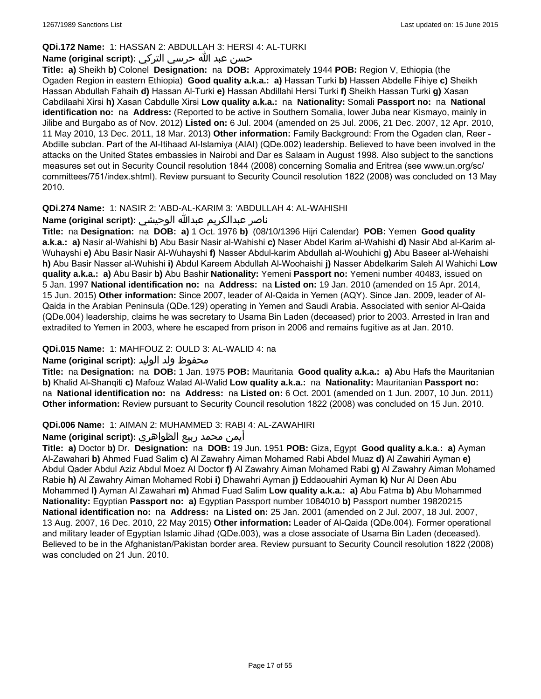### **QDi.172 Name:** 1: HASSAN 2: ABDULLAH 3: HERSI 4: AL-TURKI

### حسن عبد الله حرسي التركي **:(script original (Name**

**Title: a)** Sheikh **b)** Colonel **Designation:** na **DOB:** Approximately 1944 **POB:** Region V, Ethiopia (the Ogaden Region in eastern Ethiopia) **Good quality a.k.a.: a)** Hassan Turki **b)** Hassen Abdelle Fihiye **c)** Sheikh Hassan Abdullah Fahaih **d)** Hassan Al-Turki **e)** Hassan Abdillahi Hersi Turki **f)** Sheikh Hassan Turki **g)** Xasan Cabdilaahi Xirsi **h)** Xasan Cabdulle Xirsi **Low quality a.k.a.:** na **Nationality:** Somali **Passport no:** na **National identification no:** na **Address:** (Reported to be active in Southern Somalia, lower Juba near Kismayo, mainly in Jilibe and Burgabo as of Nov. 2012) **Listed on:** 6 Jul. 2004 (amended on 25 Jul. 2006, 21 Dec. 2007, 12 Apr. 2010, 11 May 2010, 13 Dec. 2011, 18 Mar. 2013) **Other information:** Family Background: From the Ogaden clan, Reer - Abdille subclan. Part of the Al-Itihaad Al-Islamiya (AIAI) (QDe.002) leadership. Believed to have been involved in the attacks on the United States embassies in Nairobi and Dar es Salaam in August 1998. Also subject to the sanctions measures set out in Security Council resolution 1844 (2008) concerning Somalia and Eritrea (see www.un.org/sc/ committees/751/index.shtml). Review pursuant to Security Council resolution 1822 (2008) was concluded on 13 May 2010.

### **QDi.274 Name:** 1: NASIR 2: 'ABD-AL-KARIM 3: 'ABDULLAH 4: AL-WAHISHI

# ناصر عبدالكريم عبدالله الوحيشي **:(script original (Name**

**Title:** na **Designation:** na **DOB: a)** 1 Oct. 1976 **b)** (08/10/1396 Hijri Calendar) **POB:** Yemen **Good quality a.k.a.: a)** Nasir al-Wahishi **b)** Abu Basir Nasir al-Wahishi **c)** Naser Abdel Karim al-Wahishi **d)** Nasir Abd al-Karim al-Wuhayshi **e)** Abu Basir Nasir Al-Wuhayshi **f)** Nasser Abdul-karim Abdullah al-Wouhichi **g)** Abu Baseer al-Wehaishi **h)** Abu Basir Nasser al-Wuhishi **i)** Abdul Kareem Abdullah Al-Woohaishi **j)** Nasser Abdelkarim Saleh Al Wahichi **Low quality a.k.a.: a)** Abu Basir **b)** Abu Bashir **Nationality:** Yemeni **Passport no:** Yemeni number 40483, issued on 5 Jan. 1997 **National identification no:** na **Address:** na **Listed on:** 19 Jan. 2010 (amended on 15 Apr. 2014, 15 Jun. 2015) **Other information:** Since 2007, leader of Al-Qaida in Yemen (AQY). Since Jan. 2009, leader of Al-Qaida in the Arabian Peninsula (QDe.129) operating in Yemen and Saudi Arabia. Associated with senior Al-Qaida (QDe.004) leadership, claims he was secretary to Usama Bin Laden (deceased) prior to 2003. Arrested in Iran and extradited to Yemen in 2003, where he escaped from prison in 2006 and remains fugitive as at Jan. 2010.

### **QDi.015 Name:** 1: MAHFOUZ 2: OULD 3: AL-WALID 4: na

### محفوظ ولد الوليد **:**Name (original script)

**Title:** na **Designation:** na **DOB:** 1 Jan. 1975 **POB:** Mauritania **Good quality a.k.a.: a)** Abu Hafs the Mauritanian **b)** Khalid Al-Shanqiti **c)** Mafouz Walad Al-Walid **Low quality a.k.a.:** na **Nationality:** Mauritanian **Passport no:**  na **National identification no:** na **Address:** na **Listed on:** 6 Oct. 2001 (amended on 1 Jun. 2007, 10 Jun. 2011) **Other information:** Review pursuant to Security Council resolution 1822 (2008) was concluded on 15 Jun. 2010.

### **QDi.006 Name:** 1: AIMAN 2: MUHAMMED 3: RABI 4: AL-ZAWAHIRI

### أيمن محمد ربيع الظواهري **:(script original (Name**

**Title: a)** Doctor **b)** Dr. **Designation:** na **DOB:** 19 Jun. 1951 **POB:** Giza, Egypt **Good quality a.k.a.: a)** Ayman Al-Zawahari **b)** Ahmed Fuad Salim **c)** Al Zawahry Aiman Mohamed Rabi Abdel Muaz **d)** Al Zawahiri Ayman **e)** Abdul Qader Abdul Aziz Abdul Moez Al Doctor **f)** Al Zawahry Aiman Mohamed Rabi **g)** Al Zawahry Aiman Mohamed Rabie **h)** Al Zawahry Aiman Mohamed Robi **i)** Dhawahri Ayman **j)** Eddaouahiri Ayman **k)** Nur Al Deen Abu Mohammed **l)** Ayman Al Zawahari **m)** Ahmad Fuad Salim **Low quality a.k.a.: a)** Abu Fatma **b)** Abu Mohammed **Nationality:** Egyptian **Passport no: a)** Egyptian Passport number 1084010 **b)** Passport number 19820215 **National identification no:** na **Address:** na **Listed on:** 25 Jan. 2001 (amended on 2 Jul. 2007, 18 Jul. 2007, 13 Aug. 2007, 16 Dec. 2010, 22 May 2015) **Other information:** Leader of Al-Qaida (QDe.004). Former operational and military leader of Egyptian Islamic Jihad (QDe.003), was a close associate of Usama Bin Laden (deceased). Believed to be in the Afghanistan/Pakistan border area. Review pursuant to Security Council resolution 1822 (2008) was concluded on 21 Jun. 2010.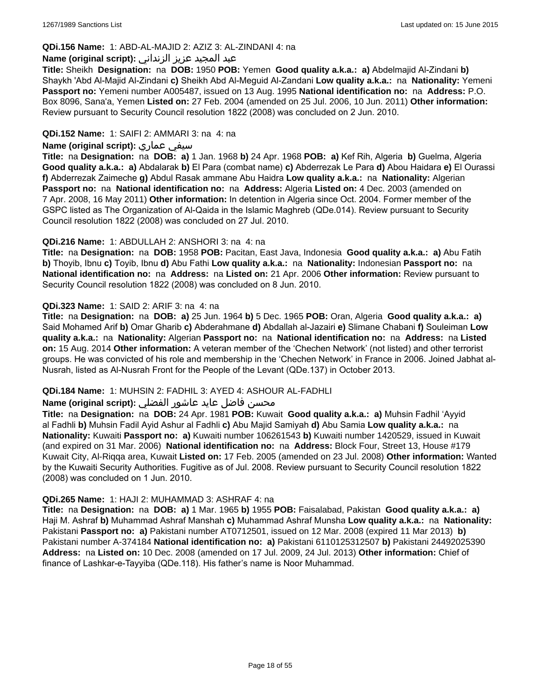#### **QDi.156 Name:** 1: ABD-AL-MAJID 2: AZIZ 3: AL-ZINDANI 4: na

#### عبد المجيد عزيز الزنداني **:(script original (Name**

**Title:** Sheikh **Designation:** na **DOB:** 1950 **POB:** Yemen **Good quality a.k.a.: a)** Abdelmajid Al-Zindani **b)** Shaykh 'Abd Al-Majid Al-Zindani **c)** Sheikh Abd Al-Meguid Al-Zandani **Low quality a.k.a.:** na **Nationality:** Yemeni **Passport no:** Yemeni number A005487, issued on 13 Aug. 1995 **National identification no:** na **Address:** P.O. Box 8096, Sana'a, Yemen **Listed on:** 27 Feb. 2004 (amended on 25 Jul. 2006, 10 Jun. 2011) **Other information:** Review pursuant to Security Council resolution 1822 (2008) was concluded on 2 Jun. 2010.

### **QDi.152 Name:** 1: SAIFI 2: AMMARI 3: na 4: na

#### **Name (original script):** عماري سيفي

**Title:** na **Designation:** na **DOB: a)** 1 Jan. 1968 **b)** 24 Apr. 1968 **POB: a)** Kef Rih, Algeria **b)** Guelma, Algeria **Good quality a.k.a.: a)** Abdalarak **b)** El Para (combat name) **c)** Abderrezak Le Para **d)** Abou Haidara **e)** El Ourassi **f)** Abderrezak Zaimeche **g)** Abdul Rasak ammane Abu Haidra **Low quality a.k.a.:** na **Nationality:** Algerian **Passport no:** na **National identification no:** na **Address:** Algeria **Listed on:** 4 Dec. 2003 (amended on 7 Apr. 2008, 16 May 2011) **Other information:** In detention in Algeria since Oct. 2004. Former member of the GSPC listed as The Organization of Al-Qaida in the Islamic Maghreb (QDe.014). Review pursuant to Security Council resolution 1822 (2008) was concluded on 27 Jul. 2010.

### **QDi.216 Name:** 1: ABDULLAH 2: ANSHORI 3: na 4: na

**Title:** na **Designation:** na **DOB:** 1958 **POB:** Pacitan, East Java, Indonesia **Good quality a.k.a.: a)** Abu Fatih **b)** Thoyib, Ibnu **c)** Toyib, Ibnu **d)** Abu Fathi **Low quality a.k.a.:** na **Nationality:** Indonesian **Passport no:** na **National identification no:** na **Address:** na **Listed on:** 21 Apr. 2006 **Other information:** Review pursuant to Security Council resolution 1822 (2008) was concluded on 8 Jun. 2010.

### **QDi.323 Name:** 1: SAID 2: ARIF 3: na 4: na

**Title:** na **Designation:** na **DOB: a)** 25 Jun. 1964 **b)** 5 Dec. 1965 **POB:** Oran, Algeria **Good quality a.k.a.: a)** Said Mohamed Arif **b)** Omar Gharib **c)** Abderahmane **d)** Abdallah al-Jazairi **e)** Slimane Chabani **f)** Souleiman **Low quality a.k.a.:** na **Nationality:** Algerian **Passport no:** na **National identification no:** na **Address:** na **Listed on:** 15 Aug. 2014 **Other information:** A veteran member of the 'Chechen Network' (not listed) and other terrorist groups. He was convicted of his role and membership in the 'Chechen Network' in France in 2006. Joined Jabhat al-Nusrah, listed as Al-Nusrah Front for the People of the Levant (QDe.137) in October 2013.

#### **QDi.184 Name:** 1: MUHSIN 2: FADHIL 3: AYED 4: ASHOUR AL-FADHLI

### محسن فاضل عايد عاشور الفضلي **:Name (original script**)

**Title:** na **Designation:** na **DOB:** 24 Apr. 1981 **POB:** Kuwait **Good quality a.k.a.: a)** Muhsin Fadhil 'Ayyid al Fadhli **b)** Muhsin Fadil Ayid Ashur al Fadhli **c)** Abu Majid Samiyah **d)** Abu Samia **Low quality a.k.a.:** na **Nationality:** Kuwaiti **Passport no: a)** Kuwaiti number 106261543 **b)** Kuwaiti number 1420529, issued in Kuwait (and expired on 31 Mar. 2006) **National identification no:** na **Address:** Block Four, Street 13, House #179 Kuwait City, Al-Riqqa area, Kuwait **Listed on:** 17 Feb. 2005 (amended on 23 Jul. 2008) **Other information:** Wanted by the Kuwaiti Security Authorities. Fugitive as of Jul. 2008. Review pursuant to Security Council resolution 1822 (2008) was concluded on 1 Jun. 2010.

#### **QDi.265 Name:** 1: HAJI 2: MUHAMMAD 3: ASHRAF 4: na

**Title:** na **Designation:** na **DOB: a)** 1 Mar. 1965 **b)** 1955 **POB:** Faisalabad, Pakistan **Good quality a.k.a.: a)** Haji M. Ashraf **b)** Muhammad Ashraf Manshah **c)** Muhammad Ashraf Munsha **Low quality a.k.a.:** na **Nationality:** Pakistani **Passport no: a)** Pakistani number AT0712501, issued on 12 Mar. 2008 (expired 11 Mar 2013) **b)** Pakistani number A-374184 **National identification no: a)** Pakistani 6110125312507 **b)** Pakistani 24492025390 **Address:** na **Listed on:** 10 Dec. 2008 (amended on 17 Jul. 2009, 24 Jul. 2013) **Other information:** Chief of finance of Lashkar-e-Tayyiba (QDe.118). His father's name is Noor Muhammad.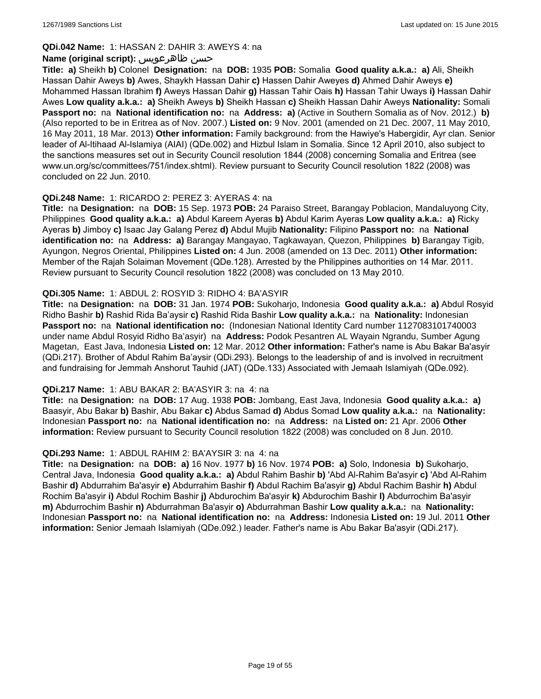### **QDi.042 Name:** 1: HASSAN 2: DAHIR 3: AWEYS 4: na

### **Name (original script):** ظاهرعويس حسن

**Title: a)** Sheikh **b)** Colonel **Designation:** na **DOB:** 1935 **POB:** Somalia **Good quality a.k.a.: a)** Ali, Sheikh Hassan Dahir Aweys **b)** Awes, Shaykh Hassan Dahir **c)** Hassen Dahir Aweyes **d)** Ahmed Dahir Aweys **e)** Mohammed Hassan Ibrahim **f)** Aweys Hassan Dahir **g)** Hassan Tahir Oais **h)** Hassan Tahir Uways **i)** Hassan Dahir Awes **Low quality a.k.a.: a)** Sheikh Aweys **b)** Sheikh Hassan **c)** Sheikh Hassan Dahir Aweys **Nationality:** Somali **Passport no:** na **National identification no:** na **Address: a)** (Active in Southern Somalia as of Nov. 2012.) **b)** (Also reported to be in Eritrea as of Nov. 2007.) **Listed on:** 9 Nov. 2001 (amended on 21 Dec. 2007, 11 May 2010, 16 May 2011, 18 Mar. 2013) **Other information:** Family background: from the Hawiye's Habergidir, Ayr clan. Senior leader of Al-Itihaad Al-Islamiya (AIAI) (QDe.002) and Hizbul Islam in Somalia. Since 12 April 2010, also subject to the sanctions measures set out in Security Council resolution 1844 (2008) concerning Somalia and Eritrea (see www.un.org/sc/committees/751/index.shtml). Review pursuant to Security Council resolution 1822 (2008) was concluded on 22 Jun. 2010.

### **QDi.248 Name:** 1: RICARDO 2: PEREZ 3: AYERAS 4: na

**Title:** na **Designation:** na **DOB:** 15 Sep. 1973 **POB:** 24 Paraiso Street, Barangay Poblacion, Mandaluyong City, Philippines **Good quality a.k.a.: a)** Abdul Kareem Ayeras **b)** Abdul Karim Ayeras **Low quality a.k.a.: a)** Ricky Ayeras **b)** Jimboy **c)** Isaac Jay Galang Perez **d)** Abdul Mujib **Nationality:** Filipino **Passport no:** na **National identification no:** na **Address: a)** Barangay Mangayao, Tagkawayan, Quezon, Philippines **b)** Barangay Tigib, Ayungon, Negros Oriental, Philippines **Listed on:** 4 Jun. 2008 (amended on 13 Dec. 2011) **Other information:** Member of the Rajah Solaiman Movement (QDe.128). Arrested by the Philippines authorities on 14 Mar. 2011. Review pursuant to Security Council resolution 1822 (2008) was concluded on 13 May 2010.

### **QDi.305 Name:** 1: ABDUL 2: ROSYID 3: RIDHO 4: BA'ASYIR

**Title:** na **Designation:** na **DOB:** 31 Jan. 1974 **POB:** Sukoharjo, Indonesia **Good quality a.k.a.: a)** Abdul Rosyid Ridho Bashir **b)** Rashid Rida Ba'aysir **c)** Rashid Rida Bashir **Low quality a.k.a.:** na **Nationality:** Indonesian **Passport no:** na **National identification no:** (Indonesian National Identity Card number 1127083101740003 under name Abdul Rosyid Ridho Ba'asyir) na **Address:** Podok Pesantren AL Wayain Ngrandu, Sumber Agung Magetan, East Java, Indonesia **Listed on:** 12 Mar. 2012 **Other information:** Father's name is Abu Bakar Ba'asyir (QDi.217). Brother of Abdul Rahim Ba'aysir (QDi.293). Belongs to the leadership of and is involved in recruitment and fundraising for Jemmah Anshorut Tauhid (JAT) (QDe.133) Associated with Jemaah Islamiyah (QDe.092).

#### **QDi.217 Name:** 1: ABU BAKAR 2: BA'ASYIR 3: na 4: na

**Title:** na **Designation:** na **DOB:** 17 Aug. 1938 **POB:** Jombang, East Java, Indonesia **Good quality a.k.a.: a)** Baasyir, Abu Bakar **b)** Bashir, Abu Bakar **c)** Abdus Samad **d)** Abdus Somad **Low quality a.k.a.:** na **Nationality:** Indonesian **Passport no:** na **National identification no:** na **Address:** na **Listed on:** 21 Apr. 2006 **Other information:** Review pursuant to Security Council resolution 1822 (2008) was concluded on 8 Jun. 2010.

### **QDi.293 Name:** 1: ABDUL RAHIM 2: BA'AYSIR 3: na 4: na

**Title:** na **Designation:** na **DOB: a)** 16 Nov. 1977 **b)** 16 Nov. 1974 **POB: a)** Solo, Indonesia **b)** Sukoharjo, Central Java, Indonesia **Good quality a.k.a.: a)** Abdul Rahim Bashir **b)** 'Abd Al-Rahim Ba'asyir **c)** 'Abd Al-Rahim Bashir **d)** Abdurrahim Ba'asyir **e)** Abdurrahim Bashir **f)** Abdul Rachim Ba'asyir **g)** Abdul Rachim Bashir **h)** Abdul Rochim Ba'asyir **i)** Abdul Rochim Bashir **j)** Abdurochim Ba'asyir **k)** Abdurochim Bashir **l)** Abdurrochim Ba'asyir **m)** Abdurrochim Bashir **n)** Abdurrahman Ba'asyir **o)** Abdurrahman Bashir **Low quality a.k.a.:** na **Nationality:** Indonesian **Passport no:** na **National identification no:** na **Address:** Indonesia **Listed on:** 19 Jul. 2011 **Other information:** Senior Jemaah Islamiyah (QDe.092.) leader. Father's name is Abu Bakar Ba'asyir (QDi.217).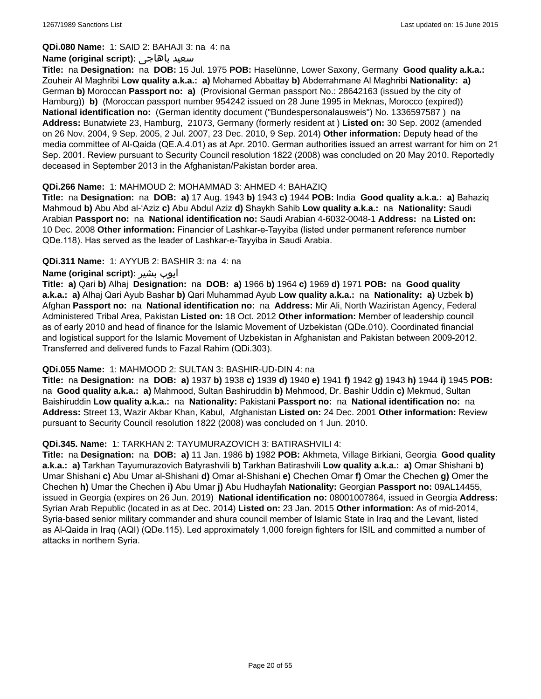**QDi.080 Name:** 1: SAID 2: BAHAJI 3: na 4: na

#### **Name (original script):** باهاجى سعيد

**Title:** na **Designation:** na **DOB:** 15 Jul. 1975 **POB:** Haselünne, Lower Saxony, Germany **Good quality a.k.a.:** Zouheir Al Maghribi **Low quality a.k.a.: a)** Mohamed Abbattay **b)** Abderrahmane Al Maghribi **Nationality: a)** German **b)** Moroccan **Passport no: a)** (Provisional German passport No.: 28642163 (issued by the city of Hamburg)) **b)** (Moroccan passport number 954242 issued on 28 June 1995 in Meknas, Morocco (expired)) **National identification no:** (German identity document ("Bundespersonalausweis") No. 1336597587 ) na **Address:** Bunatwiete 23, Hamburg, 21073, Germany (formerly resident at ) **Listed on:** 30 Sep. 2002 (amended on 26 Nov. 2004, 9 Sep. 2005, 2 Jul. 2007, 23 Dec. 2010, 9 Sep. 2014) **Other information:** Deputy head of the media committee of Al-Qaida (QE.A.4.01) as at Apr. 2010. German authorities issued an arrest warrant for him on 21 Sep. 2001. Review pursuant to Security Council resolution 1822 (2008) was concluded on 20 May 2010. Reportedly deceased in September 2013 in the Afghanistan/Pakistan border area.

### **QDi.266 Name:** 1: MAHMOUD 2: MOHAMMAD 3: AHMED 4: BAHAZIQ

**Title:** na **Designation:** na **DOB: a)** 17 Aug. 1943 **b)** 1943 **c)** 1944 **POB:** India **Good quality a.k.a.: a)** Bahaziq Mahmoud **b)** Abu Abd al-'Aziz **c)** Abu Abdul Aziz **d)** Shaykh Sahib **Low quality a.k.a.:** na **Nationality:** Saudi Arabian **Passport no:** na **National identification no:** Saudi Arabian 4-6032-0048-1 **Address:** na **Listed on:** 10 Dec. 2008 **Other information:** Financier of Lashkar-e-Tayyiba (listed under permanent reference number QDe.118). Has served as the leader of Lashkar-e-Tayyiba in Saudi Arabia.

### **QDi.311 Name:** 1: AYYUB 2: BASHIR 3: na 4: na

### **Name (original script):** بشیر ایوب

**Title: a)** Qari **b)** Alhaj **Designation:** na **DOB: a)** 1966 **b)** 1964 **c)** 1969 **d)** 1971 **POB:** na **Good quality a.k.a.: a)** Alhaj Qari Ayub Bashar **b)** Qari Muhammad Ayub **Low quality a.k.a.:** na **Nationality: a)** Uzbek **b)** Afghan **Passport no:** na **National identification no:** na **Address:** Mir Ali, North Waziristan Agency, Federal Administered Tribal Area, Pakistan **Listed on:** 18 Oct. 2012 **Other information:** Member of leadership council as of early 2010 and head of finance for the Islamic Movement of Uzbekistan (QDe.010). Coordinated financial and logistical support for the Islamic Movement of Uzbekistan in Afghanistan and Pakistan between 2009-2012. Transferred and delivered funds to Fazal Rahim (QDi.303).

#### **QDi.055 Name:** 1: MAHMOOD 2: SULTAN 3: BASHIR-UD-DIN 4: na

**Title:** na **Designation:** na **DOB: a)** 1937 **b)** 1938 **c)** 1939 **d)** 1940 **e)** 1941 **f)** 1942 **g)** 1943 **h)** 1944 **i)** 1945 **POB:**  na **Good quality a.k.a.: a)** Mahmood, Sultan Bashiruddin **b)** Mehmood, Dr. Bashir Uddin **c)** Mekmud, Sultan Baishiruddin **Low quality a.k.a.:** na **Nationality:** Pakistani **Passport no:** na **National identification no:** na **Address:** Street 13, Wazir Akbar Khan, Kabul, Afghanistan **Listed on:** 24 Dec. 2001 **Other information:** Review pursuant to Security Council resolution 1822 (2008) was concluded on 1 Jun. 2010.

#### **QDi.345. Name:** 1: TARKHAN 2: TAYUMURAZOVICH 3: BATIRASHVILI 4:

**Title:** na **Designation:** na **DOB: a)** 11 Jan. 1986 **b)** 1982 **POB:** Akhmeta, Village Birkiani, Georgia **Good quality a.k.a.: a)** Tarkhan Tayumurazovich Batyrashvili **b)** Tarkhan Batirashvili **Low quality a.k.a.: a)** Omar Shishani **b)** Umar Shishani **c)** Abu Umar al-Shishani **d)** Omar al-Shishani **e)** Chechen Omar **f)** Omar the Chechen **g)** Omer the Chechen **h)** Umar the Chechen **i)** Abu Umar **j)** Abu Hudhayfah **Nationality:** Georgian **Passport no:** 09AL14455, issued in Georgia (expires on 26 Jun. 2019) **National identification no:** 08001007864, issued in Georgia **Address:** Syrian Arab Republic (located in as at Dec. 2014) **Listed on:** 23 Jan. 2015 **Other information:** As of mid-2014, Syria-based senior military commander and shura council member of Islamic State in Iraq and the Levant, listed as Al-Qaida in Iraq (AQI) (QDe.115). Led approximately 1,000 foreign fighters for ISIL and committed a number of attacks in northern Syria.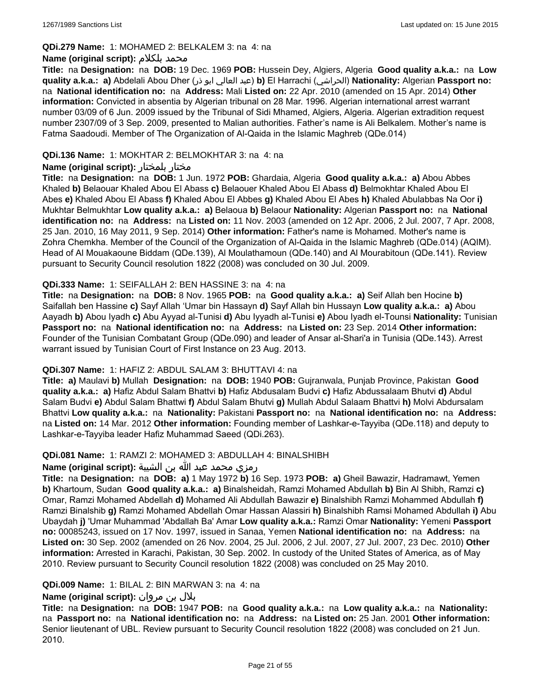#### **QDi.279 Name:** 1: MOHAMED 2: BELKALEM 3: na 4: na

#### **Name (original script):** بلكلام محمد

**Title:** na **Designation:** na **DOB:** 19 Dec. 1969 **POB:** Hussein Dey, Algiers, Algeria **Good quality a.k.a.:** na **Low quality a.k.a.: a)** Abdelali Abou Dher (ذر ابو العالي عبد(**b)** El Harrachi (الحراشي(**Nationality:** Algerian **Passport no:**  na **National identification no:** na **Address:** Mali **Listed on:** 22 Apr. 2010 (amended on 15 Apr. 2014) **Other information:** Convicted in absentia by Algerian tribunal on 28 Mar. 1996. Algerian international arrest warrant number 03/09 of 6 Jun. 2009 issued by the Tribunal of Sidi Mhamed, Algiers, Algeria. Algerian extradition request number 2307/09 of 3 Sep. 2009, presented to Malian authorities. Father's name is Ali Belkalem. Mother's name is Fatma Saadoudi. Member of The Organization of Al-Qaida in the Islamic Maghreb (QDe.014)

### **QDi.136 Name:** 1: MOKHTAR 2: BELMOKHTAR 3: na 4: na

### **Name (original script):** بلمختار مختار

**Title:** na **Designation:** na **DOB:** 1 Jun. 1972 **POB:** Ghardaia, Algeria **Good quality a.k.a.: a)** Abou Abbes Khaled **b)** Belaouar Khaled Abou El Abass **c)** Belaouer Khaled Abou El Abass **d)** Belmokhtar Khaled Abou El Abes **e)** Khaled Abou El Abass **f)** Khaled Abou El Abbes **g)** Khaled Abou El Abes **h)** Khaled Abulabbas Na Oor **i)** Mukhtar Belmukhtar **Low quality a.k.a.: a)** Belaoua **b)** Belaour **Nationality:** Algerian **Passport no:** na **National identification no:** na **Address:** na **Listed on:** 11 Nov. 2003 (amended on 12 Apr. 2006, 2 Jul. 2007, 7 Apr. 2008, 25 Jan. 2010, 16 May 2011, 9 Sep. 2014) **Other information:** Father's name is Mohamed. Mother's name is Zohra Chemkha. Member of the Council of the Organization of Al-Qaida in the Islamic Maghreb (QDe.014) (AQIM). Head of Al Mouakaoune Biddam (QDe.139), Al Moulathamoun (QDe.140) and Al Mourabitoun (QDe.141). Review pursuant to Security Council resolution 1822 (2008) was concluded on 30 Jul. 2009.

### **QDi.333 Name:** 1: SEIFALLAH 2: BEN HASSINE 3: na 4: na

**Title:** na **Designation:** na **DOB:** 8 Nov. 1965 **POB:** na **Good quality a.k.a.: a)** Seif Allah ben Hocine **b)** Saifallah ben Hassine **c)** Sayf Allah 'Umar bin Hassayn **d)** Sayf Allah bin Hussayn **Low quality a.k.a.: a)** Abou Aayadh **b)** Abou Iyadh **c)** Abu Ayyad al-Tunisi **d)** Abu Iyyadh al-Tunisi **e)** Abou Iyadh el-Tounsi **Nationality:** Tunisian **Passport no:** na **National identification no:** na **Address:** na **Listed on:** 23 Sep. 2014 **Other information:** Founder of the Tunisian Combatant Group (QDe.090) and leader of Ansar al-Shari'a in Tunisia (QDe.143). Arrest warrant issued by Tunisian Court of First Instance on 23 Aug. 2013.

#### **QDi.307 Name:** 1: HAFIZ 2: ABDUL SALAM 3: BHUTTAVI 4: na

**Title: a)** Maulavi **b)** Mullah **Designation:** na **DOB:** 1940 **POB:** Gujranwala, Punjab Province, Pakistan **Good quality a.k.a.: a)** Hafiz Abdul Salam Bhattvi **b)** Hafiz Abdusalam Budvi **c)** Hafiz Abdussalaam Bhutvi **d)** Abdul Salam Budvi **e)** Abdul Salam Bhattwi **f)** Abdul Salam Bhutvi **g)** Mullah Abdul Salaam Bhattvi **h)** Molvi Abdursalam Bhattvi **Low quality a.k.a.:** na **Nationality:** Pakistani **Passport no:** na **National identification no:** na **Address:** na **Listed on:** 14 Mar. 2012 **Other information:** Founding member of Lashkar-e-Tayyiba (QDe.118) and deputy to Lashkar-e-Tayyiba leader Hafiz Muhammad Saeed (QDi.263).

### **QDi.081 Name:** 1: RAMZI 2: MOHAMED 3: ABDULLAH 4: BINALSHIBH

#### رمزي محمد عبد الله بن الشيبة **:(script original (Name**

**Title:** na **Designation:** na **DOB: a)** 1 May 1972 **b)** 16 Sep. 1973 **POB: a)** Gheil Bawazir, Hadramawt, Yemen **b)** Khartoum, Sudan **Good quality a.k.a.: a)** Binalsheidah, Ramzi Mohamed Abdullah **b)** Bin Al Shibh, Ramzi **c)** Omar, Ramzi Mohamed Abdellah **d)** Mohamed Ali Abdullah Bawazir **e)** Binalshibh Ramzi Mohammed Abdullah **f)** Ramzi Binalshib **g)** Ramzi Mohamed Abdellah Omar Hassan Alassiri **h)** Binalshibh Ramsi Mohamed Abdullah **i)** Abu Ubaydah **j)** 'Umar Muhammad 'Abdallah Ba' Amar **Low quality a.k.a.:** Ramzi Omar **Nationality:** Yemeni **Passport no:** 00085243, issued on 17 Nov. 1997, issued in Sanaa, Yemen **National identification no:** na **Address:** na **Listed on:** 30 Sep. 2002 (amended on 26 Nov. 2004, 25 Jul. 2006, 2 Jul. 2007, 27 Jul. 2007, 23 Dec. 2010) **Other information:** Arrested in Karachi, Pakistan, 30 Sep. 2002. In custody of the United States of America, as of May 2010. Review pursuant to Security Council resolution 1822 (2008) was concluded on 25 May 2010.

#### **QDi.009 Name:** 1: BILAL 2: BIN MARWAN 3: na 4: na

### بلال بن مروان **:(script original (Name**

**Title:** na **Designation:** na **DOB:** 1947 **POB:** na **Good quality a.k.a.:** na **Low quality a.k.a.:** na **Nationality:**  na **Passport no:** na **National identification no:** na **Address:** na **Listed on:** 25 Jan. 2001 **Other information:** Senior lieutenant of UBL. Review pursuant to Security Council resolution 1822 (2008) was concluded on 21 Jun. 2010.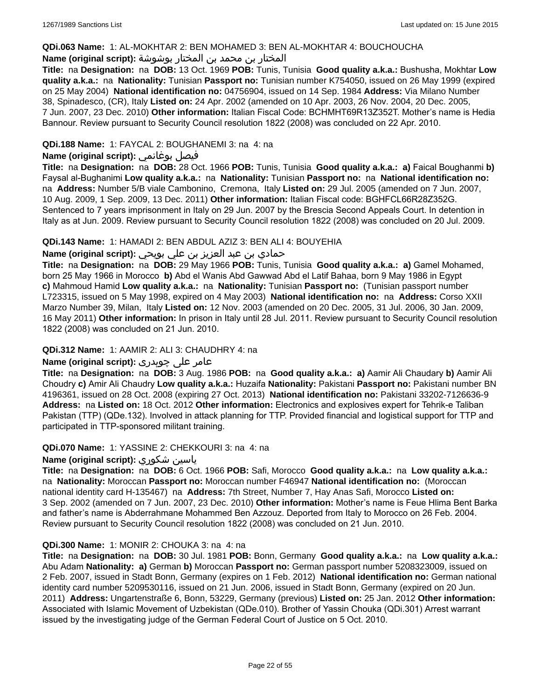#### **QDi.063 Name:** 1: AL-MOKHTAR 2: BEN MOHAMED 3: BEN AL-MOKHTAR 4: BOUCHOUCHA

### المختار بن محمد بن المختار بوشوشة **:(script original (Name**

**Title:** na **Designation:** na **DOB:** 13 Oct. 1969 **POB:** Tunis, Tunisia **Good quality a.k.a.:** Bushusha, Mokhtar **Low quality a.k.a.:** na **Nationality:** Tunisian **Passport no:** Tunisian number K754050, issued on 26 May 1999 (expired on 25 May 2004) **National identification no:** 04756904, issued on 14 Sep. 1984 **Address:** Via Milano Number 38, Spinadesco, (CR), Italy **Listed on:** 24 Apr. 2002 (amended on 10 Apr. 2003, 26 Nov. 2004, 20 Dec. 2005, 7 Jun. 2007, 23 Dec. 2010) **Other information:** Italian Fiscal Code: BCHMHT69R13Z352T. Mother's name is Hedia Bannour. Review pursuant to Security Council resolution 1822 (2008) was concluded on 22 Apr. 2010.

### **QDi.188 Name:** 1: FAYCAL 2: BOUGHANEMI 3: na 4: na

# **Name (original script):** بوغانمي فيصل

**Title:** na **Designation:** na **DOB:** 28 Oct. 1966 **POB:** Tunis, Tunisia **Good quality a.k.a.: a)** Faical Boughanmi **b)** Faysal al-Bughanimi **Low quality a.k.a.:** na **Nationality:** Tunisian **Passport no:** na **National identification no:**  na **Address:** Number 5/B viale Cambonino, Cremona, Italy **Listed on:** 29 Jul. 2005 (amended on 7 Jun. 2007, 10 Aug. 2009, 1 Sep. 2009, 13 Dec. 2011) **Other information:** Italian Fiscal code: BGHFCL66R28Z352G. Sentenced to 7 years imprisonment in Italy on 29 Jun. 2007 by the Brescia Second Appeals Court. In detention in Italy as at Jun. 2009. Review pursuant to Security Council resolution 1822 (2008) was concluded on 20 Jul. 2009.

#### **QDi.143 Name:** 1: HAMADI 2: BEN ABDUL AZIZ 3: BEN ALI 4: BOUYEHIA

# حمادي بن عبد العزيز بن علي بويحي **:(script original (Name**

**Title:** na **Designation:** na **DOB:** 29 May 1966 **POB:** Tunis, Tunisia **Good quality a.k.a.: a)** Gamel Mohamed, born 25 May 1966 in Morocco **b)** Abd el Wanis Abd Gawwad Abd el Latif Bahaa, born 9 May 1986 in Egypt **c)** Mahmoud Hamid **Low quality a.k.a.:** na **Nationality:** Tunisian **Passport no:** (Tunisian passport number L723315, issued on 5 May 1998, expired on 4 May 2003) **National identification no:** na **Address:** Corso XXII Marzo Number 39, Milan, Italy **Listed on:** 12 Nov. 2003 (amended on 20 Dec. 2005, 31 Jul. 2006, 30 Jan. 2009, 16 May 2011) **Other information:** In prison in Italy until 28 Jul. 2011. Review pursuant to Security Council resolution 1822 (2008) was concluded on 21 Jun. 2010.

#### **QDi.312 Name:** 1: AAMIR 2: ALI 3: CHAUDHRY 4: na

### عامر علی چوہدری **:(script original (Name**

**Title:** na **Designation:** na **DOB:** 3 Aug. 1986 **POB:** na **Good quality a.k.a.: a)** Aamir Ali Chaudary **b)** Aamir Ali Choudry **c)** Amir Ali Chaudry **Low quality a.k.a.:** Huzaifa **Nationality:** Pakistani **Passport no:** Pakistani number BN 4196361, issued on 28 Oct. 2008 (expiring 27 Oct. 2013) **National identification no:** Pakistani 33202-7126636-9 **Address:** na **Listed on:** 18 Oct. 2012 **Other information:** Electronics and explosives expert for Tehrik-e Taliban Pakistan (TTP) (QDe.132). Involved in attack planning for TTP. Provided financial and logistical support for TTP and participated in TTP-sponsored militant training.

#### **QDi.070 Name:** 1: YASSINE 2: CHEKKOURI 3: na 4: na

#### **Name (original script):** شكوري ياسين

**Title:** na **Designation:** na **DOB:** 6 Oct. 1966 **POB:** Safi, Morocco **Good quality a.k.a.:** na **Low quality a.k.a.:**  na **Nationality:** Moroccan **Passport no:** Moroccan number F46947 **National identification no:** (Moroccan national identity card H-135467) na **Address:** 7th Street, Number 7, Hay Anas Safi, Morocco **Listed on:** 3 Sep. 2002 (amended on 7 Jun. 2007, 23 Dec. 2010) **Other information:** Mother's name is Feue Hlima Bent Barka and father's name is Abderrahmane Mohammed Ben Azzouz. Deported from Italy to Morocco on 26 Feb. 2004. Review pursuant to Security Council resolution 1822 (2008) was concluded on 21 Jun. 2010.

#### **QDi.300 Name:** 1: MONIR 2: CHOUKA 3: na 4: na

**Title:** na **Designation:** na **DOB:** 30 Jul. 1981 **POB:** Bonn, Germany **Good quality a.k.a.:** na **Low quality a.k.a.:** Abu Adam **Nationality: a)** German **b)** Moroccan **Passport no:** German passport number 5208323009, issued on 2 Feb. 2007, issued in Stadt Bonn, Germany (expires on 1 Feb. 2012) **National identification no:** German national identity card number 5209530116, issued on 21 Jun. 2006, issued in Stadt Bonn, Germany (expired on 20 Jun. 2011) **Address:** Ungartenstraße 6, Bonn, 53229, Germany (previous) **Listed on:** 25 Jan. 2012 **Other information:** Associated with Islamic Movement of Uzbekistan (QDe.010). Brother of Yassin Chouka (QDi.301) Arrest warrant issued by the investigating judge of the German Federal Court of Justice on 5 Oct. 2010.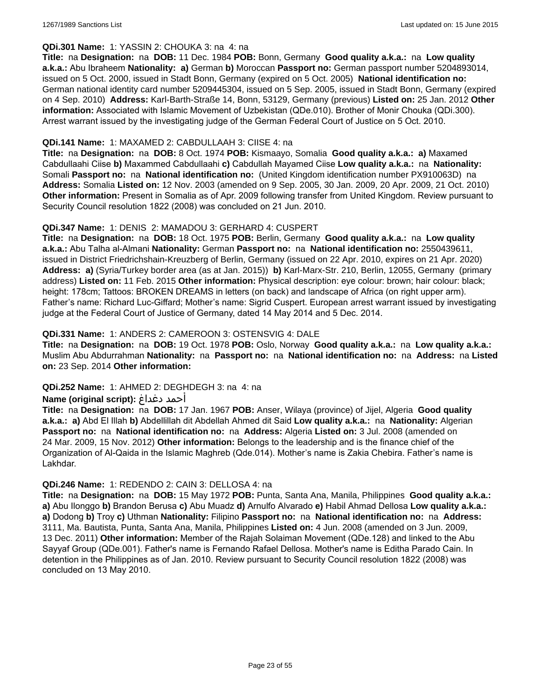#### **QDi.301 Name:** 1: YASSIN 2: CHOUKA 3: na 4: na

**Title:** na **Designation:** na **DOB:** 11 Dec. 1984 **POB:** Bonn, Germany **Good quality a.k.a.:** na **Low quality a.k.a.:** Abu Ibraheem **Nationality: a)** German **b)** Moroccan **Passport no:** German passport number 5204893014, issued on 5 Oct. 2000, issued in Stadt Bonn, Germany (expired on 5 Oct. 2005) **National identification no:** German national identity card number 5209445304, issued on 5 Sep. 2005, issued in Stadt Bonn, Germany (expired on 4 Sep. 2010) **Address:** Karl-Barth-Straße 14, Bonn, 53129, Germany (previous) **Listed on:** 25 Jan. 2012 **Other information:** Associated with Islamic Movement of Uzbekistan (QDe.010). Brother of Monir Chouka (QDi.300). Arrest warrant issued by the investigating judge of the German Federal Court of Justice on 5 Oct. 2010.

#### **QDi.141 Name:** 1: MAXAMED 2: CABDULLAAH 3: CIISE 4: na

**Title:** na **Designation:** na **DOB:** 8 Oct. 1974 **POB:** Kismaayo, Somalia **Good quality a.k.a.: a)** Maxamed Cabdullaahi Ciise **b)** Maxammed Cabdullaahi **c)** Cabdullah Mayamed Ciise **Low quality a.k.a.:** na **Nationality:** Somali **Passport no:** na **National identification no:** (United Kingdom identification number PX910063D) na **Address:** Somalia **Listed on:** 12 Nov. 2003 (amended on 9 Sep. 2005, 30 Jan. 2009, 20 Apr. 2009, 21 Oct. 2010) **Other information:** Present in Somalia as of Apr. 2009 following transfer from United Kingdom. Review pursuant to Security Council resolution 1822 (2008) was concluded on 21 Jun. 2010.

#### **QDi.347 Name:** 1: DENIS 2: MAMADOU 3: GERHARD 4: CUSPERT

**Title:** na **Designation:** na **DOB:** 18 Oct. 1975 **POB:** Berlin, Germany **Good quality a.k.a.:** na **Low quality a.k.a.:** Abu Talha al-Almani **Nationality:** German **Passport no:** na **National identification no:** 2550439611, issued in District Friedrichshain-Kreuzberg of Berlin, Germany (issued on 22 Apr. 2010, expires on 21 Apr. 2020) **Address: a)** (Syria/Turkey border area (as at Jan. 2015)) **b)** Karl-Marx-Str. 210, Berlin, 12055, Germany (primary address) **Listed on:** 11 Feb. 2015 **Other information:** Physical description: eye colour: brown; hair colour: black; height: 178cm; Tattoos: BROKEN DREAMS in letters (on back) and landscape of Africa (on right upper arm). Father's name: Richard Luc-Giffard; Mother's name: Sigrid Cuspert. European arrest warrant issued by investigating judge at the Federal Court of Justice of Germany, dated 14 May 2014 and 5 Dec. 2014.

#### **QDi.331 Name:** 1: ANDERS 2: CAMEROON 3: OSTENSVIG 4: DALE

**Title:** na **Designation:** na **DOB:** 19 Oct. 1978 **POB:** Oslo, Norway **Good quality a.k.a.:** na **Low quality a.k.a.:** Muslim Abu Abdurrahman **Nationality:** na **Passport no:** na **National identification no:** na **Address:** na **Listed on:** 23 Sep. 2014 **Other information:**

#### **QDi.252 Name:** 1: AHMED 2: DEGHDEGH 3: na 4: na

#### **Name (original script):** دغداغ أحمد

**Title:** na **Designation:** na **DOB:** 17 Jan. 1967 **POB:** Anser, Wilaya (province) of Jijel, Algeria **Good quality a.k.a.: a)** Abd El Illah **b)** Abdellillah dit Abdellah Ahmed dit Said **Low quality a.k.a.:** na **Nationality:** Algerian **Passport no:** na **National identification no:** na **Address:** Algeria **Listed on:** 3 Jul. 2008 (amended on 24 Mar. 2009, 15 Nov. 2012) **Other information:** Belongs to the leadership and is the finance chief of the Organization of Al-Qaida in the Islamic Maghreb (Qde.014). Mother's name is Zakia Chebira. Father's name is Lakhdar.

#### **QDi.246 Name:** 1: REDENDO 2: CAIN 3: DELLOSA 4: na

**Title:** na **Designation:** na **DOB:** 15 May 1972 **POB:** Punta, Santa Ana, Manila, Philippines **Good quality a.k.a.: a)** Abu Ilonggo **b)** Brandon Berusa **c)** Abu Muadz **d)** Arnulfo Alvarado **e)** Habil Ahmad Dellosa **Low quality a.k.a.: a)** Dodong **b)** Troy **c)** Uthman **Nationality:** Filipino **Passport no:** na **National identification no:** na **Address:** 3111, Ma. Bautista, Punta, Santa Ana, Manila, Philippines **Listed on:** 4 Jun. 2008 (amended on 3 Jun. 2009, 13 Dec. 2011) **Other information:** Member of the Rajah Solaiman Movement (QDe.128) and linked to the Abu Sayyaf Group (QDe.001). Father's name is Fernando Rafael Dellosa. Mother's name is Editha Parado Cain. In detention in the Philippines as of Jan. 2010. Review pursuant to Security Council resolution 1822 (2008) was concluded on 13 May 2010.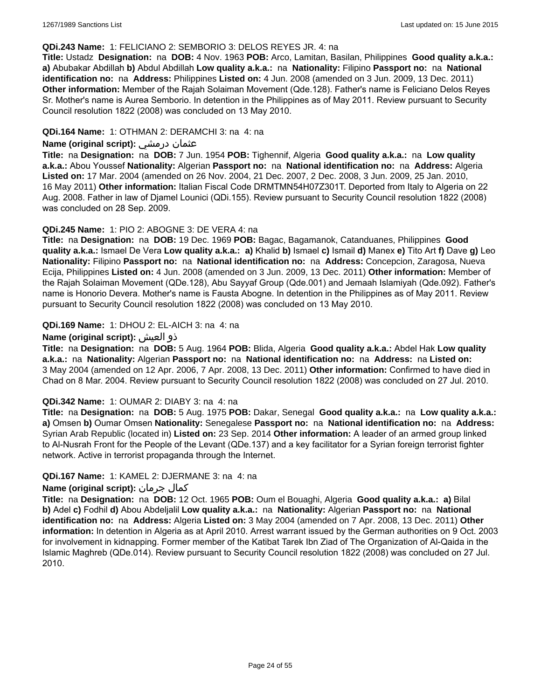#### **QDi.243 Name:** 1: FELICIANO 2: SEMBORIO 3: DELOS REYES JR. 4: na

**Title:** Ustadz **Designation:** na **DOB:** 4 Nov. 1963 **POB:** Arco, Lamitan, Basilan, Philippines **Good quality a.k.a.: a)** Abubakar Abdillah **b)** Abdul Abdillah **Low quality a.k.a.:** na **Nationality:** Filipino **Passport no:** na **National identification no:** na **Address:** Philippines **Listed on:** 4 Jun. 2008 (amended on 3 Jun. 2009, 13 Dec. 2011) **Other information:** Member of the Rajah Solaiman Movement (Qde.128). Father's name is Feliciano Delos Reyes Sr. Mother's name is Aurea Semborio. In detention in the Philippines as of May 2011. Review pursuant to Security Council resolution 1822 (2008) was concluded on 13 May 2010.

#### **QDi.164 Name:** 1: OTHMAN 2: DERAMCHI 3: na 4: na

#### **Name (original script):** درمشي عثمان

**Title:** na **Designation:** na **DOB:** 7 Jun. 1954 **POB:** Tighennif, Algeria **Good quality a.k.a.:** na **Low quality a.k.a.:** Abou Youssef **Nationality:** Algerian **Passport no:** na **National identification no:** na **Address:** Algeria **Listed on:** 17 Mar. 2004 (amended on 26 Nov. 2004, 21 Dec. 2007, 2 Dec. 2008, 3 Jun. 2009, 25 Jan. 2010, 16 May 2011) **Other information:** Italian Fiscal Code DRMTMN54H07Z301T. Deported from Italy to Algeria on 22 Aug. 2008. Father in law of Djamel Lounici (QDi.155). Review pursuant to Security Council resolution 1822 (2008) was concluded on 28 Sep. 2009.

#### **QDi.245 Name:** 1: PIO 2: ABOGNE 3: DE VERA 4: na

**Title:** na **Designation:** na **DOB:** 19 Dec. 1969 **POB:** Bagac, Bagamanok, Catanduanes, Philippines **Good quality a.k.a.:** Ismael De Vera **Low quality a.k.a.: a)** Khalid **b)** Ismael **c)** Ismail **d)** Manex **e)** Tito Art **f)** Dave **g)** Leo **Nationality:** Filipino **Passport no:** na **National identification no:** na **Address:** Concepcion, Zaragosa, Nueva Ecija, Philippines **Listed on:** 4 Jun. 2008 (amended on 3 Jun. 2009, 13 Dec. 2011) **Other information:** Member of the Rajah Solaiman Movement (QDe.128), Abu Sayyaf Group (Qde.001) and Jemaah Islamiyah (Qde.092). Father's name is Honorio Devera. Mother's name is Fausta Abogne. In detention in the Philippines as of May 2011. Review pursuant to Security Council resolution 1822 (2008) was concluded on 13 May 2010.

### **QDi.169 Name:** 1: DHOU 2: EL-AICH 3: na 4: na

### **Name (original script):** العيش ذو

**Title:** na **Designation:** na **DOB:** 5 Aug. 1964 **POB:** Blida, Algeria **Good quality a.k.a.:** Abdel Hak **Low quality a.k.a.:** na **Nationality:** Algerian **Passport no:** na **National identification no:** na **Address:** na **Listed on:** 3 May 2004 (amended on 12 Apr. 2006, 7 Apr. 2008, 13 Dec. 2011) **Other information:** Confirmed to have died in Chad on 8 Mar. 2004. Review pursuant to Security Council resolution 1822 (2008) was concluded on 27 Jul. 2010.

#### **QDi.342 Name:** 1: OUMAR 2: DIABY 3: na 4: na

**Title:** na **Designation:** na **DOB:** 5 Aug. 1975 **POB:** Dakar, Senegal **Good quality a.k.a.:** na **Low quality a.k.a.: a)** Omsen **b)** Oumar Omsen **Nationality:** Senegalese **Passport no:** na **National identification no:** na **Address:** Syrian Arab Republic (located in) **Listed on:** 23 Sep. 2014 **Other information:** A leader of an armed group linked to Al-Nusrah Front for the People of the Levant (QDe.137) and a key facilitator for a Syrian foreign terrorist fighter network. Active in terrorist propaganda through the Internet.

#### **QDi.167 Name:** 1: KAMEL 2: DJERMANE 3: na 4: na

### **Name (original script):** جرمان كمال

**Title:** na **Designation:** na **DOB:** 12 Oct. 1965 **POB:** Oum el Bouaghi, Algeria **Good quality a.k.a.: a)** Bilal **b)** Adel **c)** Fodhil **d)** Abou Abdeljalil **Low quality a.k.a.:** na **Nationality:** Algerian **Passport no:** na **National identification no:** na **Address:** Algeria **Listed on:** 3 May 2004 (amended on 7 Apr. 2008, 13 Dec. 2011) **Other information:** In detention in Algeria as at April 2010. Arrest warrant issued by the German authorities on 9 Oct. 2003 for involvement in kidnapping. Former member of the Katibat Tarek Ibn Ziad of The Organization of Al-Qaida in the Islamic Maghreb (QDe.014). Review pursuant to Security Council resolution 1822 (2008) was concluded on 27 Jul. 2010.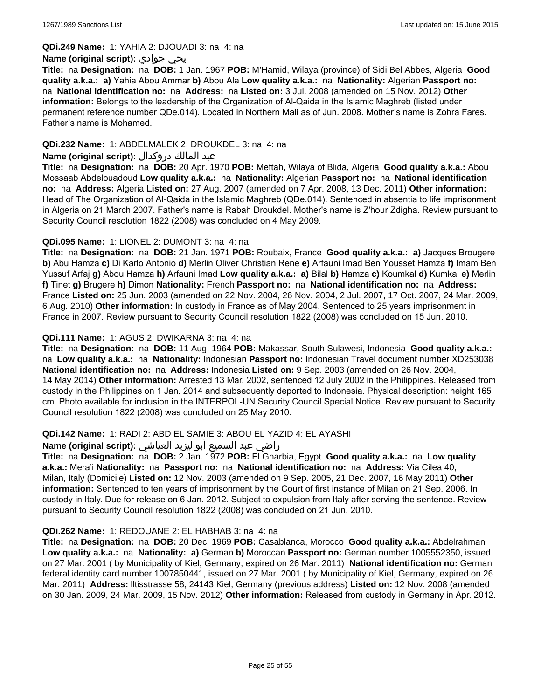**QDi.249 Name:** 1: YAHIA 2: DJOUADI 3: na 4: na

#### **Name (original script):** جوادي يحي

**Title:** na **Designation:** na **DOB:** 1 Jan. 1967 **POB:** M'Hamid, Wilaya (province) of Sidi Bel Abbes, Algeria **Good quality a.k.a.: a)** Yahia Abou Ammar **b)** Abou Ala **Low quality a.k.a.:** na **Nationality:** Algerian **Passport no:**  na **National identification no:** na **Address:** na **Listed on:** 3 Jul. 2008 (amended on 15 Nov. 2012) **Other information:** Belongs to the leadership of the Organization of Al-Qaida in the Islamic Maghreb (listed under permanent reference number QDe.014). Located in Northern Mali as of Jun. 2008. Mother's name is Zohra Fares. Father's name is Mohamed.

### **QDi.232 Name:** 1: ABDELMALEK 2: DROUKDEL 3: na 4: na

### عبد المالك دروكدال **:(script original (Name**

**Title:** na **Designation:** na **DOB:** 20 Apr. 1970 **POB:** Meftah, Wilaya of Blida, Algeria **Good quality a.k.a.:** Abou Mossaab Abdelouadoud **Low quality a.k.a.:** na **Nationality:** Algerian **Passport no:** na **National identification no:** na **Address:** Algeria **Listed on:** 27 Aug. 2007 (amended on 7 Apr. 2008, 13 Dec. 2011) **Other information:** Head of The Organization of Al-Qaida in the Islamic Maghreb (QDe.014). Sentenced in absentia to life imprisonment in Algeria on 21 March 2007. Father's name is Rabah Droukdel. Mother's name is Z'hour Zdigha. Review pursuant to Security Council resolution 1822 (2008) was concluded on 4 May 2009.

### **QDi.095 Name:** 1: LIONEL 2: DUMONT 3: na 4: na

**Title:** na **Designation:** na **DOB:** 21 Jan. 1971 **POB:** Roubaix, France **Good quality a.k.a.: a)** Jacques Brougere **b)** Abu Hamza **c)** Di Karlo Antonio **d)** Merlin Oliver Christian Rene **e)** Arfauni Imad Ben Yousset Hamza **f)** Imam Ben Yussuf Arfaj **g)** Abou Hamza **h)** Arfauni Imad **Low quality a.k.a.: a)** Bilal **b)** Hamza **c)** Koumkal **d)** Kumkal **e)** Merlin **f)** Tinet **g)** Brugere **h)** Dimon **Nationality:** French **Passport no:** na **National identification no:** na **Address:** France **Listed on:** 25 Jun. 2003 (amended on 22 Nov. 2004, 26 Nov. 2004, 2 Jul. 2007, 17 Oct. 2007, 24 Mar. 2009, 6 Aug. 2010) **Other information:** In custody in France as of May 2004. Sentenced to 25 years imprisonment in France in 2007. Review pursuant to Security Council resolution 1822 (2008) was concluded on 15 Jun. 2010.

### **QDi.111 Name:** 1: AGUS 2: DWIKARNA 3: na 4: na

**Title:** na **Designation:** na **DOB:** 11 Aug. 1964 **POB:** Makassar, South Sulawesi, Indonesia **Good quality a.k.a.:**  na **Low quality a.k.a.:** na **Nationality:** Indonesian **Passport no:** Indonesian Travel document number XD253038 **National identification no:** na **Address:** Indonesia **Listed on:** 9 Sep. 2003 (amended on 26 Nov. 2004, 14 May 2014) **Other information:** Arrested 13 Mar. 2002, sentenced 12 July 2002 in the Philippines. Released from custody in the Philippines on 1 Jan. 2014 and subsequently deported to Indonesia. Physical description: height 165 cm. Photo available for inclusion in the INTERPOL-UN Security Council Special Notice. Review pursuant to Security Council resolution 1822 (2008) was concluded on 25 May 2010.

#### **QDi.142 Name:** 1: RADI 2: ABD EL SAMIE 3: ABOU EL YAZID 4: EL AYASHI

#### راضي عبد السميع أبواليزيد العياشي **:(script original (Name**

**Title:** na **Designation:** na **DOB:** 2 Jan. 1972 **POB:** El Gharbia, Egypt **Good quality a.k.a.:** na **Low quality a.k.a.:** Mera'i **Nationality:** na **Passport no:** na **National identification no:** na **Address:** Via Cilea 40, Milan, Italy (Domicile) **Listed on:** 12 Nov. 2003 (amended on 9 Sep. 2005, 21 Dec. 2007, 16 May 2011) **Other information:** Sentenced to ten years of imprisonment by the Court of first instance of Milan on 21 Sep. 2006. In custody in Italy. Due for release on 6 Jan. 2012. Subject to expulsion from Italy after serving the sentence. Review pursuant to Security Council resolution 1822 (2008) was concluded on 21 Jun. 2010.

#### **QDi.262 Name:** 1: REDOUANE 2: EL HABHAB 3: na 4: na

**Title:** na **Designation:** na **DOB:** 20 Dec. 1969 **POB:** Casablanca, Morocco **Good quality a.k.a.:** Abdelrahman **Low quality a.k.a.:** na **Nationality: a)** German **b)** Moroccan **Passport no:** German number 1005552350, issued on 27 Mar. 2001 ( by Municipality of Kiel, Germany, expired on 26 Mar. 2011) **National identification no:** German federal identity card number 1007850441, issued on 27 Mar. 2001 ( by Municipality of Kiel, Germany, expired on 26 Mar. 2011) **Address:** lltisstrasse 58, 24143 Kiel, Germany (previous address) **Listed on:** 12 Nov. 2008 (amended on 30 Jan. 2009, 24 Mar. 2009, 15 Nov. 2012) **Other information:** Released from custody in Germany in Apr. 2012.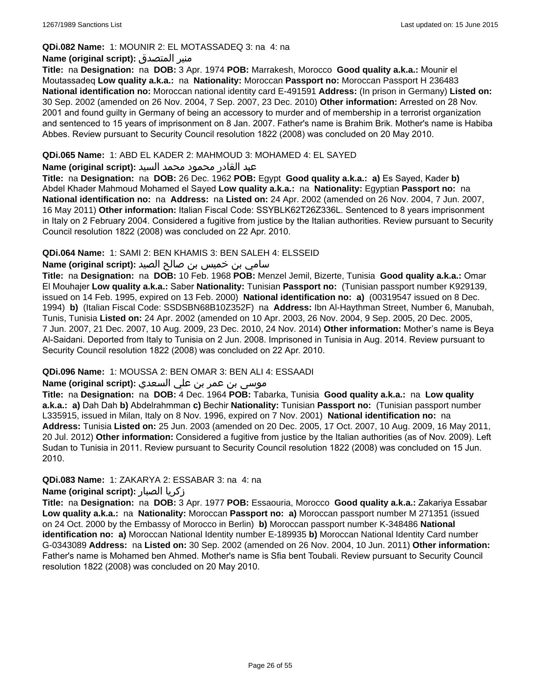### **QDi.082 Name:** 1: MOUNIR 2: EL MOTASSADEQ 3: na 4: na

### **Name (original script):** المتصدق منير

**Title:** na **Designation:** na **DOB:** 3 Apr. 1974 **POB:** Marrakesh, Morocco **Good quality a.k.a.:** Mounir el Moutassadeq **Low quality a.k.a.:** na **Nationality:** Moroccan **Passport no:** Moroccan Passport H 236483 **National identification no:** Moroccan national identity card E-491591 **Address:** (In prison in Germany) **Listed on:** 30 Sep. 2002 (amended on 26 Nov. 2004, 7 Sep. 2007, 23 Dec. 2010) **Other information:** Arrested on 28 Nov. 2001 and found guilty in Germany of being an accessory to murder and of membership in a terrorist organization and sentenced to 15 years of imprisonment on 8 Jan. 2007. Father's name is Brahim Brik. Mother's name is Habiba Abbes. Review pursuant to Security Council resolution 1822 (2008) was concluded on 20 May 2010.

### **QDi.065 Name:** 1: ABD EL KADER 2: MAHMOUD 3: MOHAMED 4: EL SAYED

### عبد القادر محمود محمد السيد **:(script original (Name**

**Title:** na **Designation:** na **DOB:** 26 Dec. 1962 **POB:** Egypt **Good quality a.k.a.: a)** Es Sayed, Kader **b)** Abdel Khader Mahmoud Mohamed el Sayed **Low quality a.k.a.:** na **Nationality:** Egyptian **Passport no:** na **National identification no:** na **Address:** na **Listed on:** 24 Apr. 2002 (amended on 26 Nov. 2004, 7 Jun. 2007, 16 May 2011) **Other information:** Italian Fiscal Code: SSYBLK62T26Z336L. Sentenced to 8 years imprisonment in Italy on 2 February 2004. Considered a fugitive from justice by the Italian authorities. Review pursuant to Security Council resolution 1822 (2008) was concluded on 22 Apr. 2010.

### **QDi.064 Name:** 1: SAMI 2: BEN KHAMIS 3: BEN SALEH 4: ELSSEID

# سامي بن خميس بن صالح الصيد **:Name (original script**)

**Title:** na **Designation:** na **DOB:** 10 Feb. 1968 **POB:** Menzel Jemil, Bizerte, Tunisia **Good quality a.k.a.:** Omar El Mouhajer **Low quality a.k.a.:** Saber **Nationality:** Tunisian **Passport no:** (Tunisian passport number K929139, issued on 14 Feb. 1995, expired on 13 Feb. 2000) **National identification no: a)** (00319547 issued on 8 Dec. 1994) **b)** (Italian Fiscal Code: SSDSBN68B10Z352F) na **Address:** Ibn Al-Haythman Street, Number 6, Manubah, Tunis, Tunisia **Listed on:** 24 Apr. 2002 (amended on 10 Apr. 2003, 26 Nov. 2004, 9 Sep. 2005, 20 Dec. 2005, 7 Jun. 2007, 21 Dec. 2007, 10 Aug. 2009, 23 Dec. 2010, 24 Nov. 2014) **Other information:** Mother's name is Beya Al-Saidani. Deported from Italy to Tunisia on 2 Jun. 2008. Imprisoned in Tunisia in Aug. 2014. Review pursuant to Security Council resolution 1822 (2008) was concluded on 22 Apr. 2010.

### **QDi.096 Name:** 1: MOUSSA 2: BEN OMAR 3: BEN ALI 4: ESSAADI

# موسى بن عمر بن علي السعدي **:Name (original script**)

**Title:** na **Designation:** na **DOB:** 4 Dec. 1964 **POB:** Tabarka, Tunisia **Good quality a.k.a.:** na **Low quality a.k.a.: a)** Dah Dah **b)** Abdelrahmman **c)** Bechir **Nationality:** Tunisian **Passport no:** (Tunisian passport number L335915, issued in Milan, Italy on 8 Nov. 1996, expired on 7 Nov. 2001) **National identification no:** na **Address:** Tunisia **Listed on:** 25 Jun. 2003 (amended on 20 Dec. 2005, 17 Oct. 2007, 10 Aug. 2009, 16 May 2011, 20 Jul. 2012) **Other information:** Considered a fugitive from justice by the Italian authorities (as of Nov. 2009). Left Sudan to Tunisia in 2011. Review pursuant to Security Council resolution 1822 (2008) was concluded on 15 Jun. 2010.

### **QDi.083 Name:** 1: ZAKARYA 2: ESSABAR 3: na 4: na

### **Name (original script):** الصبار زكريا

**Title:** na **Designation:** na **DOB:** 3 Apr. 1977 **POB:** Essaouria, Morocco **Good quality a.k.a.:** Zakariya Essabar **Low quality a.k.a.:** na **Nationality:** Moroccan **Passport no: a)** Moroccan passport number M 271351 (issued on 24 Oct. 2000 by the Embassy of Morocco in Berlin) **b)** Moroccan passport number K-348486 **National identification no: a)** Moroccan National Identity number E-189935 **b)** Moroccan National Identity Card number G-0343089 **Address:** na **Listed on:** 30 Sep. 2002 (amended on 26 Nov. 2004, 10 Jun. 2011) **Other information:** Father's name is Mohamed ben Ahmed. Mother's name is Sfia bent Toubali. Review pursuant to Security Council resolution 1822 (2008) was concluded on 20 May 2010.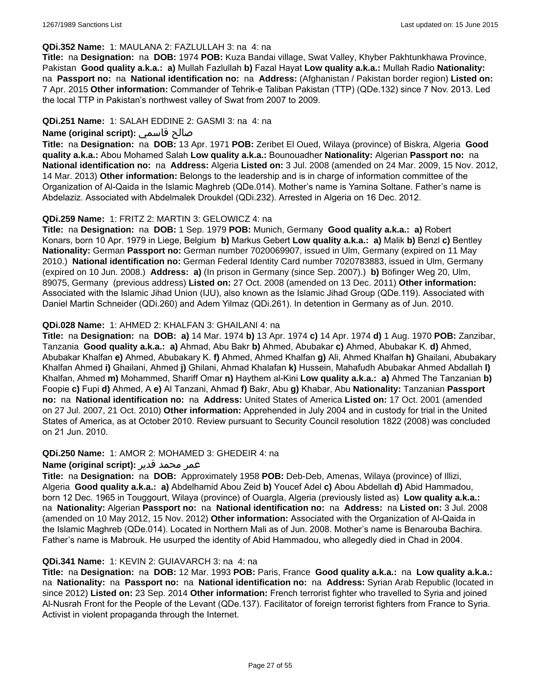#### **QDi.352 Name:** 1: MAULANA 2: FAZLULLAH 3: na 4: na

**Title:** na **Designation:** na **DOB:** 1974 **POB:** Kuza Bandai village, Swat Valley, Khyber Pakhtunkhawa Province, Pakistan **Good quality a.k.a.: a)** Mullah Fazlullah **b)** Fazal Hayat **Low quality a.k.a.:** Mullah Radio **Nationality:**  na **Passport no:** na **National identification no:** na **Address:** (Afghanistan / Pakistan border region) **Listed on:** 7 Apr. 2015 **Other information:** Commander of Tehrik-e Taliban Pakistan (TTP) (QDe.132) since 7 Nov. 2013. Led the local TTP in Pakistan's northwest valley of Swat from 2007 to 2009.

#### **QDi.251 Name:** 1: SALAH EDDINE 2: GASMI 3: na 4: na

### **Name (original script):** قاسمي صالح

**Title:** na **Designation:** na **DOB:** 13 Apr. 1971 **POB:** Zeribet El Oued, Wilaya (province) of Biskra, Algeria **Good quality a.k.a.:** Abou Mohamed Salah **Low quality a.k.a.:** Bounouadher **Nationality:** Algerian **Passport no:** na **National identification no:** na **Address:** Algeria **Listed on:** 3 Jul. 2008 (amended on 24 Mar. 2009, 15 Nov. 2012, 14 Mar. 2013) **Other information:** Belongs to the leadership and is in charge of information committee of the Organization of Al-Qaida in the Islamic Maghreb (QDe.014). Mother's name is Yamina Soltane. Father's name is Abdelaziz. Associated with Abdelmalek Droukdel (QDi.232). Arrested in Algeria on 16 Dec. 2012.

### **QDi.259 Name:** 1: FRITZ 2: MARTIN 3: GELOWICZ 4: na

**Title:** na **Designation:** na **DOB:** 1 Sep. 1979 **POB:** Munich, Germany **Good quality a.k.a.: a)** Robert Konars, born 10 Apr. 1979 in Liege, Belgium **b)** Markus Gebert **Low quality a.k.a.: a)** Malik **b)** Benzl **c)** Bentley **Nationality:** German **Passport no:** German number 7020069907, issued in Ulm, Germany (expired on 11 May 2010.) **National identification no:** German Federal Identity Card number 7020783883, issued in Ulm, Germany (expired on 10 Jun. 2008.) **Address: a)** (In prison in Germany (since Sep. 2007).) **b)** Böfinger Weg 20, Ulm, 89075, Germany (previous address) **Listed on:** 27 Oct. 2008 (amended on 13 Dec. 2011) **Other information:** Associated with the Islamic Jihad Union (IJU), also known as the Islamic Jihad Group (QDe.119). Associated with Daniel Martin Schneider (QDi.260) and Adem Yilmaz (QDi.261). In detention in Germany as of Jun. 2010.

### **QDi.028 Name:** 1: AHMED 2: KHALFAN 3: GHAILANI 4: na

**Title:** na **Designation:** na **DOB: a)** 14 Mar. 1974 **b)** 13 Apr. 1974 **c)** 14 Apr. 1974 **d)** 1 Aug. 1970 **POB:** Zanzibar, Tanzania **Good quality a.k.a.: a)** Ahmad, Abu Bakr **b)** Ahmed, Abubakar **c)** Ahmed, Abubakar K. **d)** Ahmed, Abubakar Khalfan **e)** Ahmed, Abubakary K. **f)** Ahmed, Ahmed Khalfan **g)** Ali, Ahmed Khalfan **h)** Ghailani, Abubakary Khalfan Ahmed **i)** Ghailani, Ahmed **j)** Ghilani, Ahmad Khalafan **k)** Hussein, Mahafudh Abubakar Ahmed Abdallah **l)** Khalfan, Ahmed **m)** Mohammed, Shariff Omar **n)** Haythem al-Kini **Low quality a.k.a.: a)** Ahmed The Tanzanian **b)** Foopie **c)** Fupi **d)** Ahmed, A **e)** Al Tanzani, Ahmad **f)** Bakr, Abu **g)** Khabar, Abu **Nationality:** Tanzanian **Passport no:** na **National identification no:** na **Address:** United States of America **Listed on:** 17 Oct. 2001 (amended on 27 Jul. 2007, 21 Oct. 2010) **Other information:** Apprehended in July 2004 and in custody for trial in the United States of America, as at October 2010. Review pursuant to Security Council resolution 1822 (2008) was concluded on 21 Jun. 2010.

#### **QDi.250 Name:** 1: AMOR 2: MOHAMED 3: GHEDEIR 4: na

#### عمر محمد قدير **:(script original (Name**

**Title:** na **Designation:** na **DOB:** Approximately 1958 **POB:** Deb-Deb, Amenas, Wilaya (province) of Illizi, Algeria **Good quality a.k.a.: a)** Abdelhamid Abou Zeid **b)** Youcef Adel **c)** Abou Abdellah **d)** Abid Hammadou, born 12 Dec. 1965 in Touggourt, Wilaya (province) of Ouargla, Algeria (previously listed as) **Low quality a.k.a.:**  na **Nationality:** Algerian **Passport no:** na **National identification no:** na **Address:** na **Listed on:** 3 Jul. 2008 (amended on 10 May 2012, 15 Nov. 2012) **Other information:** Associated with the Organization of Al-Qaida in the Islamic Maghreb (QDe.014). Located in Northern Mali as of Jun. 2008. Mother's name is Benarouba Bachira. Father's name is Mabrouk. He usurped the identity of Abid Hammadou, who allegedly died in Chad in 2004.

#### **QDi.341 Name:** 1: KEVIN 2: GUIAVARCH 3: na 4: na

**Title:** na **Designation:** na **DOB:** 12 Mar. 1993 **POB:** Paris, France **Good quality a.k.a.:** na **Low quality a.k.a.:**  na **Nationality:** na **Passport no:** na **National identification no:** na **Address:** Syrian Arab Republic (located in since 2012) **Listed on:** 23 Sep. 2014 **Other information:** French terrorist fighter who travelled to Syria and joined Al-Nusrah Front for the People of the Levant (QDe.137). Facilitator of foreign terrorist fighters from France to Syria. Activist in violent propaganda through the Internet.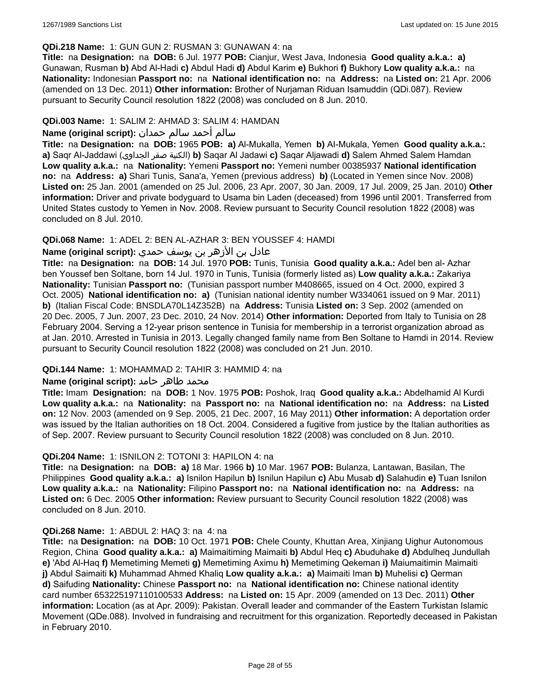#### **QDi.218 Name:** 1: GUN GUN 2: RUSMAN 3: GUNAWAN 4: na

**Title:** na **Designation:** na **DOB:** 6 Jul. 1977 **POB:** Cianjur, West Java, Indonesia **Good quality a.k.a.: a)** Gunawan, Rusman **b)** Abd Al-Hadi **c)** Abdul Hadi **d)** Abdul Karim **e)** Bukhori **f)** Bukhory **Low quality a.k.a.:** na **Nationality:** Indonesian **Passport no:** na **National identification no:** na **Address:** na **Listed on:** 21 Apr. 2006 (amended on 13 Dec. 2011) **Other information:** Brother of Nurjaman Riduan Isamuddin (QDi.087). Review pursuant to Security Council resolution 1822 (2008) was concluded on 8 Jun. 2010.

#### **QDi.003 Name:** 1: SALIM 2: AHMAD 3: SALIM 4: HAMDAN

### سالم أحمد سالم حمدان **:(script original (Name**

**Title:** na **Designation:** na **DOB:** 1965 **POB: a)** Al-Mukalla, Yemen **b)** AI-Mukala, Yemen **Good quality a.k.a.: a)** Saqr Al-Jaddawi (الجداوي صقر الكنية(**b)** Saqar Al Jadawi **c)** Saqar Aljawadi **d)** Salem Ahmed Salem Hamdan **Low quality a.k.a.:** na **Nationality:** Yemeni **Passport no:** Yemeni number 00385937 **National identification no:** na **Address: a)** Shari Tunis, Sana'a, Yemen (previous address) **b)** (Located in Yemen since Nov. 2008) **Listed on:** 25 Jan. 2001 (amended on 25 Jul. 2006, 23 Apr. 2007, 30 Jan. 2009, 17 Jul. 2009, 25 Jan. 2010) **Other information:** Driver and private bodyguard to Usama bin Laden (deceased) from 1996 until 2001. Transferred from United States custody to Yemen in Nov. 2008. Review pursuant to Security Council resolution 1822 (2008) was concluded on 8 Jul. 2010.

### **QDi.068 Name:** 1: ADEL 2: BEN AL-AZHAR 3: BEN YOUSSEF 4: HAMDI

# عادل بن الأزهر بن يوسف حمدي **:(script original (Name**

**Title:** na **Designation:** na **DOB:** 14 Jul. 1970 **POB:** Tunis, Tunisia **Good quality a.k.a.:** Adel ben al- Azhar ben Youssef ben Soltane, born 14 Jul. 1970 in Tunis, Tunisia (formerly listed as) **Low quality a.k.a.:** Zakariya **Nationality:** Tunisian **Passport no:** (Tunisian passport number M408665, issued on 4 Oct. 2000, expired 3 Oct. 2005) **National identification no: a)** (Tunisian national identity number W334061 issued on 9 Mar. 2011) **b)** (Italian Fiscal Code: BNSDLA70L14Z352B) na **Address:** Tunisia **Listed on:** 3 Sep. 2002 (amended on 20 Dec. 2005, 7 Jun. 2007, 23 Dec. 2010, 24 Nov. 2014) **Other information:** Deported from Italy to Tunisia on 28 February 2004. Serving a 12-year prison sentence in Tunisia for membership in a terrorist organization abroad as at Jan. 2010. Arrested in Tunisia in 2013. Legally changed family name from Ben Soltane to Hamdi in 2014. Review pursuant to Security Council resolution 1822 (2008) was concluded on 21 Jun. 2010.

#### **QDi.144 Name:** 1: MOHAMMAD 2: TAHIR 3: HAMMID 4: na

#### **محمد طاهر حامد :(Name (original script**

**Title:** Imam **Designation:** na **DOB:** 1 Nov. 1975 **POB:** Poshok, Iraq **Good quality a.k.a.:** Abdelhamid Al Kurdi **Low quality a.k.a.:** na **Nationality:** na **Passport no:** na **National identification no:** na **Address:** na **Listed on:** 12 Nov. 2003 (amended on 9 Sep. 2005, 21 Dec. 2007, 16 May 2011) **Other information:** A deportation order was issued by the Italian authorities on 18 Oct. 2004. Considered a fugitive from justice by the Italian authorities as of Sep. 2007. Review pursuant to Security Council resolution 1822 (2008) was concluded on 8 Jun. 2010.

#### **QDi.204 Name:** 1: ISNILON 2: TOTONI 3: HAPILON 4: na

**Title:** na **Designation:** na **DOB: a)** 18 Mar. 1966 **b)** 10 Mar. 1967 **POB:** Bulanza, Lantawan, Basilan, The Philippines **Good quality a.k.a.: a)** Isnilon Hapilun **b)** Isnilun Hapilun **c)** Abu Musab **d)** Salahudin **e)** Tuan Isnilon **Low quality a.k.a.:** na **Nationality:** Filipino **Passport no:** na **National identification no:** na **Address:** na **Listed on:** 6 Dec. 2005 **Other information:** Review pursuant to Security Council resolution 1822 (2008) was concluded on 8 Jun. 2010.

#### **QDi.268 Name:** 1: ABDUL 2: HAQ 3: na 4: na

**Title:** na **Designation:** na **DOB:** 10 Oct. 1971 **POB:** Chele County, Khuttan Area, Xinjiang Uighur Autonomous Region, China **Good quality a.k.a.: a)** Maimaitiming Maimaiti **b)** Abdul Heq **c)** Abuduhake **d)** Abdulheq Jundullah **e)** 'Abd Al-Haq **f)** Memetiming Memeti **g)** Memetiming Aximu **h)** Memetiming Qekeman **i)** Maiumaitimin Maimaiti **j)** Abdul Saimaiti **k)** Muhammad Ahmed Khaliq **Low quality a.k.a.: a)** Maimaiti Iman **b)** Muhelisi **c)** Qerman **d)** Saifuding **Nationality:** Chinese **Passport no:** na **National identification no:** Chinese national identity card number 653225197110100533 **Address:** na **Listed on:** 15 Apr. 2009 (amended on 13 Dec. 2011) **Other information:** Location (as at Apr. 2009): Pakistan. Overall leader and commander of the Eastern Turkistan Islamic Movement (QDe.088). Involved in fundraising and recruitment for this organization. Reportedly deceased in Pakistan in February 2010.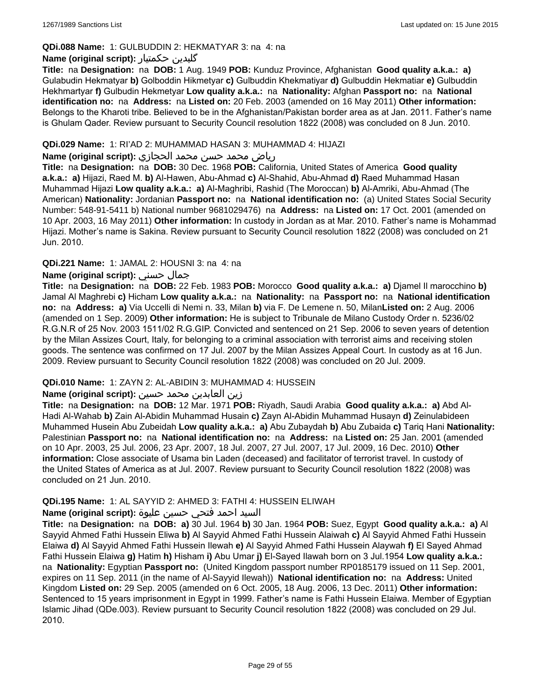### **QDi.088 Name:** 1: GULBUDDIN 2: HEKMATYAR 3: na 4: na

### **Name (original script):** حکمتیار گلبدین

**Title:** na **Designation:** na **DOB:** 1 Aug. 1949 **POB:** Kunduz Province, Afghanistan **Good quality a.k.a.: a)** Gulabudin Hekmatyar **b)** Golboddin Hikmetyar **c)** Gulbuddin Khekmatiyar **d)** Gulbuddin Hekmatiar **e)** Gulbuddin Hekhmartyar **f)** Gulbudin Hekmetyar **Low quality a.k.a.:** na **Nationality:** Afghan **Passport no:** na **National identification no:** na **Address:** na **Listed on:** 20 Feb. 2003 (amended on 16 May 2011) **Other information:** Belongs to the Kharoti tribe. Believed to be in the Afghanistan/Pakistan border area as at Jan. 2011. Father's name is Ghulam Qader. Review pursuant to Security Council resolution 1822 (2008) was concluded on 8 Jun. 2010.

#### **QDi.029 Name:** 1: RI'AD 2: MUHAMMAD HASAN 3: MUHAMMAD 4: HIJAZI

#### رياض محمد حسن محمد الحجازي **:(script original (Name**

**Title:** na **Designation:** na **DOB:** 30 Dec. 1968 **POB:** California, United States of America **Good quality a.k.a.: a)** Hijazi, Raed M. **b)** Al-Hawen, Abu-Ahmad **c)** Al-Shahid, Abu-Ahmad **d)** Raed Muhammad Hasan Muhammad Hijazi **Low quality a.k.a.: a)** Al-Maghribi, Rashid (The Moroccan) **b)** Al-Amriki, Abu-Ahmad (The American) **Nationality:** Jordanian **Passport no:** na **National identification no:** (a) United States Social Security Number: 548-91-5411 b) National number 9681029476) na **Address:** na **Listed on:** 17 Oct. 2001 (amended on 10 Apr. 2003, 16 May 2011) **Other information:** In custody in Jordan as at Mar. 2010. Father's name is Mohammad Hijazi. Mother's name is Sakina. Review pursuant to Security Council resolution 1822 (2008) was concluded on 21 Jun. 2010.

### **QDi.221 Name:** 1: JAMAL 2: HOUSNI 3: na 4: na

### **Name (original script):** حسني جمال

**Title:** na **Designation:** na **DOB:** 22 Feb. 1983 **POB:** Morocco **Good quality a.k.a.: a)** Djamel Il marocchino **b)** Jamal Al Maghrebi **c)** Hicham **Low quality a.k.a.:** na **Nationality:** na **Passport no:** na **National identification no:** na **Address: a)** Via Uccelli di Nemi n. 33, Milan **b)** via F. De Lemene n. 50, Milan**Listed on:** 2 Aug. 2006 (amended on 1 Sep. 2009) **Other information:** He is subject to Tribunale de Milano Custody Order n. 5236/02 R.G.N.R of 25 Nov. 2003 1511/02 R.G.GIP. Convicted and sentenced on 21 Sep. 2006 to seven years of detention by the Milan Assizes Court, Italy, for belonging to a criminal association with terrorist aims and receiving stolen goods. The sentence was confirmed on 17 Jul. 2007 by the Milan Assizes Appeal Court. In custody as at 16 Jun. 2009. Review pursuant to Security Council resolution 1822 (2008) was concluded on 20 Jul. 2009.

#### **QDi.010 Name:** 1: ZAYN 2: AL-ABIDIN 3: MUHAMMAD 4: HUSSEIN

#### زين العابدين محمد حسين **:(script original (Name**

**Title:** na **Designation:** na **DOB:** 12 Mar. 1971 **POB:** Riyadh, Saudi Arabia **Good quality a.k.a.: a)** Abd Al-Hadi Al-Wahab **b)** Zain Al-Abidin Muhammad Husain **c)** Zayn Al-Abidin Muhammad Husayn **d)** Zeinulabideen Muhammed Husein Abu Zubeidah **Low quality a.k.a.: a)** Abu Zubaydah **b)** Abu Zubaida **c)** Tariq Hani **Nationality:** Palestinian **Passport no:** na **National identification no:** na **Address:** na **Listed on:** 25 Jan. 2001 (amended on 10 Apr. 2003, 25 Jul. 2006, 23 Apr. 2007, 18 Jul. 2007, 27 Jul. 2007, 17 Jul. 2009, 16 Dec. 2010) **Other information:** Close associate of Usama bin Laden (deceased) and facilitator of terrorist travel. In custody of the United States of America as at Jul. 2007. Review pursuant to Security Council resolution 1822 (2008) was concluded on 21 Jun. 2010.

#### **QDi.195 Name:** 1: AL SAYYID 2: AHMED 3: FATHI 4: HUSSEIN ELIWAH

### السيد احمد فتحي حسين عليوة **:(script original (Name**

**Title:** na **Designation:** na **DOB: a)** 30 Jul. 1964 **b)** 30 Jan. 1964 **POB:** Suez, Egypt **Good quality a.k.a.: a)** Al Sayyid Ahmed Fathi Hussein Eliwa **b)** Al Sayyid Ahmed Fathi Hussein Alaiwah **c)** Al Sayyid Ahmed Fathi Hussein Elaiwa **d)** Al Sayyid Ahmed Fathi Hussein Ilewah **e)** Al Sayyid Ahmed Fathi Hussein Alaywah **f)** El Sayed Ahmad Fathi Hussein Elaiwa **g)** Hatim **h)** Hisham **i)** Abu Umar **j)** El-Sayed Ilawah born on 3 Jul.1954 **Low quality a.k.a.:**  na **Nationality:** Egyptian **Passport no:** (United Kingdom passport number RP0185179 issued on 11 Sep. 2001, expires on 11 Sep. 2011 (in the name of Al-Sayyid Ilewah)) **National identification no:** na **Address:** United Kingdom **Listed on:** 29 Sep. 2005 (amended on 6 Oct. 2005, 18 Aug. 2006, 13 Dec. 2011) **Other information:** Sentenced to 15 years imprisonment in Egypt in 1999. Father's name is Fathi Hussein Elaiwa. Member of Egyptian Islamic Jihad (QDe.003). Review pursuant to Security Council resolution 1822 (2008) was concluded on 29 Jul. 2010.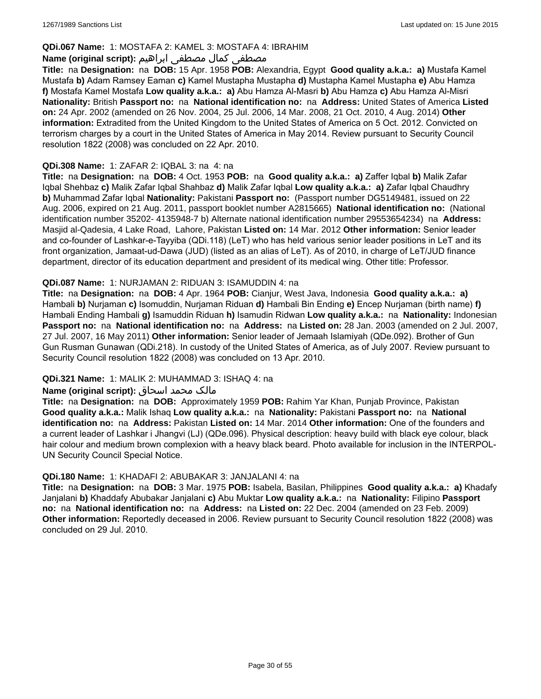### **QDi.067 Name:** 1: MOSTAFA 2: KAMEL 3: MOSTAFA 4: IBRAHIM

### مصطفى كمال مصطفى ابراهيم **:Name (original script**)

**Title:** na **Designation:** na **DOB:** 15 Apr. 1958 **POB:** Alexandria, Egypt **Good quality a.k.a.: a)** Mustafa Kamel Mustafa **b)** Adam Ramsey Eaman **c)** Kamel Mustapha Mustapha **d)** Mustapha Kamel Mustapha **e)** Abu Hamza **f)** Mostafa Kamel Mostafa **Low quality a.k.a.: a)** Abu Hamza Al-Masri **b)** Abu Hamza **c)** Abu Hamza Al-Misri **Nationality:** British **Passport no:** na **National identification no:** na **Address:** United States of America **Listed on:** 24 Apr. 2002 (amended on 26 Nov. 2004, 25 Jul. 2006, 14 Mar. 2008, 21 Oct. 2010, 4 Aug. 2014) **Other information:** Extradited from the United Kingdom to the United States of America on 5 Oct. 2012. Convicted on terrorism charges by a court in the United States of America in May 2014. Review pursuant to Security Council resolution 1822 (2008) was concluded on 22 Apr. 2010.

### **QDi.308 Name:** 1: ZAFAR 2: IQBAL 3: na 4: na

**Title:** na **Designation:** na **DOB:** 4 Oct. 1953 **POB:** na **Good quality a.k.a.: a)** Zaffer Iqbal **b)** Malik Zafar Iqbal Shehbaz **c)** Malik Zafar Iqbal Shahbaz **d)** Malik Zafar Iqbal **Low quality a.k.a.: a)** Zafar Iqbal Chaudhry **b)** Muhammad Zafar Iqbal **Nationality:** Pakistani **Passport no:** (Passport number DG5149481, issued on 22 Aug. 2006, expired on 21 Aug. 2011, passport booklet number A2815665) **National identification no:** (National identification number 35202- 4135948-7 b) Alternate national identification number 29553654234) na **Address:** Masjid al-Qadesia, 4 Lake Road, Lahore, Pakistan **Listed on:** 14 Mar. 2012 **Other information:** Senior leader and co-founder of Lashkar-e-Tayyiba (QDi.118) (LeT) who has held various senior leader positions in LeT and its front organization, Jamaat-ud-Dawa (JUD) (listed as an alias of LeT). As of 2010, in charge of LeT/JUD finance department, director of its education department and president of its medical wing. Other title: Professor.

### **QDi.087 Name:** 1: NURJAMAN 2: RIDUAN 3: ISAMUDDIN 4: na

**Title:** na **Designation:** na **DOB:** 4 Apr. 1964 **POB:** Cianjur, West Java, Indonesia **Good quality a.k.a.: a)** Hambali **b)** Nurjaman **c)** Isomuddin, Nurjaman Riduan **d)** Hambali Bin Ending **e)** Encep Nurjaman (birth name) **f)** Hambali Ending Hambali **g)** Isamuddin Riduan **h)** Isamudin Ridwan **Low quality a.k.a.:** na **Nationality:** Indonesian **Passport no:** na **National identification no:** na **Address:** na **Listed on:** 28 Jan. 2003 (amended on 2 Jul. 2007, 27 Jul. 2007, 16 May 2011) **Other information:** Senior leader of Jemaah Islamiyah (QDe.092). Brother of Gun Gun Rusman Gunawan (QDi.218). In custody of the United States of America, as of July 2007. Review pursuant to Security Council resolution 1822 (2008) was concluded on 13 Apr. 2010.

### **QDi.321 Name:** 1: MALIK 2: MUHAMMAD 3: ISHAQ 4: na

#### مالک محمد اسحاق : Name (original script)

**Title:** na **Designation:** na **DOB:** Approximately 1959 **POB:** Rahim Yar Khan, Punjab Province, Pakistan **Good quality a.k.a.:** Malik Ishaq **Low quality a.k.a.:** na **Nationality:** Pakistani **Passport no:** na **National identification no:** na **Address:** Pakistan **Listed on:** 14 Mar. 2014 **Other information:** One of the founders and a current leader of Lashkar i Jhangvi (LJ) (QDe.096). Physical description: heavy build with black eye colour, black hair colour and medium brown complexion with a heavy black beard. Photo available for inclusion in the INTERPOL-UN Security Council Special Notice.

#### **QDi.180 Name:** 1: KHADAFI 2: ABUBAKAR 3: JANJALANI 4: na

**Title:** na **Designation:** na **DOB:** 3 Mar. 1975 **POB:** Isabela, Basilan, Philippines **Good quality a.k.a.: a)** Khadafy Janjalani **b)** Khaddafy Abubakar Janjalani **c)** Abu Muktar **Low quality a.k.a.:** na **Nationality:** Filipino **Passport no:** na **National identification no:** na **Address:** na **Listed on:** 22 Dec. 2004 (amended on 23 Feb. 2009) **Other information:** Reportedly deceased in 2006. Review pursuant to Security Council resolution 1822 (2008) was concluded on 29 Jul. 2010.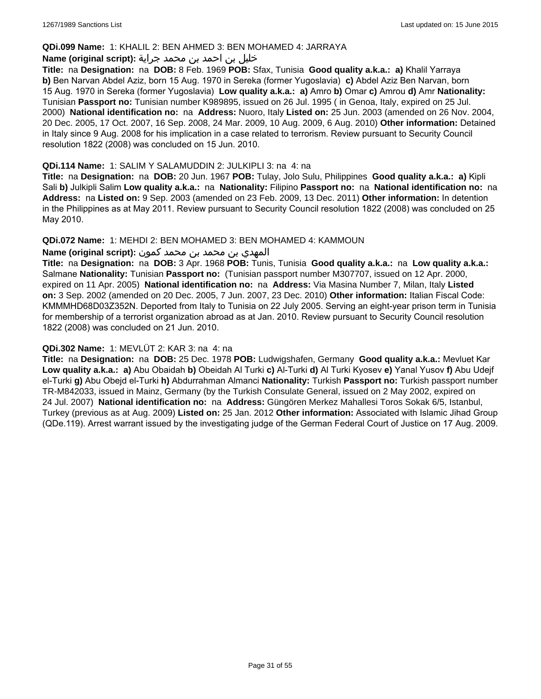#### **QDi.099 Name:** 1: KHALIL 2: BEN AHMED 3: BEN MOHAMED 4: JARRAYA

#### خليل بن احمد بن محمد جراية **:(script original (Name**

**Title:** na **Designation:** na **DOB:** 8 Feb. 1969 **POB:** Sfax, Tunisia **Good quality a.k.a.: a)** Khalil Yarraya **b)** Ben Narvan Abdel Aziz, born 15 Aug. 1970 in Sereka (former Yugoslavia) **c)** Abdel Aziz Ben Narvan, born 15 Aug. 1970 in Sereka (former Yugoslavia) **Low quality a.k.a.: a)** Amro **b)** Omar **c)** Amrou **d)** Amr **Nationality:** Tunisian **Passport no:** Tunisian number K989895, issued on 26 Jul. 1995 ( in Genoa, Italy, expired on 25 Jul. 2000) **National identification no:** na **Address:** Nuoro, Italy **Listed on:** 25 Jun. 2003 (amended on 26 Nov. 2004, 20 Dec. 2005, 17 Oct. 2007, 16 Sep. 2008, 24 Mar. 2009, 10 Aug. 2009, 6 Aug. 2010) **Other information:** Detained in Italy since 9 Aug. 2008 for his implication in a case related to terrorism. Review pursuant to Security Council resolution 1822 (2008) was concluded on 15 Jun. 2010.

#### **QDi.114 Name:** 1: SALIM Y SALAMUDDIN 2: JULKIPLI 3: na 4: na

**Title:** na **Designation:** na **DOB:** 20 Jun. 1967 **POB:** Tulay, Jolo Sulu, Philippines **Good quality a.k.a.: a)** Kipli Sali **b)** Julkipli Salim **Low quality a.k.a.:** na **Nationality:** Filipino **Passport no:** na **National identification no:** na **Address:** na **Listed on:** 9 Sep. 2003 (amended on 23 Feb. 2009, 13 Dec. 2011) **Other information:** In detention in the Philippines as at May 2011. Review pursuant to Security Council resolution 1822 (2008) was concluded on 25 May 2010.

### **QDi.072 Name:** 1: MEHDI 2: BEN MOHAMED 3: BEN MOHAMED 4: KAMMOUN

### المهدي بن محمد بن محمد كمون **:(script original (Name**

**Title:** na **Designation:** na **DOB:** 3 Apr. 1968 **POB:** Tunis, Tunisia **Good quality a.k.a.:** na **Low quality a.k.a.:** Salmane **Nationality:** Tunisian **Passport no:** (Tunisian passport number M307707, issued on 12 Apr. 2000, expired on 11 Apr. 2005) **National identification no:** na **Address:** Via Masina Number 7, Milan, Italy **Listed on:** 3 Sep. 2002 (amended on 20 Dec. 2005, 7 Jun. 2007, 23 Dec. 2010) **Other information:** Italian Fiscal Code: KMMMHD68D03Z352N. Deported from Italy to Tunisia on 22 July 2005. Serving an eight-year prison term in Tunisia for membership of a terrorist organization abroad as at Jan. 2010. Review pursuant to Security Council resolution 1822 (2008) was concluded on 21 Jun. 2010.

#### **QDi.302 Name:** 1: MEVLÜT 2: KAR 3: na 4: na

**Title:** na **Designation:** na **DOB:** 25 Dec. 1978 **POB:** Ludwigshafen, Germany **Good quality a.k.a.:** Mevluet Kar **Low quality a.k.a.: a)** Abu Obaidah **b)** Obeidah Al Turki **c)** Al-Turki **d)** Al Turki Kyosev **e)** Yanal Yusov **f)** Abu Udejf el-Turki **g)** Abu Obejd el-Turki **h)** Abdurrahman Almanci **Nationality:** Turkish **Passport no:** Turkish passport number TR-M842033, issued in Mainz, Germany (by the Turkish Consulate General, issued on 2 May 2002, expired on 24 Jul. 2007) **National identification no:** na **Address:** Güngören Merkez Mahallesi Toros Sokak 6/5, Istanbul, Turkey (previous as at Aug. 2009) **Listed on:** 25 Jan. 2012 **Other information:** Associated with Islamic Jihad Group (QDe.119). Arrest warrant issued by the investigating judge of the German Federal Court of Justice on 17 Aug. 2009.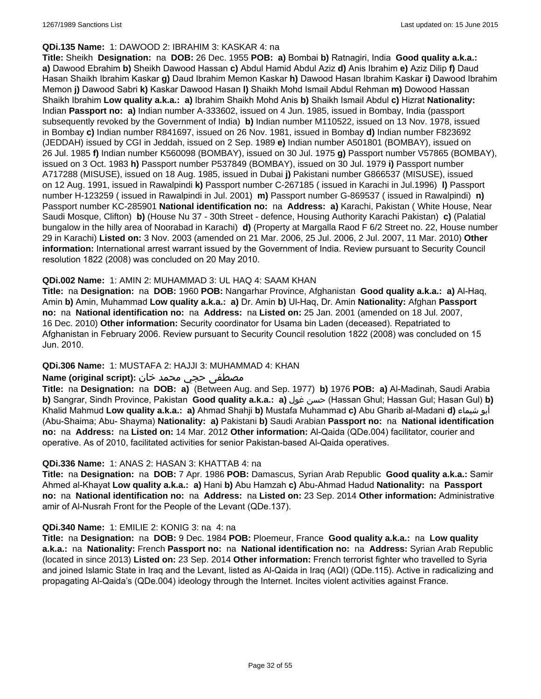#### **QDi.135 Name:** 1: DAWOOD 2: IBRAHIM 3: KASKAR 4: na

**Title:** Sheikh **Designation:** na **DOB:** 26 Dec. 1955 **POB: a)** Bombai **b)** Ratnagiri, India **Good quality a.k.a.: a)** Dawood Ebrahim **b)** Sheikh Dawood Hassan **c)** Abdul Hamid Abdul Aziz **d)** Anis Ibrahim **e)** Aziz Dilip **f)** Daud Hasan Shaikh Ibrahim Kaskar **g)** Daud Ibrahim Memon Kaskar **h)** Dawood Hasan Ibrahim Kaskar **i)** Dawood Ibrahim Memon **j)** Dawood Sabri **k)** Kaskar Dawood Hasan **l)** Shaikh Mohd Ismail Abdul Rehman **m)** Dowood Hassan Shaikh Ibrahim **Low quality a.k.a.: a)** Ibrahim Shaikh Mohd Anis **b)** Shaikh Ismail Abdul **c)** Hizrat **Nationality:** Indian **Passport no: a)** Indian number A-333602, issued on 4 Jun. 1985, issued in Bombay, India (passport subsequently revoked by the Government of India) **b)** Indian number M110522, issued on 13 Nov. 1978, issued in Bombay **c)** Indian number R841697, issued on 26 Nov. 1981, issued in Bombay **d)** Indian number F823692 (JEDDAH) issued by CGI in Jeddah, issued on 2 Sep. 1989 **e)** Indian number A501801 (BOMBAY), issued on 26 Jul. 1985 **f)** Indian number K560098 (BOMBAY), issued on 30 Jul. 1975 **g)** Passport number V57865 (BOMBAY), issued on 3 Oct. 1983 **h)** Passport number P537849 (BOMBAY), issued on 30 Jul. 1979 **i)** Passport number A717288 (MISUSE), issued on 18 Aug. 1985, issued in Dubai **j)** Pakistani number G866537 (MISUSE), issued on 12 Aug. 1991, issued in Rawalpindi **k)** Passport number C-267185 ( issued in Karachi in Jul.1996) **l)** Passport number H-123259 ( issued in Rawalpindi in Jul. 2001) **m)** Passport number G-869537 ( issued in Rawalpindi) **n)** Passport number KC-285901 **National identification no:** na **Address: a)** Karachi, Pakistan ( White House, Near Saudi Mosque, Clifton) **b)** (House Nu 37 - 30th Street - defence, Housing Authority Karachi Pakistan) **c)** (Palatial bungalow in the hilly area of Noorabad in Karachi) **d)** (Property at Margalla Raod F 6/2 Street no. 22, House number 29 in Karachi) **Listed on:** 3 Nov. 2003 (amended on 21 Mar. 2006, 25 Jul. 2006, 2 Jul. 2007, 11 Mar. 2010) **Other information:** International arrest warrant issued by the Government of India. Review pursuant to Security Council resolution 1822 (2008) was concluded on 20 May 2010.

#### **QDi.002 Name:** 1: AMIN 2: MUHAMMAD 3: UL HAQ 4: SAAM KHAN

**Title:** na **Designation:** na **DOB:** 1960 **POB:** Nangarhar Province, Afghanistan **Good quality a.k.a.: a)** Al-Haq, Amin **b)** Amin, Muhammad **Low quality a.k.a.: a)** Dr. Amin **b)** Ul-Haq, Dr. Amin **Nationality:** Afghan **Passport no:** na **National identification no:** na **Address:** na **Listed on:** 25 Jan. 2001 (amended on 18 Jul. 2007, 16 Dec. 2010) **Other information:** Security coordinator for Usama bin Laden (deceased). Repatriated to Afghanistan in February 2006. Review pursuant to Security Council resolution 1822 (2008) was concluded on 15 Jun. 2010.

#### **QDi.306 Name:** 1: MUSTAFA 2: HAJJI 3: MUHAMMAD 4: KHAN

### مصطفى حجي محمد خان **:Name (original script)**

**Title:** na **Designation:** na **DOB: a)** (Between Aug. and Sep. 1977) **b)** 1976 **POB: a)** Al-Madinah, Saudi Arabia **b)** Sangrar, Sindh Province, Pakistan **Good quality a.k.a.: a)** غول حسن) Hassan Ghul; Hassan Gul; Hasan Gul) **b)** Khalid Mahmud **Low quality a.k.a.: a)** Ahmad Shahji **b)** Mustafa Muhammad **c)** Abu Gharib al-Madani **d)** شيماء أبو (Abu-Shaima; Abu- Shayma) **Nationality: a)** Pakistani **b)** Saudi Arabian **Passport no:** na **National identification no:** na **Address:** na **Listed on:** 14 Mar. 2012 **Other information:** Al-Qaida (QDe.004) facilitator, courier and operative. As of 2010, facilitated activities for senior Pakistan-based Al-Qaida operatives.

#### **QDi.336 Name:** 1: ANAS 2: HASAN 3: KHATTAB 4: na

**Title:** na **Designation:** na **DOB:** 7 Apr. 1986 **POB:** Damascus, Syrian Arab Republic **Good quality a.k.a.:** Samir Ahmed al-Khayat **Low quality a.k.a.: a)** Hani **b)** Abu Hamzah **c)** Abu-Ahmad Hadud **Nationality:** na **Passport no:** na **National identification no:** na **Address:** na **Listed on:** 23 Sep. 2014 **Other information:** Administrative amir of Al-Nusrah Front for the People of the Levant (QDe.137).

#### **QDi.340 Name:** 1: EMILIE 2: KONIG 3: na 4: na

**Title:** na **Designation:** na **DOB:** 9 Dec. 1984 **POB:** Ploemeur, France **Good quality a.k.a.:** na **Low quality a.k.a.:** na **Nationality:** French **Passport no:** na **National identification no:** na **Address:** Syrian Arab Republic (located in since 2013) **Listed on:** 23 Sep. 2014 **Other information:** French terrorist fighter who travelled to Syria and joined Islamic State in Iraq and the Levant, listed as Al-Qaida in Iraq (AQI) (QDe.115). Active in radicalizing and propagating Al-Qaida's (QDe.004) ideology through the Internet. Incites violent activities against France.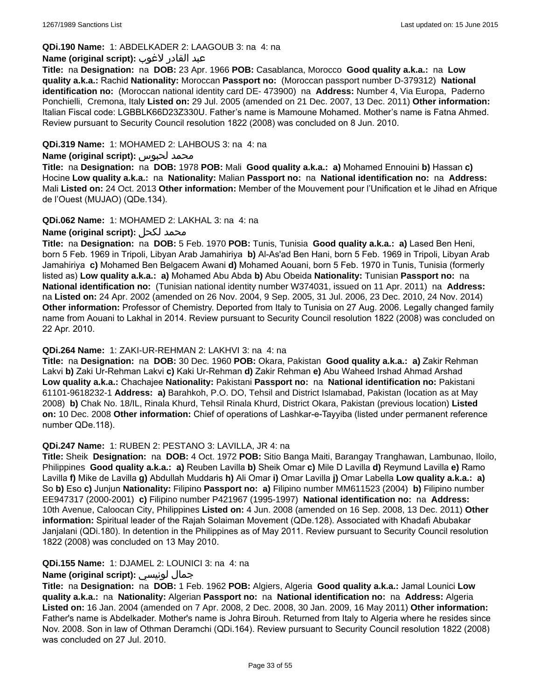### **QDi.190 Name:** 1: ABDELKADER 2: LAAGOUB 3: na 4: na

#### عبد القادر لاغوب **:(script original (Name**

**Title:** na **Designation:** na **DOB:** 23 Apr. 1966 **POB:** Casablanca, Morocco **Good quality a.k.a.:** na **Low quality a.k.a.:** Rachid **Nationality:** Moroccan **Passport no:** (Moroccan passport number D-379312) **National identification no:** (Moroccan national identity card DE- 473900) na **Address:** Number 4, Via Europa, Paderno Ponchielli, Cremona, Italy **Listed on:** 29 Jul. 2005 (amended on 21 Dec. 2007, 13 Dec. 2011) **Other information:** Italian Fiscal code: LGBBLK66D23Z330U. Father's name is Mamoune Mohamed. Mother's name is Fatna Ahmed. Review pursuant to Security Council resolution 1822 (2008) was concluded on 8 Jun. 2010.

#### **QDi.319 Name:** 1: MOHAMED 2: LAHBOUS 3: na 4: na

#### **Name (original script):** لحبوس محمد

**Title:** na **Designation:** na **DOB:** 1978 **POB:** Mali **Good quality a.k.a.: a)** Mohamed Ennouini **b)** Hassan **c)** Hocine **Low quality a.k.a.:** na **Nationality:** Malian **Passport no:** na **National identification no:** na **Address:** Mali **Listed on:** 24 Oct. 2013 **Other information:** Member of the Mouvement pour l'Unification et le Jihad en Afrique de l'Ouest (MUJAO) (QDe.134).

#### **QDi.062 Name:** 1: MOHAMED 2: LAKHAL 3: na 4: na

### **Name (original script):** لكحل محمد

**Title:** na **Designation:** na **DOB:** 5 Feb. 1970 **POB:** Tunis, Tunisia **Good quality a.k.a.: a)** Lased Ben Heni, born 5 Feb. 1969 in Tripoli, Libyan Arab Jamahiriya **b)** Al-As'ad Ben Hani, born 5 Feb. 1969 in Tripoli, Libyan Arab Jamahiriya **c)** Mohamed Ben Belgacem Awani **d)** Mohamed Aouani, born 5 Feb. 1970 in Tunis, Tunisia (formerly listed as) **Low quality a.k.a.: a)** Mohamed Abu Abda **b)** Abu Obeida **Nationality:** Tunisian **Passport no:** na **National identification no:** (Tunisian national identity number W374031, issued on 11 Apr. 2011) na **Address:**  na **Listed on:** 24 Apr. 2002 (amended on 26 Nov. 2004, 9 Sep. 2005, 31 Jul. 2006, 23 Dec. 2010, 24 Nov. 2014) **Other information:** Professor of Chemistry. Deported from Italy to Tunisia on 27 Aug. 2006. Legally changed family name from Aouani to Lakhal in 2014. Review pursuant to Security Council resolution 1822 (2008) was concluded on 22 Apr. 2010.

#### **QDi.264 Name:** 1: ZAKI-UR-REHMAN 2: LAKHVI 3: na 4: na

**Title:** na **Designation:** na **DOB:** 30 Dec. 1960 **POB:** Okara, Pakistan **Good quality a.k.a.: a)** Zakir Rehman Lakvi **b)** Zaki Ur-Rehman Lakvi **c)** Kaki Ur-Rehman **d)** Zakir Rehman **e)** Abu Waheed Irshad Ahmad Arshad **Low quality a.k.a.:** Chachajee **Nationality:** Pakistani **Passport no:** na **National identification no:** Pakistani 61101-9618232-1 **Address: a)** Barahkoh, P.O. DO, Tehsil and District Islamabad, Pakistan (location as at May 2008) **b)** Chak No. 18/IL, Rinala Khurd, Tehsil Rinala Khurd, District Okara, Pakistan (previous location) **Listed on:** 10 Dec. 2008 **Other information:** Chief of operations of Lashkar-e-Tayyiba (listed under permanent reference number QDe.118).

#### **QDi.247 Name:** 1: RUBEN 2: PESTANO 3: LAVILLA, JR 4: na

**Title:** Sheik **Designation:** na **DOB:** 4 Oct. 1972 **POB:** Sitio Banga Maiti, Barangay Tranghawan, Lambunao, Iloilo, Philippines **Good quality a.k.a.: a)** Reuben Lavilla **b)** Sheik Omar **c)** Mile D Lavilla **d)** Reymund Lavilla **e)** Ramo Lavilla **f)** Mike de Lavilla **g)** Abdullah Muddaris **h)** Ali Omar **i)** Omar Lavilla **j)** Omar Labella **Low quality a.k.a.: a)** So **b)** Eso **c)** Junjun **Nationality:** Filipino **Passport no: a)** Filipino number MM611523 (2004) **b)** Filipino number EE947317 (2000-2001) **c)** Filipino number P421967 (1995-1997) **National identification no:** na **Address:** 10th Avenue, Caloocan City, Philippines **Listed on:** 4 Jun. 2008 (amended on 16 Sep. 2008, 13 Dec. 2011) **Other information:** Spiritual leader of the Rajah Solaiman Movement (QDe.128). Associated with Khadafi Abubakar Janjalani (QDi.180). In detention in the Philippines as of May 2011. Review pursuant to Security Council resolution 1822 (2008) was concluded on 13 May 2010.

#### **QDi.155 Name:** 1: DJAMEL 2: LOUNICI 3: na 4: na

#### **Name (original script):** لونيسي جمال

**Title:** na **Designation:** na **DOB:** 1 Feb. 1962 **POB:** Algiers, Algeria **Good quality a.k.a.:** Jamal Lounici **Low quality a.k.a.:** na **Nationality:** Algerian **Passport no:** na **National identification no:** na **Address:** Algeria **Listed on:** 16 Jan. 2004 (amended on 7 Apr. 2008, 2 Dec. 2008, 30 Jan. 2009, 16 May 2011) **Other information:** Father's name is Abdelkader. Mother's name is Johra Birouh. Returned from Italy to Algeria where he resides since Nov. 2008. Son in law of Othman Deramchi (QDi.164). Review pursuant to Security Council resolution 1822 (2008) was concluded on 27 Jul. 2010.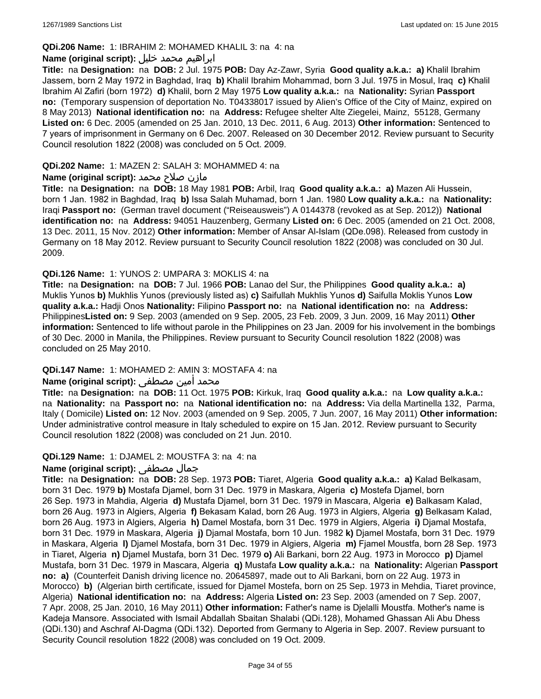#### **QDi.206 Name:** 1: IBRAHIM 2: MOHAMED KHALIL 3: na 4: na

### ابراهيم محمد خليل **:(script original (Name**

**Title:** na **Designation:** na **DOB:** 2 Jul. 1975 **POB:** Day Az-Zawr, Syria **Good quality a.k.a.: a)** Khalil Ibrahim Jassem, born 2 May 1972 in Baghdad, Iraq **b)** Khalil Ibrahim Mohammad, born 3 Jul. 1975 in Mosul, Iraq **c)** Khalil Ibrahim Al Zafiri (born 1972) **d)** Khalil, born 2 May 1975 **Low quality a.k.a.:** na **Nationality:** Syrian **Passport no:** (Temporary suspension of deportation No. T04338017 issued by Alien's Office of the City of Mainz, expired on 8 May 2013) **National identification no:** na **Address:** Refugee shelter Alte Ziegelei, Mainz, 55128, Germany **Listed on:** 6 Dec. 2005 (amended on 25 Jan. 2010, 13 Dec. 2011, 6 Aug. 2013) **Other information:** Sentenced to 7 years of imprisonment in Germany on 6 Dec. 2007. Released on 30 December 2012. Review pursuant to Security Council resolution 1822 (2008) was concluded on 5 Oct. 2009.

#### **QDi.202 Name:** 1: MAZEN 2: SALAH 3: MOHAMMED 4: na

### مازن صلاح محمد **:Name (original script)**

**Title:** na **Designation:** na **DOB:** 18 May 1981 **POB:** Arbil, Iraq **Good quality a.k.a.: a)** Mazen Ali Hussein, born 1 Jan. 1982 in Baghdad, Iraq **b)** Issa Salah Muhamad, born 1 Jan. 1980 **Low quality a.k.a.:** na **Nationality:** Iraqi **Passport no:** (German travel document ("Reiseausweis") A 0144378 (revoked as at Sep. 2012)) **National identification no:** na **Address:** 94051 Hauzenberg, Germany **Listed on:** 6 Dec. 2005 (amended on 21 Oct. 2008, 13 Dec. 2011, 15 Nov. 2012) **Other information:** Member of Ansar Al-Islam (QDe.098). Released from custody in Germany on 18 May 2012. Review pursuant to Security Council resolution 1822 (2008) was concluded on 30 Jul. 2009.

### **QDi.126 Name:** 1: YUNOS 2: UMPARA 3: MOKLIS 4: na

**Title:** na **Designation:** na **DOB:** 7 Jul. 1966 **POB:** Lanao del Sur, the Philippines **Good quality a.k.a.: a)** Muklis Yunos **b)** Mukhlis Yunos (previously listed as) **c)** Saifullah Mukhlis Yunos **d)** Saifulla Moklis Yunos **Low quality a.k.a.:** Hadji Onos **Nationality:** Filipino **Passport no:** na **National identification no:** na **Address:** Philippines**Listed on:** 9 Sep. 2003 (amended on 9 Sep. 2005, 23 Feb. 2009, 3 Jun. 2009, 16 May 2011) **Other information:** Sentenced to life without parole in the Philippines on 23 Jan. 2009 for his involvement in the bombings of 30 Dec. 2000 in Manila, the Philippines. Review pursuant to Security Council resolution 1822 (2008) was concluded on 25 May 2010.

#### **QDi.147 Name:** 1: MOHAMED 2: AMIN 3: MOSTAFA 4: na

# محمد أمين مصطفى :**Name (original script)**

**Title:** na **Designation:** na **DOB:** 11 Oct. 1975 **POB:** Kirkuk, Iraq **Good quality a.k.a.:** na **Low quality a.k.a.:**  na **Nationality:** na **Passport no:** na **National identification no:** na **Address:** Via della Martinella 132, Parma, Italy ( Domicile) **Listed on:** 12 Nov. 2003 (amended on 9 Sep. 2005, 7 Jun. 2007, 16 May 2011) **Other information:** Under administrative control measure in Italy scheduled to expire on 15 Jan. 2012. Review pursuant to Security Council resolution 1822 (2008) was concluded on 21 Jun. 2010.

#### **QDi.129 Name:** 1: DJAMEL 2: MOUSTFA 3: na 4: na

# **Name (original script):** مصطفى جمال

**Title:** na **Designation:** na **DOB:** 28 Sep. 1973 **POB:** Tiaret, Algeria **Good quality a.k.a.: a)** Kalad Belkasam, born 31 Dec. 1979 **b)** Mostafa Djamel, born 31 Dec. 1979 in Maskara, Algeria **c)** Mostefa Djamel, born 26 Sep. 1973 in Mahdia, Algeria **d)** Mustafa Djamel, born 31 Dec. 1979 in Mascara, Algeria **e)** Balkasam Kalad, born 26 Aug. 1973 in Algiers, Algeria **f)** Bekasam Kalad, born 26 Aug. 1973 in Algiers, Algeria **g)** Belkasam Kalad, born 26 Aug. 1973 in Algiers, Algeria **h)** Damel Mostafa, born 31 Dec. 1979 in Algiers, Algeria **i)** Djamal Mostafa, born 31 Dec. 1979 in Maskara, Algeria **j)** Djamal Mostafa, born 10 Jun. 1982 **k)** Djamel Mostafa, born 31 Dec. 1979 in Maskara, Algeria **l)** Djamel Mostafa, born 31 Dec. 1979 in Algiers, Algeria **m)** Fjamel Moustfa, born 28 Sep. 1973 in Tiaret, Algeria **n)** Djamel Mustafa, born 31 Dec. 1979 **o)** Ali Barkani, born 22 Aug. 1973 in Morocco **p)** Djamel Mustafa, born 31 Dec. 1979 in Mascara, Algeria **q)** Mustafa **Low quality a.k.a.:** na **Nationality:** Algerian **Passport no: a)** (Counterfeit Danish driving licence no. 20645897, made out to Ali Barkani, born on 22 Aug. 1973 in Morocco) **b)** (Algerian birth certificate, issued for Djamel Mostefa, born on 25 Sep. 1973 in Mehdia, Tiaret province, Algeria) **National identification no:** na **Address:** Algeria **Listed on:** 23 Sep. 2003 (amended on 7 Sep. 2007, 7 Apr. 2008, 25 Jan. 2010, 16 May 2011) **Other information:** Father's name is Djelalli Moustfa. Mother's name is Kadeja Mansore. Associated with Ismail Abdallah Sbaitan Shalabi (QDi.128), Mohamed Ghassan Ali Abu Dhess (QDi.130) and Aschraf Al-Dagma (QDi.132). Deported from Germany to Algeria in Sep. 2007. Review pursuant to Security Council resolution 1822 (2008) was concluded on 19 Oct. 2009.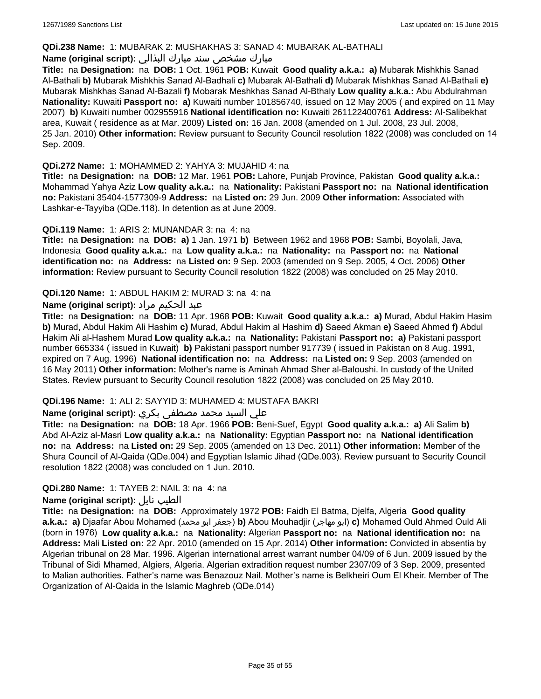#### **QDi.238 Name:** 1: MUBARAK 2: MUSHAKHAS 3: SANAD 4: MUBARAK AL-BATHALI

### مبارك مشخص سند مبارك البذالي **:Name (original script)**

**Title:** na **Designation:** na **DOB:** 1 Oct. 1961 **POB:** Kuwait **Good quality a.k.a.: a)** Mubarak Mishkhis Sanad Al-Bathali **b)** Mubarak Mishkhis Sanad Al-Badhali **c)** Mubarak Al-Bathali **d)** Mubarak Mishkhas Sanad Al-Bathali **e)** Mubarak Mishkhas Sanad Al-Bazali **f)** Mobarak Meshkhas Sanad Al-Bthaly **Low quality a.k.a.:** Abu Abdulrahman **Nationality:** Kuwaiti **Passport no: a)** Kuwaiti number 101856740, issued on 12 May 2005 ( and expired on 11 May 2007) **b)** Kuwaiti number 002955916 **National identification no:** Kuwaiti 261122400761 **Address:** Al-Salibekhat area, Kuwait ( residence as at Mar. 2009) **Listed on:** 16 Jan. 2008 (amended on 1 Jul. 2008, 23 Jul. 2008, 25 Jan. 2010) **Other information:** Review pursuant to Security Council resolution 1822 (2008) was concluded on 14 Sep. 2009.

### **QDi.272 Name:** 1: MOHAMMED 2: YAHYA 3: MUJAHID 4: na

**Title:** na **Designation:** na **DOB:** 12 Mar. 1961 **POB:** Lahore, Punjab Province, Pakistan **Good quality a.k.a.:** Mohammad Yahya Aziz **Low quality a.k.a.:** na **Nationality:** Pakistani **Passport no:** na **National identification no:** Pakistani 35404-1577309-9 **Address:** na **Listed on:** 29 Jun. 2009 **Other information:** Associated with Lashkar-e-Tayyiba (QDe.118). In detention as at June 2009.

### **QDi.119 Name:** 1: ARIS 2: MUNANDAR 3: na 4: na

**Title:** na **Designation:** na **DOB: a)** 1 Jan. 1971 **b)** Between 1962 and 1968 **POB:** Sambi, Boyolali, Java, Indonesia **Good quality a.k.a.:** na **Low quality a.k.a.:** na **Nationality:** na **Passport no:** na **National identification no:** na **Address:** na **Listed on:** 9 Sep. 2003 (amended on 9 Sep. 2005, 4 Oct. 2006) **Other information:** Review pursuant to Security Council resolution 1822 (2008) was concluded on 25 May 2010.

### **QDi.120 Name:** 1: ABDUL HAKIM 2: MURAD 3: na 4: na

### عبد الحكيم مراد **:(script original (Name**

**Title:** na **Designation:** na **DOB:** 11 Apr. 1968 **POB:** Kuwait **Good quality a.k.a.: a)** Murad, Abdul Hakim Hasim **b)** Murad, Abdul Hakim Ali Hashim **c)** Murad, Abdul Hakim al Hashim **d)** Saeed Akman **e)** Saeed Ahmed **f)** Abdul Hakim Ali al-Hashem Murad **Low quality a.k.a.:** na **Nationality:** Pakistani **Passport no: a)** Pakistani passport number 665334 ( issued in Kuwait) **b)** Pakistani passport number 917739 ( issued in Pakistan on 8 Aug. 1991, expired on 7 Aug. 1996) **National identification no:** na **Address:** na **Listed on:** 9 Sep. 2003 (amended on 16 May 2011) **Other information:** Mother's name is Aminah Ahmad Sher al-Baloushi. In custody of the United States. Review pursuant to Security Council resolution 1822 (2008) was concluded on 25 May 2010.

### **QDi.196 Name:** 1: ALI 2: SAYYID 3: MUHAMED 4: MUSTAFA BAKRI

### علي السيد محمد مصطفى بكري **:(script original (Name**

**Title:** na **Designation:** na **DOB:** 18 Apr. 1966 **POB:** Beni-Suef, Egypt **Good quality a.k.a.: a)** Ali Salim **b)** Abd Al-Aziz al-Masri **Low quality a.k.a.:** na **Nationality:** Egyptian **Passport no:** na **National identification no:** na **Address:** na **Listed on:** 29 Sep. 2005 (amended on 13 Dec. 2011) **Other information:** Member of the Shura Council of Al-Qaida (QDe.004) and Egyptian Islamic Jihad (QDe.003). Review pursuant to Security Council resolution 1822 (2008) was concluded on 1 Jun. 2010.

### **QDi.280 Name:** 1: TAYEB 2: NAIL 3: na 4: na

#### **Name (original script):** نايل الطيب

**Title:** na **Designation:** na **DOB:** Approximately 1972 **POB:** Faidh El Batma, Djelfa, Algeria **Good quality a.k.a.: a)** Djaafar Abou Mohamed (محمد ابو جعفر(**b)** Abou Mouhadjir (مهاجر ابو(**c)** Mohamed Ould Ahmed Ould Ali (born in 1976) **Low quality a.k.a.:** na **Nationality:** Algerian **Passport no:** na **National identification no:** na **Address:** Mali **Listed on:** 22 Apr. 2010 (amended on 15 Apr. 2014) **Other information:** Convicted in absentia by Algerian tribunal on 28 Mar. 1996. Algerian international arrest warrant number 04/09 of 6 Jun. 2009 issued by the Tribunal of Sidi Mhamed, Algiers, Algeria. Algerian extradition request number 2307/09 of 3 Sep. 2009, presented to Malian authorities. Father's name was Benazouz Nail. Mother's name is Belkheiri Oum El Kheir. Member of The Organization of Al-Qaida in the Islamic Maghreb (QDe.014)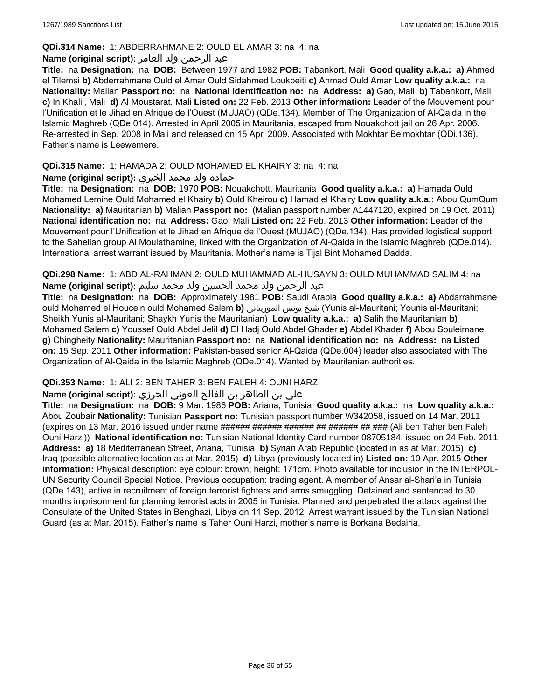### **QDi.314 Name:** 1: ABDERRAHMANE 2: OULD EL AMAR 3: na 4: na

### عبد الرحمن ولد العامر **:(script original (Name**

**Title:** na **Designation:** na **DOB:** Between 1977 and 1982 **POB:** Tabankort, Mali **Good quality a.k.a.: a)** Ahmed el Tilemsi **b)** Abderrahmane Ould el Amar Ould Sidahmed Loukbeiti **c)** Ahmad Ould Amar **Low quality a.k.a.:** na **Nationality:** Malian **Passport no:** na **National identification no:** na **Address: a)** Gao, Mali **b)** Tabankort, Mali **c)** In Khalil, Mali **d)** Al Moustarat, Mali **Listed on:** 22 Feb. 2013 **Other information:** Leader of the Mouvement pour l'Unification et le Jihad en Afrique de l'Ouest (MUJAO) (QDe.134). Member of The Organization of Al-Qaida in the Islamic Maghreb (QDe.014). Arrested in April 2005 in Mauritania, escaped from Nouakchott jail on 26 Apr. 2006. Re-arrested in Sep. 2008 in Mali and released on 15 Apr. 2009. Associated with Mokhtar Belmokhtar (QDi.136). Father's name is Leewemere.

### **QDi.315 Name:** 1: HAMADA 2: OULD MOHAMED EL KHAIRY 3: na 4: na

### حماده ولد محمد الخيري **:(script original (Name**

**Title:** na **Designation:** na **DOB:** 1970 **POB:** Nouakchott, Mauritania **Good quality a.k.a.: a)** Hamada Ould Mohamed Lemine Ould Mohamed el Khairy **b)** Ould Kheirou **c)** Hamad el Khairy **Low quality a.k.a.:** Abou QumQum **Nationality: a)** Mauritanian **b)** Malian **Passport no:** (Malian passport number A1447120, expired on 19 Oct. 2011) **National identification no:** na **Address:** Gao, Mali **Listed on:** 22 Feb. 2013 **Other information:** Leader of the Mouvement pour l'Unification et le Jihad en Afrique de l'Ouest (MUJAO) (QDe.134). Has provided logistical support to the Sahelian group Al Moulathamine, linked with the Organization of Al-Qaida in the Islamic Maghreb (QDe.014). International arrest warrant issued by Mauritania. Mother's name is Tijal Bint Mohamed Dadda.

**QDi.298 Name:** 1: ABD AL-RAHMAN 2: OULD MUHAMMAD AL-HUSAYN 3: OULD MUHAMMAD SALIM 4: na عبد الرحمن ولد محمد الحسين ولد محمد سليم **:(script original (Name**

**Title:** na **Designation:** na **DOB:** Approximately 1981 **POB:** Saudi Arabia **Good quality a.k.a.: a)** Abdarrahmane ould Mohamed el Houcein ould Mohamed Salem **b)** الموريتاني يونس شيخ) Yunis al-Mauritani; Younis al-Mauritani; Sheikh Yunis al-Mauritani; Shaykh Yunis the Mauritanian) **Low quality a.k.a.: a)** Salih the Mauritanian **b)** Mohamed Salem **c)** Youssef Ould Abdel Jelil **d)** El Hadj Ould Abdel Ghader **e)** Abdel Khader **f)** Abou Souleimane **g)** Chingheity **Nationality:** Mauritanian **Passport no:** na **National identification no:** na **Address:** na **Listed on:** 15 Sep. 2011 **Other information:** Pakistan-based senior Al-Qaida (QDe.004) leader also associated with The Organization of Al-Qaida in the Islamic Maghreb (QDe.014). Wanted by Mauritanian authorities.

### **QDi.353 Name:** 1: ALI 2: BEN TAHER 3: BEN FALEH 4: OUNI HARZI

### علي بن الطاھر بن الفالح العوني الحرزي **:(script original (Name**

**Title:** na **Designation:** na **DOB:** 9 Mar. 1986 **POB:** Ariana, Tunisia **Good quality a.k.a.:** na **Low quality a.k.a.:** Abou Zoubair **Nationality:** Tunisian **Passport no:** Tunisian passport number W342058, issued on 14 Mar. 2011 (expires on 13 Mar. 2016 issued under name ###### ###### ####### ######### (Ali ben Taher ben Faleh Ouni Harzi)) **National identification no:** Tunisian National Identity Card number 08705184, issued on 24 Feb. 2011 **Address: a)** 18 Mediterranean Street, Ariana, Tunisia **b)** Syrian Arab Republic (located in as at Mar. 2015) **c)** Iraq (possible alternative location as at Mar. 2015) **d)** Libya (previously located in) **Listed on:** 10 Apr. 2015 **Other information:** Physical description: eye colour: brown; height: 171cm. Photo available for inclusion in the INTERPOL-UN Security Council Special Notice. Previous occupation: trading agent. A member of Ansar al-Shari'a in Tunisia (QDe.143), active in recruitment of foreign terrorist fighters and arms smuggling. Detained and sentenced to 30 months imprisonment for planning terrorist acts in 2005 in Tunisia. Planned and perpetrated the attack against the Consulate of the United States in Benghazi, Libya on 11 Sep. 2012. Arrest warrant issued by the Tunisian National Guard (as at Mar. 2015). Father's name is Taher Ouni Harzi, mother's name is Borkana Bedairia.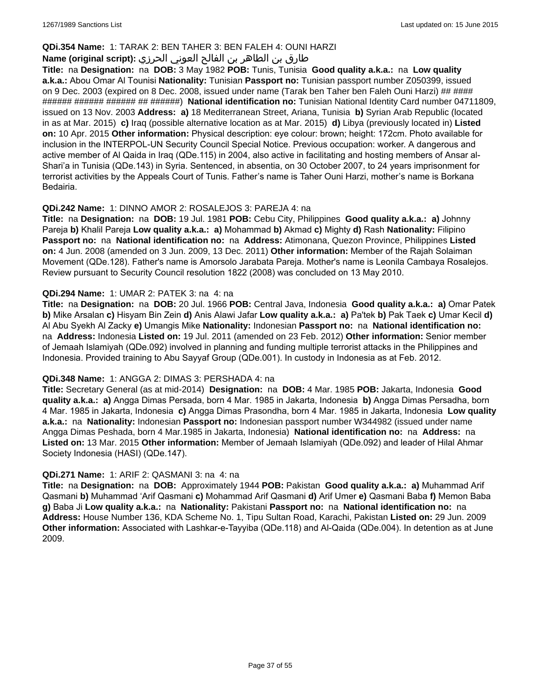### **QDi.354 Name:** 1: TARAK 2: BEN TAHER 3: BEN FALEH 4: OUNI HARZI

# طارق بن الطاھر بن الفالح العوني الحرزي **:(script original (Name**

**Title:** na **Designation:** na **DOB:** 3 May 1982 **POB:** Tunis, Tunisia **Good quality a.k.a.:** na **Low quality a.k.a.:** Abou Omar Al Tounisi **Nationality:** Tunisian **Passport no:** Tunisian passport number Z050399, issued on 9 Dec. 2003 (expired on 8 Dec. 2008, issued under name (Tarak ben Taher ben Faleh Ouni Harzi) ## #### ###### ###### ###### ## ######) **National identification no:** Tunisian National Identity Card number 04711809, issued on 13 Nov. 2003 **Address: a)** 18 Mediterranean Street, Ariana, Tunisia **b)** Syrian Arab Republic (located in as at Mar. 2015) **c)** Iraq (possible alternative location as at Mar. 2015) **d)** Libya (previously located in) **Listed on:** 10 Apr. 2015 **Other information:** Physical description: eye colour: brown; height: 172cm. Photo available for inclusion in the INTERPOL-UN Security Council Special Notice. Previous occupation: worker. A dangerous and active member of Al Qaida in Iraq (QDe.115) in 2004, also active in facilitating and hosting members of Ansar al-Shari'a in Tunisia (QDe.143) in Syria. Sentenced, in absentia, on 30 October 2007, to 24 years imprisonment for terrorist activities by the Appeals Court of Tunis. Father's name is Taher Ouni Harzi, mother's name is Borkana Bedairia.

### **QDi.242 Name:** 1: DINNO AMOR 2: ROSALEJOS 3: PAREJA 4: na

**Title:** na **Designation:** na **DOB:** 19 Jul. 1981 **POB:** Cebu City, Philippines **Good quality a.k.a.: a)** Johnny Pareja **b)** Khalil Pareja **Low quality a.k.a.: a)** Mohammad **b)** Akmad **c)** Mighty **d)** Rash **Nationality:** Filipino **Passport no:** na **National identification no:** na **Address:** Atimonana, Quezon Province, Philippines **Listed on:** 4 Jun. 2008 (amended on 3 Jun. 2009, 13 Dec. 2011) **Other information:** Member of the Rajah Solaiman Movement (QDe.128). Father's name is Amorsolo Jarabata Pareja. Mother's name is Leonila Cambaya Rosalejos. Review pursuant to Security Council resolution 1822 (2008) was concluded on 13 May 2010.

### **QDi.294 Name:** 1: UMAR 2: PATEK 3: na 4: na

**Title:** na **Designation:** na **DOB:** 20 Jul. 1966 **POB:** Central Java, Indonesia **Good quality a.k.a.: a)** Omar Patek **b)** Mike Arsalan **c)** Hisyam Bin Zein **d)** Anis Alawi Jafar **Low quality a.k.a.: a)** Pa'tek **b)** Pak Taek **c)** Umar Kecil **d)** Al Abu Syekh Al Zacky **e)** Umangis Mike **Nationality:** Indonesian **Passport no:** na **National identification no:**  na **Address:** Indonesia **Listed on:** 19 Jul. 2011 (amended on 23 Feb. 2012) **Other information:** Senior member of Jemaah Islamiyah (QDe.092) involved in planning and funding multiple terrorist attacks in the Philippines and Indonesia. Provided training to Abu Sayyaf Group (QDe.001). In custody in Indonesia as at Feb. 2012.

#### **QDi.348 Name:** 1: ANGGA 2: DIMAS 3: PERSHADA 4: na

**Title:** Secretary General (as at mid-2014) **Designation:** na **DOB:** 4 Mar. 1985 **POB:** Jakarta, Indonesia **Good quality a.k.a.: a)** Angga Dimas Persada, born 4 Mar. 1985 in Jakarta, Indonesia **b)** Angga Dimas Persadha, born 4 Mar. 1985 in Jakarta, Indonesia **c)** Angga Dimas Prasondha, born 4 Mar. 1985 in Jakarta, Indonesia **Low quality a.k.a.:** na **Nationality:** Indonesian **Passport no:** Indonesian passport number W344982 (issued under name Angga Dimas Peshada, born 4 Mar.1985 in Jakarta, Indonesia) **National identification no:** na **Address:** na **Listed on:** 13 Mar. 2015 **Other information:** Member of Jemaah Islamiyah (QDe.092) and leader of Hilal Ahmar Society Indonesia (HASI) (QDe.147).

#### **QDi.271 Name:** 1: ARIF 2: QASMANI 3: na 4: na

**Title:** na **Designation:** na **DOB:** Approximately 1944 **POB:** Pakistan **Good quality a.k.a.: a)** Muhammad Arif Qasmani **b)** Muhammad 'Arif Qasmani **c)** Mohammad Arif Qasmani **d)** Arif Umer **e)** Qasmani Baba **f)** Memon Baba **g)** Baba Ji **Low quality a.k.a.:** na **Nationality:** Pakistani **Passport no:** na **National identification no:** na **Address:** House Number 136, KDA Scheme No. 1, Tipu Sultan Road, Karachi, Pakistan **Listed on:** 29 Jun. 2009 **Other information:** Associated with Lashkar-e-Tayyiba (QDe.118) and Al-Qaida (QDe.004). In detention as at June 2009.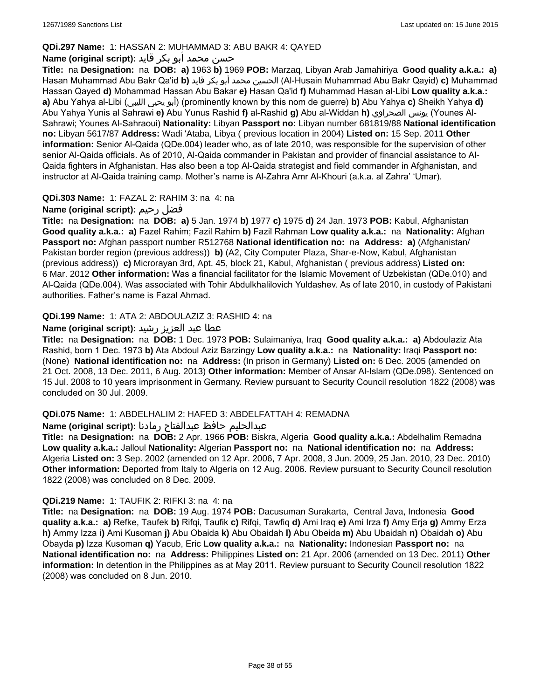### **QDi.297 Name:** 1: HASSAN 2: MUHAMMAD 3: ABU BAKR 4: QAYED

# حسن محمد أبو بكر قايد **:(script original (Name**

**Title:** na **Designation:** na **DOB: a)** 1963 **b)** 1969 **POB:** Marzaq, Libyan Arab Jamahiriya **Good quality a.k.a.: a)** Hasan Muhammad Abu Bakr Qa'id **b)** قايد بكر أبو محمد الحسين) Al-Husain Muhammad Abu Bakr Qayid) **c)** Muhammad Hassan Qayed **d)** Mohammad Hassan Abu Bakar **e)** Hasan Qa'id **f)** Muhammad Hasan al-Libi **Low quality a.k.a.: a)** Abu Yahya al-Libi (الليبي يحيى أبو) (prominently known by this nom de guerre) **b)** Abu Yahya **c)** Sheikh Yahya **d)** Abu Yahya Yunis al Sahrawi **e)** Abu Yunus Rashid **f)** al-Rashid **g)** Abu al-Widdan **h)** الصحراوي يونس) Younes Al-Sahrawi; Younes Al-Sahraoui) **Nationality:** Libyan **Passport no:** Libyan number 681819/88 **National identification no:** Libyan 5617/87 **Address:** Wadi 'Ataba, Libya ( previous location in 2004) **Listed on:** 15 Sep. 2011 **Other information:** Senior Al-Qaida (QDe.004) leader who, as of late 2010, was responsible for the supervision of other senior Al-Qaida officials. As of 2010, Al-Qaida commander in Pakistan and provider of financial assistance to Al-Qaida fighters in Afghanistan. Has also been a top Al-Qaida strategist and field commander in Afghanistan, and instructor at Al-Qaida training camp. Mother's name is Al-Zahra Amr Al-Khouri (a.k.a. al Zahra' 'Umar).

### **QDi.303 Name:** 1: FAZAL 2: RAHIM 3: na 4: na

# **Name (original script):** رحيم فضل

**Title:** na **Designation:** na **DOB: a)** 5 Jan. 1974 **b)** 1977 **c)** 1975 **d)** 24 Jan. 1973 **POB:** Kabul, Afghanistan **Good quality a.k.a.: a)** Fazel Rahim; Fazil Rahim **b)** Fazil Rahman **Low quality a.k.a.:** na **Nationality:** Afghan **Passport no:** Afghan passport number R512768 **National identification no:** na **Address: a)** (Afghanistan/ Pakistan border region (previous address)) **b)** (A2, City Computer Plaza, Shar-e-Now, Kabul, Afghanistan (previous address)) **c)** Microrayan 3rd, Apt. 45, block 21, Kabul, Afghanistan ( previous address) **Listed on:** 6 Mar. 2012 **Other information:** Was a financial facilitator for the Islamic Movement of Uzbekistan (QDe.010) and Al-Qaida (QDe.004). Was associated with Tohir Abdulkhalilovich Yuldashev. As of late 2010, in custody of Pakistani authorities. Father's name is Fazal Ahmad.

### **QDi.199 Name:** 1: ATA 2: ABDOULAZIZ 3: RASHID 4: na

### عطا عبد العزيز رشيد **:(script original (Name**

**Title:** na **Designation:** na **DOB:** 1 Dec. 1973 **POB:** Sulaimaniya, Iraq **Good quality a.k.a.: a)** Abdoulaziz Ata Rashid, born 1 Dec. 1973 **b)** Ata Abdoul Aziz Barzingy **Low quality a.k.a.:** na **Nationality:** Iraqi **Passport no:**  (None) **National identification no:** na **Address:** (In prison in Germany) **Listed on:** 6 Dec. 2005 (amended on 21 Oct. 2008, 13 Dec. 2011, 6 Aug. 2013) **Other information:** Member of Ansar Al-Islam (QDe.098). Sentenced on 15 Jul. 2008 to 10 years imprisonment in Germany. Review pursuant to Security Council resolution 1822 (2008) was concluded on 30 Jul. 2009.

### **QDi.075 Name:** 1: ABDELHALIM 2: HAFED 3: ABDELFATTAH 4: REMADNA

### عبدالحليم حافظ عبدالفتاح رمادنا **:(script original (Name**

**Title:** na **Designation:** na **DOB:** 2 Apr. 1966 **POB:** Biskra, Algeria **Good quality a.k.a.:** Abdelhalim Remadna **Low quality a.k.a.:** Jalloul **Nationality:** Algerian **Passport no:** na **National identification no:** na **Address:** Algeria **Listed on:** 3 Sep. 2002 (amended on 12 Apr. 2006, 7 Apr. 2008, 3 Jun. 2009, 25 Jan. 2010, 23 Dec. 2010) **Other information:** Deported from Italy to Algeria on 12 Aug. 2006. Review pursuant to Security Council resolution 1822 (2008) was concluded on 8 Dec. 2009.

### **QDi.219 Name:** 1: TAUFIK 2: RIFKI 3: na 4: na

**Title:** na **Designation:** na **DOB:** 19 Aug. 1974 **POB:** Dacusuman Surakarta, Central Java, Indonesia **Good quality a.k.a.: a)** Refke, Taufek **b)** Rifqi, Taufik **c)** Rifqi, Tawfiq **d)** Ami Iraq **e)** Ami Irza **f)** Amy Erja **g)** Ammy Erza **h)** Ammy Izza **i)** Ami Kusoman **j)** Abu Obaida **k)** Abu Obaidah **l)** Abu Obeida **m)** Abu Ubaidah **n)** Obaidah **o)** Abu Obayda **p)** Izza Kusoman **q)** Yacub, Eric **Low quality a.k.a.:** na **Nationality:** Indonesian **Passport no:** na **National identification no:** na **Address:** Philippines **Listed on:** 21 Apr. 2006 (amended on 13 Dec. 2011) **Other information:** In detention in the Philippines as at May 2011. Review pursuant to Security Council resolution 1822 (2008) was concluded on 8 Jun. 2010.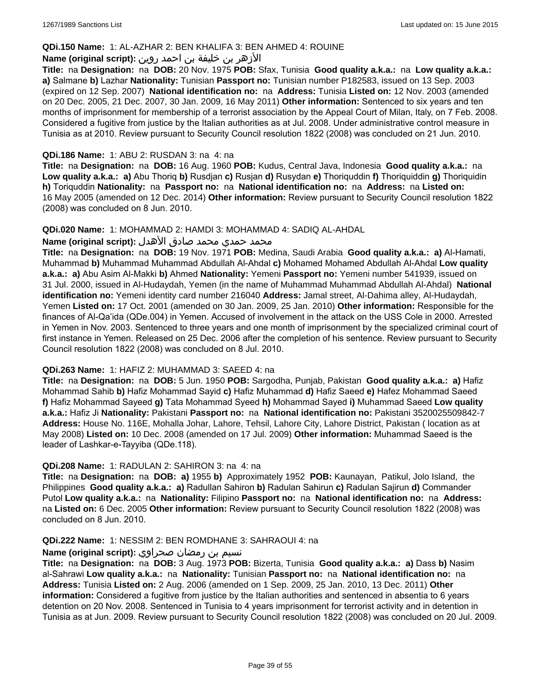#### **QDi.150 Name:** 1: AL-AZHAR 2: BEN KHALIFA 3: BEN AHMED 4: ROUINE

### الأزهر بن خليفة بن احمد روين **:(script original (Name**

**Title:** na **Designation:** na **DOB:** 20 Nov. 1975 **POB:** Sfax, Tunisia **Good quality a.k.a.:** na **Low quality a.k.a.: a)** Salmane **b)** Lazhar **Nationality:** Tunisian **Passport no:** Tunisian number P182583, issued on 13 Sep. 2003 (expired on 12 Sep. 2007) **National identification no:** na **Address:** Tunisia **Listed on:** 12 Nov. 2003 (amended on 20 Dec. 2005, 21 Dec. 2007, 30 Jan. 2009, 16 May 2011) **Other information:** Sentenced to six years and ten months of imprisonment for membership of a terrorist association by the Appeal Court of Milan, Italy, on 7 Feb. 2008. Considered a fugitive from justice by the Italian authorities as at Jul. 2008. Under administrative control measure in Tunisia as at 2010. Review pursuant to Security Council resolution 1822 (2008) was concluded on 21 Jun. 2010.

#### **QDi.186 Name:** 1: ABU 2: RUSDAN 3: na 4: na

**Title:** na **Designation:** na **DOB:** 16 Aug. 1960 **POB:** Kudus, Central Java, Indonesia **Good quality a.k.a.:** na **Low quality a.k.a.: a)** Abu Thoriq **b)** Rusdjan **c)** Rusjan **d)** Rusydan **e)** Thoriquddin **f)** Thoriquiddin **g)** Thoriquidin **h)** Toriquddin **Nationality:** na **Passport no:** na **National identification no:** na **Address:** na **Listed on:** 16 May 2005 (amended on 12 Dec. 2014) **Other information:** Review pursuant to Security Council resolution 1822 (2008) was concluded on 8 Jun. 2010.

#### **QDi.020 Name:** 1: MOHAMMAD 2: HAMDI 3: MOHAMMAD 4: SADIQ AL-AHDAL

#### محمد حمدي محمد صادق الأهدل **:Name (original script**)

**Title:** na **Designation:** na **DOB:** 19 Nov. 1971 **POB:** Medina, Saudi Arabia **Good quality a.k.a.: a)** Al-Hamati, Muhammad **b)** Muhammad Muhammad Abdullah Al-Ahdal **c)** Mohamed Mohamed Abdullah Al-Ahdal **Low quality a.k.a.: a)** Abu Asim Al-Makki **b)** Ahmed **Nationality:** Yemeni **Passport no:** Yemeni number 541939, issued on 31 Jul. 2000, issued in Al-Hudaydah, Yemen (in the name of Muhammad Muhammad Abdullah Al-Ahdal) **National identification no:** Yemeni identity card number 216040 **Address:** Jamal street, Al-Dahima alley, Al-Hudaydah, Yemen **Listed on:** 17 Oct. 2001 (amended on 30 Jan. 2009, 25 Jan. 2010) **Other information:** Responsible for the finances of Al-Qa'ida (QDe.004) in Yemen. Accused of involvement in the attack on the USS Cole in 2000. Arrested in Yemen in Nov. 2003. Sentenced to three years and one month of imprisonment by the specialized criminal court of first instance in Yemen. Released on 25 Dec. 2006 after the completion of his sentence. Review pursuant to Security Council resolution 1822 (2008) was concluded on 8 Jul. 2010.

#### **QDi.263 Name:** 1: HAFIZ 2: MUHAMMAD 3: SAEED 4: na

**Title:** na **Designation:** na **DOB:** 5 Jun. 1950 **POB:** Sargodha, Punjab, Pakistan **Good quality a.k.a.: a)** Hafiz Mohammad Sahib **b)** Hafiz Mohammad Sayid **c)** Hafiz Muhammad **d)** Hafiz Saeed **e)** Hafez Mohammad Saeed **f)** Hafiz Mohammad Sayeed **g)** Tata Mohammad Syeed **h)** Mohammad Sayed **i)** Muhammad Saeed **Low quality a.k.a.:** Hafiz Ji **Nationality:** Pakistani **Passport no:** na **National identification no:** Pakistani 3520025509842-7 **Address:** House No. 116E, Mohalla Johar, Lahore, Tehsil, Lahore City, Lahore District, Pakistan ( location as at May 2008) **Listed on:** 10 Dec. 2008 (amended on 17 Jul. 2009) **Other information:** Muhammad Saeed is the leader of Lashkar-e-Tayyiba (QDe.118).

#### **QDi.208 Name:** 1: RADULAN 2: SAHIRON 3: na 4: na

**Title:** na **Designation:** na **DOB: a)** 1955 **b)** Approximately 1952 **POB:** Kaunayan, Patikul, Jolo Island, the Philippines **Good quality a.k.a.: a)** Radullan Sahiron **b)** Radulan Sahirun **c)** Radulan Sajirun **d)** Commander Putol **Low quality a.k.a.:** na **Nationality:** Filipino **Passport no:** na **National identification no:** na **Address:**  na **Listed on:** 6 Dec. 2005 **Other information:** Review pursuant to Security Council resolution 1822 (2008) was concluded on 8 Jun. 2010.

#### **QDi.222 Name:** 1: NESSIM 2: BEN ROMDHANE 3: SAHRAOUI 4: na

#### نسيم بن رمضان صحراوي **:(script original (Name**

**Title:** na **Designation:** na **DOB:** 3 Aug. 1973 **POB:** Bizerta, Tunisia **Good quality a.k.a.: a)** Dass **b)** Nasim al-Sahrawi **Low quality a.k.a.:** na **Nationality:** Tunisian **Passport no:** na **National identification no:** na **Address:** Tunisia **Listed on:** 2 Aug. 2006 (amended on 1 Sep. 2009, 25 Jan. 2010, 13 Dec. 2011) **Other information:** Considered a fugitive from justice by the Italian authorities and sentenced in absentia to 6 years detention on 20 Nov. 2008. Sentenced in Tunisia to 4 years imprisonment for terrorist activity and in detention in Tunisia as at Jun. 2009. Review pursuant to Security Council resolution 1822 (2008) was concluded on 20 Jul. 2009.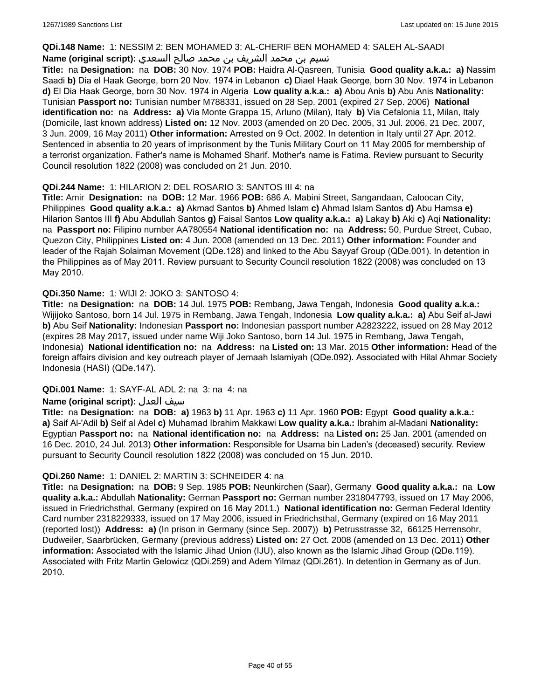#### **QDi.148 Name:** 1: NESSIM 2: BEN MOHAMED 3: AL-CHERIF BEN MOHAMED 4: SALEH AL-SAADI

### نسيم بن محمد الشريف بن محمد صالح السعدي **:Name (original script**)

**Title:** na **Designation:** na **DOB:** 30 Nov. 1974 **POB:** Haidra Al-Qasreen, Tunisia **Good quality a.k.a.: a)** Nassim Saadi **b)** Dia el Haak George, born 20 Nov. 1974 in Lebanon **c)** Diael Haak George, born 30 Nov. 1974 in Lebanon **d)** El Dia Haak George, born 30 Nov. 1974 in Algeria **Low quality a.k.a.: a)** Abou Anis **b)** Abu Anis **Nationality:** Tunisian **Passport no:** Tunisian number M788331, issued on 28 Sep. 2001 (expired 27 Sep. 2006) **National identification no:** na **Address: a)** Via Monte Grappa 15, Arluno (Milan), Italy **b)** Via Cefalonia 11, Milan, Italy (Domicile, last known address) **Listed on:** 12 Nov. 2003 (amended on 20 Dec. 2005, 31 Jul. 2006, 21 Dec. 2007, 3 Jun. 2009, 16 May 2011) **Other information:** Arrested on 9 Oct. 2002. In detention in Italy until 27 Apr. 2012. Sentenced in absentia to 20 years of imprisonment by the Tunis Military Court on 11 May 2005 for membership of a terrorist organization. Father's name is Mohamed Sharif. Mother's name is Fatima. Review pursuant to Security Council resolution 1822 (2008) was concluded on 21 Jun. 2010.

### **QDi.244 Name:** 1: HILARION 2: DEL ROSARIO 3: SANTOS III 4: na

**Title:** Amir **Designation:** na **DOB:** 12 Mar. 1966 **POB:** 686 A. Mabini Street, Sangandaan, Caloocan City, Philippines **Good quality a.k.a.: a)** Akmad Santos **b)** Ahmed Islam **c)** Ahmad Islam Santos **d)** Abu Hamsa **e)** Hilarion Santos III **f)** Abu Abdullah Santos **g)** Faisal Santos **Low quality a.k.a.: a)** Lakay **b)** Aki **c)** Aqi **Nationality:**  na **Passport no:** Filipino number AA780554 **National identification no:** na **Address:** 50, Purdue Street, Cubao, Quezon City, Philippines **Listed on:** 4 Jun. 2008 (amended on 13 Dec. 2011) **Other information:** Founder and leader of the Rajah Solaiman Movement (QDe.128) and linked to the Abu Sayyaf Group (QDe.001). In detention in the Philippines as of May 2011. Review pursuant to Security Council resolution 1822 (2008) was concluded on 13 May 2010.

### **QDi.350 Name:** 1: WIJI 2: JOKO 3: SANTOSO 4:

**Title:** na **Designation:** na **DOB:** 14 Jul. 1975 **POB:** Rembang, Jawa Tengah, Indonesia **Good quality a.k.a.:** Wijijoko Santoso, born 14 Jul. 1975 in Rembang, Jawa Tengah, Indonesia **Low quality a.k.a.: a)** Abu Seif al-Jawi **b)** Abu Seif **Nationality:** Indonesian **Passport no:** Indonesian passport number A2823222, issued on 28 May 2012 (expires 28 May 2017, issued under name Wiji Joko Santoso, born 14 Jul. 1975 in Rembang, Jawa Tengah, Indonesia) **National identification no:** na **Address:** na **Listed on:** 13 Mar. 2015 **Other information:** Head of the foreign affairs division and key outreach player of Jemaah Islamiyah (QDe.092). Associated with Hilal Ahmar Society Indonesia (HASI) (QDe.147).

#### **QDi.001 Name:** 1: SAYF-AL ADL 2: na 3: na 4: na

#### **Name (original script):** العدل سيف

**Title:** na **Designation:** na **DOB: a)** 1963 **b)** 11 Apr. 1963 **c)** 11 Apr. 1960 **POB:** Egypt **Good quality a.k.a.: a)** Saif Al-'Adil **b)** Seif al Adel **c)** Muhamad Ibrahim Makkawi **Low quality a.k.a.:** Ibrahim al-Madani **Nationality:** Egyptian **Passport no:** na **National identification no:** na **Address:** na **Listed on:** 25 Jan. 2001 (amended on 16 Dec. 2010, 24 Jul. 2013) **Other information:** Responsible for Usama bin Laden's (deceased) security. Review pursuant to Security Council resolution 1822 (2008) was concluded on 15 Jun. 2010.

#### **QDi.260 Name:** 1: DANIEL 2: MARTIN 3: SCHNEIDER 4: na

**Title:** na **Designation:** na **DOB:** 9 Sep. 1985 **POB:** Neunkirchen (Saar), Germany **Good quality a.k.a.:** na **Low quality a.k.a.:** Abdullah **Nationality:** German **Passport no:** German number 2318047793, issued on 17 May 2006, issued in Friedrichsthal, Germany (expired on 16 May 2011.) **National identification no:** German Federal Identity Card number 2318229333, issued on 17 May 2006, issued in Friedrichsthal, Germany (expired on 16 May 2011 (reported lost)) **Address: a)** (In prison in Germany (since Sep. 2007)) **b)** Petrusstrasse 32, 66125 Herrensohr, Dudweiler, Saarbrücken, Germany (previous address) **Listed on:** 27 Oct. 2008 (amended on 13 Dec. 2011) **Other information:** Associated with the Islamic Jihad Union (IJU), also known as the Islamic Jihad Group (QDe.119). Associated with Fritz Martin Gelowicz (QDi.259) and Adem Yilmaz (QDi.261). In detention in Germany as of Jun. 2010.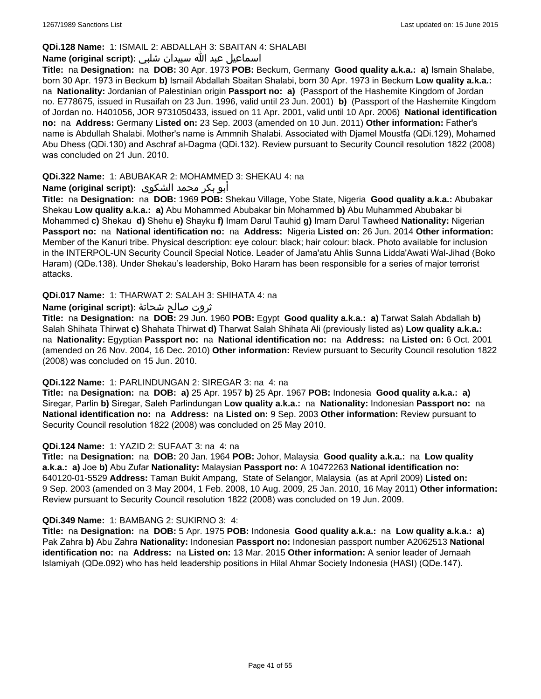### **QDi.128 Name:** 1: ISMAIL 2: ABDALLAH 3: SBAITAN 4: SHALABI

### اسماعيل عبد الله سبيدان شلبي **:(script original (Name**

**Title:** na **Designation:** na **DOB:** 30 Apr. 1973 **POB:** Beckum, Germany **Good quality a.k.a.: a)** Ismain Shalabe, born 30 Apr. 1973 in Beckum **b)** Ismail Abdallah Sbaitan Shalabi, born 30 Apr. 1973 in Beckum **Low quality a.k.a.:**  na **Nationality:** Jordanian of Palestinian origin **Passport no: a)** (Passport of the Hashemite Kingdom of Jordan no. E778675, issued in Rusaifah on 23 Jun. 1996, valid until 23 Jun. 2001) **b)** (Passport of the Hashemite Kingdom of Jordan no. H401056, JOR 9731050433, issued on 11 Apr. 2001, valid until 10 Apr. 2006) **National identification no:** na **Address:** Germany **Listed on:** 23 Sep. 2003 (amended on 10 Jun. 2011) **Other information:** Father's name is Abdullah Shalabi. Mother's name is Ammnih Shalabi. Associated with Djamel Moustfa (QDi.129), Mohamed Abu Dhess (QDi.130) and Aschraf al-Dagma (QDi.132). Review pursuant to Security Council resolution 1822 (2008) was concluded on 21 Jun. 2010.

### **QDi.322 Name:** 1: ABUBAKAR 2: MOHAMMED 3: SHEKAU 4: na

### أبو بكر محمد الشكوى **:(script original (Name**

**Title:** na **Designation:** na **DOB:** 1969 **POB:** Shekau Village, Yobe State, Nigeria **Good quality a.k.a.:** Abubakar Shekau **Low quality a.k.a.: a)** Abu Mohammed Abubakar bin Mohammed **b)** Abu Muhammed Abubakar bi Mohammed **c)** Shekau **d)** Shehu **e)** Shayku **f)** Imam Darul Tauhid **g)** Imam Darul Tawheed **Nationality:** Nigerian **Passport no:** na **National identification no:** na **Address:** Nigeria **Listed on:** 26 Jun. 2014 **Other information:** Member of the Kanuri tribe. Physical description: eye colour: black; hair colour: black. Photo available for inclusion in the INTERPOL-UN Security Council Special Notice. Leader of Jama'atu Ahlis Sunna Lidda'Awati Wal-Jihad (Boko Haram) (QDe.138). Under Shekau's leadership, Boko Haram has been responsible for a series of major terrorist attacks.

### **QDi.017 Name:** 1: THARWAT 2: SALAH 3: SHIHATA 4: na

### ثروت صالح شحاتة **:(script original (Name**

**Title:** na **Designation:** na **DOB:** 29 Jun. 1960 **POB:** Egypt **Good quality a.k.a.: a)** Tarwat Salah Abdallah **b)** Salah Shihata Thirwat **c)** Shahata Thirwat **d)** Tharwat Salah Shihata Ali (previously listed as) **Low quality a.k.a.:**  na **Nationality:** Egyptian **Passport no:** na **National identification no:** na **Address:** na **Listed on:** 6 Oct. 2001 (amended on 26 Nov. 2004, 16 Dec. 2010) **Other information:** Review pursuant to Security Council resolution 1822 (2008) was concluded on 15 Jun. 2010.

#### **QDi.122 Name:** 1: PARLINDUNGAN 2: SIREGAR 3: na 4: na

**Title:** na **Designation:** na **DOB: a)** 25 Apr. 1957 **b)** 25 Apr. 1967 **POB:** Indonesia **Good quality a.k.a.: a)** Siregar, Parlin **b)** Siregar, Saleh Parlindungan **Low quality a.k.a.:** na **Nationality:** Indonesian **Passport no:** na **National identification no:** na **Address:** na **Listed on:** 9 Sep. 2003 **Other information:** Review pursuant to Security Council resolution 1822 (2008) was concluded on 25 May 2010.

#### **QDi.124 Name:** 1: YAZID 2: SUFAAT 3: na 4: na

**Title:** na **Designation:** na **DOB:** 20 Jan. 1964 **POB:** Johor, Malaysia **Good quality a.k.a.:** na **Low quality a.k.a.: a)** Joe **b)** Abu Zufar **Nationality:** Malaysian **Passport no:** A 10472263 **National identification no:** 640120-01-5529 **Address:** Taman Bukit Ampang, State of Selangor, Malaysia (as at April 2009) **Listed on:** 9 Sep. 2003 (amended on 3 May 2004, 1 Feb. 2008, 10 Aug. 2009, 25 Jan. 2010, 16 May 2011) **Other information:** Review pursuant to Security Council resolution 1822 (2008) was concluded on 19 Jun. 2009.

#### **QDi.349 Name:** 1: BAMBANG 2: SUKIRNO 3: 4:

**Title:** na **Designation:** na **DOB:** 5 Apr. 1975 **POB:** Indonesia **Good quality a.k.a.:** na **Low quality a.k.a.: a)** Pak Zahra **b)** Abu Zahra **Nationality:** Indonesian **Passport no:** Indonesian passport number A2062513 **National identification no:** na **Address:** na **Listed on:** 13 Mar. 2015 **Other information:** A senior leader of Jemaah Islamiyah (QDe.092) who has held leadership positions in Hilal Ahmar Society Indonesia (HASI) (QDe.147).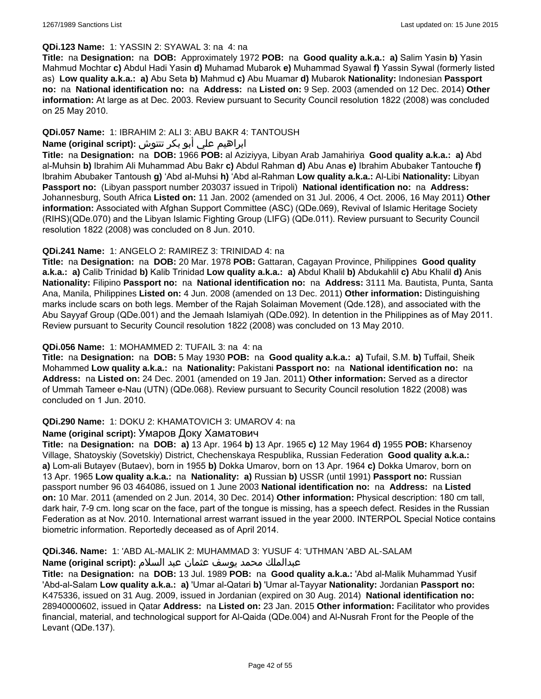#### **QDi.123 Name:** 1: YASSIN 2: SYAWAL 3: na 4: na

**Title:** na **Designation:** na **DOB:** Approximately 1972 **POB:** na **Good quality a.k.a.: a)** Salim Yasin **b)** Yasin Mahmud Mochtar **c)** Abdul Hadi Yasin **d)** Muhamad Mubarok **e)** Muhammad Syawal **f)** Yassin Sywal (formerly listed as) **Low quality a.k.a.: a)** Abu Seta **b)** Mahmud **c)** Abu Muamar **d)** Mubarok **Nationality:** Indonesian **Passport no:** na **National identification no:** na **Address:** na **Listed on:** 9 Sep. 2003 (amended on 12 Dec. 2014) **Other information:** At large as at Dec. 2003. Review pursuant to Security Council resolution 1822 (2008) was concluded on 25 May 2010.

### **QDi.057 Name:** 1: IBRAHIM 2: ALI 3: ABU BAKR 4: TANTOUSH

# ابراهيم علي أبو بكر تنتوش **:(script original (Name**

**Title:** na **Designation:** na **DOB:** 1966 **POB:** al Aziziyya, Libyan Arab Jamahiriya **Good quality a.k.a.: a)** Abd al-Muhsin **b)** Ibrahim Ali Muhammad Abu Bakr **c)** Abdul Rahman **d)** Abu Anas **e)** Ibrahim Abubaker Tantouche **f)** Ibrahim Abubaker Tantoush **g)** 'Abd al-Muhsi **h)** 'Abd al-Rahman **Low quality a.k.a.:** Al-Libi **Nationality:** Libyan **Passport no:** (Libyan passport number 203037 issued in Tripoli) **National identification no:** na **Address:** Johannesburg, South Africa **Listed on:** 11 Jan. 2002 (amended on 31 Jul. 2006, 4 Oct. 2006, 16 May 2011) **Other information:** Associated with Afghan Support Committee (ASC) (QDe.069), Revival of Islamic Heritage Society (RIHS)(QDe.070) and the Libyan Islamic Fighting Group (LIFG) (QDe.011). Review pursuant to Security Council resolution 1822 (2008) was concluded on 8 Jun. 2010.

### **QDi.241 Name:** 1: ANGELO 2: RAMIREZ 3: TRINIDAD 4: na

**Title:** na **Designation:** na **DOB:** 20 Mar. 1978 **POB:** Gattaran, Cagayan Province, Philippines **Good quality a.k.a.: a)** Calib Trinidad **b)** Kalib Trinidad **Low quality a.k.a.: a)** Abdul Khalil **b)** Abdukahlil **c)** Abu Khalil **d)** Anis **Nationality:** Filipino **Passport no:** na **National identification no:** na **Address:** 3111 Ma. Bautista, Punta, Santa Ana, Manila, Philippines **Listed on:** 4 Jun. 2008 (amended on 13 Dec. 2011) **Other information:** Distinguishing marks include scars on both legs. Member of the Rajah Solaiman Movement (Qde.128), and associated with the Abu Sayyaf Group (QDe.001) and the Jemaah Islamiyah (QDe.092). In detention in the Philippines as of May 2011. Review pursuant to Security Council resolution 1822 (2008) was concluded on 13 May 2010.

### **QDi.056 Name:** 1: MOHAMMED 2: TUFAIL 3: na 4: na

**Title:** na **Designation:** na **DOB:** 5 May 1930 **POB:** na **Good quality a.k.a.: a)** Tufail, S.M. **b)** Tuffail, Sheik Mohammed **Low quality a.k.a.:** na **Nationality:** Pakistani **Passport no:** na **National identification no:** na **Address:** na **Listed on:** 24 Dec. 2001 (amended on 19 Jan. 2011) **Other information:** Served as a director of Ummah Tameer e-Nau (UTN) (QDe.068). Review pursuant to Security Council resolution 1822 (2008) was concluded on 1 Jun. 2010.

#### **QDi.290 Name:** 1: DOKU 2: KHAMATOVICH 3: UMAROV 4: na

#### **Name (original script):** Умаров Доку Хаматович

**Title:** na **Designation:** na **DOB: a)** 13 Apr. 1964 **b)** 13 Apr. 1965 **c)** 12 May 1964 **d)** 1955 **POB:** Kharsenoy Village, Shatoyskiy (Sovetskiy) District, Chechenskaya Respublika, Russian Federation **Good quality a.k.a.: a)** Lom-ali Butayev (Butaev), born in 1955 **b)** Dokka Umarov, born on 13 Apr. 1964 **c)** Dokka Umarov, born on 13 Apr. 1965 **Low quality a.k.a.:** na **Nationality: a)** Russian **b)** USSR (until 1991) **Passport no:** Russian passport number 96 03 464086, issued on 1 June 2003 **National identification no:** na **Address:** na **Listed on:** 10 Mar. 2011 (amended on 2 Jun. 2014, 30 Dec. 2014) **Other information:** Physical description: 180 cm tall, dark hair, 7-9 cm. long scar on the face, part of the tongue is missing, has a speech defect. Resides in the Russian Federation as at Nov. 2010. International arrest warrant issued in the year 2000. INTERPOL Special Notice contains biometric information. Reportedly deceased as of April 2014.

### **QDi.346. Name:** 1: 'ABD AL-MALIK 2: MUHAMMAD 3: YUSUF 4: 'UTHMAN 'ABD AL-SALAM

### عبدالملك محمد يوسف عثمان عبد السلام **:(script original (Name**

**Title:** na **Designation:** na **DOB:** 13 Jul. 1989 **POB:** na **Good quality a.k.a.:** 'Abd al-Malik Muhammad Yusif 'Abd-al-Salam **Low quality a.k.a.: a)** 'Umar al-Qatari **b)** 'Umar al-Tayyar **Nationality:** Jordanian **Passport no:** K475336, issued on 31 Aug. 2009, issued in Jordanian (expired on 30 Aug. 2014) **National identification no:** 28940000602, issued in Qatar **Address:** na **Listed on:** 23 Jan. 2015 **Other information:** Facilitator who provides financial, material, and technological support for Al-Qaida (QDe.004) and Al-Nusrah Front for the People of the Levant (QDe.137).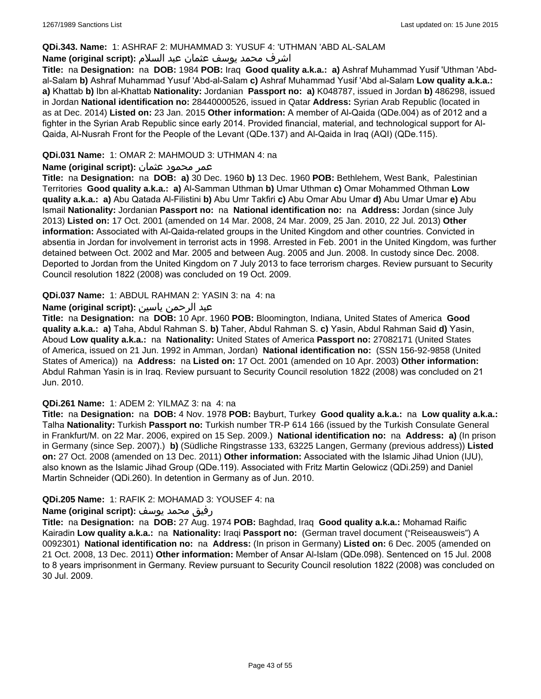### **QDi.343. Name:** 1: ASHRAF 2: MUHAMMAD 3: YUSUF 4: 'UTHMAN 'ABD AL-SALAM

### اشرف محمد يوسف عثمان عبد السلام **:(script original (Name**

**Title:** na **Designation:** na **DOB:** 1984 **POB:** Iraq **Good quality a.k.a.: a)** Ashraf Muhammad Yusif 'Uthman 'Abdal-Salam **b)** Ashraf Muhammad Yusuf 'Abd-al-Salam **c)** Ashraf Muhammad Yusif 'Abd al-Salam **Low quality a.k.a.: a)** Khattab **b)** Ibn al-Khattab **Nationality:** Jordanian **Passport no: a)** K048787, issued in Jordan **b)** 486298, issued in Jordan **National identification no:** 28440000526, issued in Qatar **Address:** Syrian Arab Republic (located in as at Dec. 2014) **Listed on:** 23 Jan. 2015 **Other information:** A member of Al-Qaida (QDe.004) as of 2012 and a fighter in the Syrian Arab Republic since early 2014. Provided financial, material, and technological support for Al-Qaida, Al-Nusrah Front for the People of the Levant (QDe.137) and Al-Qaida in Iraq (AQI) (QDe.115).

### **QDi.031 Name:** 1: OMAR 2: MAHMOUD 3: UTHMAN 4: na

### عمر محمود عثمان **:(script original (Name**

**Title:** na **Designation:** na **DOB: a)** 30 Dec. 1960 **b)** 13 Dec. 1960 **POB:** Bethlehem, West Bank, Palestinian Territories **Good quality a.k.a.: a)** Al-Samman Uthman **b)** Umar Uthman **c)** Omar Mohammed Othman **Low quality a.k.a.: a)** Abu Qatada Al-Filistini **b)** Abu Umr Takfiri **c)** Abu Omar Abu Umar **d)** Abu Umar Umar **e)** Abu Ismail **Nationality:** Jordanian **Passport no:** na **National identification no:** na **Address:** Jordan (since July 2013) **Listed on:** 17 Oct. 2001 (amended on 14 Mar. 2008, 24 Mar. 2009, 25 Jan. 2010, 22 Jul. 2013) **Other information:** Associated with Al-Qaida-related groups in the United Kingdom and other countries. Convicted in absentia in Jordan for involvement in terrorist acts in 1998. Arrested in Feb. 2001 in the United Kingdom, was further detained between Oct. 2002 and Mar. 2005 and between Aug. 2005 and Jun. 2008. In custody since Dec. 2008. Deported to Jordan from the United Kingdom on 7 July 2013 to face terrorism charges. Review pursuant to Security Council resolution 1822 (2008) was concluded on 19 Oct. 2009.

### **QDi.037 Name:** 1: ABDUL RAHMAN 2: YASIN 3: na 4: na

### عبد الرحمن ياسين **:(script original (Name**

**Title:** na **Designation:** na **DOB:** 10 Apr. 1960 **POB:** Bloomington, Indiana, United States of America **Good quality a.k.a.: a)** Taha, Abdul Rahman S. **b)** Taher, Abdul Rahman S. **c)** Yasin, Abdul Rahman Said **d)** Yasin, Aboud **Low quality a.k.a.:** na **Nationality:** United States of America **Passport no:** 27082171 (United States of America, issued on 21 Jun. 1992 in Amman, Jordan) **National identification no:** (SSN 156-92-9858 (United States of America)) na **Address:** na **Listed on:** 17 Oct. 2001 (amended on 10 Apr. 2003) **Other information:** Abdul Rahman Yasin is in Iraq. Review pursuant to Security Council resolution 1822 (2008) was concluded on 21 Jun. 2010.

#### **QDi.261 Name:** 1: ADEM 2: YILMAZ 3: na 4: na

**Title:** na **Designation:** na **DOB:** 4 Nov. 1978 **POB:** Bayburt, Turkey **Good quality a.k.a.:** na **Low quality a.k.a.:** Talha **Nationality:** Turkish **Passport no:** Turkish number TR-P 614 166 (issued by the Turkish Consulate General in Frankfurt/M. on 22 Mar. 2006, expired on 15 Sep. 2009.) **National identification no:** na **Address: a)** (In prison in Germany (since Sep. 2007).) **b)** (Südliche Ringstrasse 133, 63225 Langen, Germany (previous address)) **Listed on:** 27 Oct. 2008 (amended on 13 Dec. 2011) **Other information:** Associated with the Islamic Jihad Union (IJU), also known as the Islamic Jihad Group (QDe.119). Associated with Fritz Martin Gelowicz (QDi.259) and Daniel Martin Schneider (QDi.260). In detention in Germany as of Jun. 2010.

#### **QDi.205 Name:** 1: RAFIK 2: MOHAMAD 3: YOUSEF 4: na

#### رفيق محمد يوسف **:(script original (Name**

**Title:** na **Designation:** na **DOB:** 27 Aug. 1974 **POB:** Baghdad, Iraq **Good quality a.k.a.:** Mohamad Raific Kairadin **Low quality a.k.a.:** na **Nationality:** Iraqi **Passport no:** (German travel document ("Reiseausweis") A 0092301) **National identification no:** na **Address:** (In prison in Germany) **Listed on:** 6 Dec. 2005 (amended on 21 Oct. 2008, 13 Dec. 2011) **Other information:** Member of Ansar Al-Islam (QDe.098). Sentenced on 15 Jul. 2008 to 8 years imprisonment in Germany. Review pursuant to Security Council resolution 1822 (2008) was concluded on 30 Jul. 2009.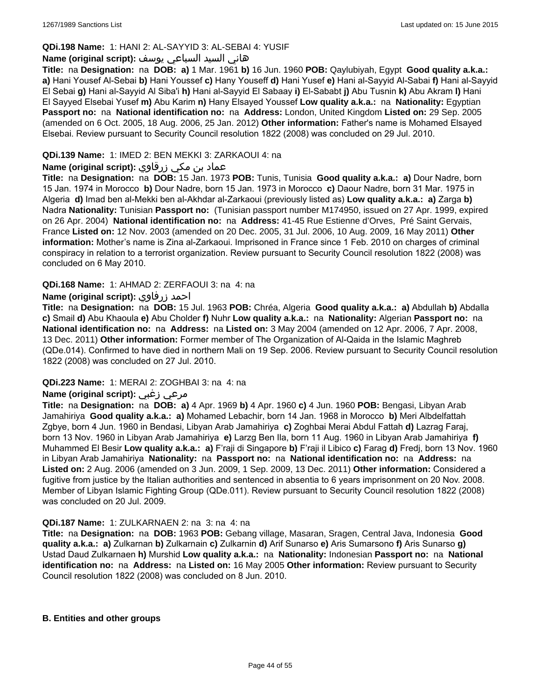### **QDi.198 Name:** 1: HANI 2: AL-SAYYID 3: AL-SEBAI 4: YUSIF

### هاني السيد السباعي يوسف **:(script original (Name**

**Title:** na **Designation:** na **DOB: a)** 1 Mar. 1961 **b)** 16 Jun. 1960 **POB:** Qaylubiyah, Egypt **Good quality a.k.a.: a)** Hani Yousef Al-Sebai **b)** Hani Youssef **c)** Hany Youseff **d)** Hani Yusef **e)** Hani al-Sayyid Al-Sabai **f)** Hani al-Sayyid El Sebai **g)** Hani al-Sayyid Al Siba'i **h)** Hani al-Sayyid El Sabaay **i)** El-Sababt **j)** Abu Tusnin **k)** Abu Akram **l)** Hani El Sayyed Elsebai Yusef **m)** Abu Karim **n)** Hany Elsayed Youssef **Low quality a.k.a.:** na **Nationality:** Egyptian **Passport no:** na **National identification no:** na **Address:** London, United Kingdom **Listed on:** 29 Sep. 2005 (amended on 6 Oct. 2005, 18 Aug. 2006, 25 Jan. 2012) **Other information:** Father's name is Mohamed Elsayed Elsebai. Review pursuant to Security Council resolution 1822 (2008) was concluded on 29 Jul. 2010.

# **QDi.139 Name:** 1: IMED 2: BEN MEKKI 3: ZARKAOUI 4: na

### عماد بن مكي زرقاوي **:(script original (Name**

**Title:** na **Designation:** na **DOB:** 15 Jan. 1973 **POB:** Tunis, Tunisia **Good quality a.k.a.: a)** Dour Nadre, born 15 Jan. 1974 in Morocco **b)** Dour Nadre, born 15 Jan. 1973 in Morocco **c)** Daour Nadre, born 31 Mar. 1975 in Algeria **d)** Imad ben al-Mekki ben al-Akhdar al-Zarkaoui (previously listed as) **Low quality a.k.a.: a)** Zarga **b)** Nadra **Nationality:** Tunisian **Passport no:** (Tunisian passport number M174950, issued on 27 Apr. 1999, expired on 26 Apr. 2004) **National identification no:** na **Address:** 41-45 Rue Estienne d'Orves, Pré Saint Gervais, France **Listed on:** 12 Nov. 2003 (amended on 20 Dec. 2005, 31 Jul. 2006, 10 Aug. 2009, 16 May 2011) **Other information:** Mother's name is Zina al-Zarkaoui. Imprisoned in France since 1 Feb. 2010 on charges of criminal conspiracy in relation to a terrorist organization. Review pursuant to Security Council resolution 1822 (2008) was concluded on 6 May 2010.

#### **QDi.168 Name:** 1: AHMAD 2: ZERFAOUI 3: na 4: na

### **Name (original script):** زرفاوي احمد

**Title:** na **Designation:** na **DOB:** 15 Jul. 1963 **POB:** Chréa, Algeria **Good quality a.k.a.: a)** Abdullah **b)** Abdalla **c)** Smail **d)** Abu Khaoula **e)** Abu Cholder **f)** Nuhr **Low quality a.k.a.:** na **Nationality:** Algerian **Passport no:** na **National identification no:** na **Address:** na **Listed on:** 3 May 2004 (amended on 12 Apr. 2006, 7 Apr. 2008, 13 Dec. 2011) **Other information:** Former member of The Organization of Al-Qaida in the Islamic Maghreb (QDe.014). Confirmed to have died in northern Mali on 19 Sep. 2006. Review pursuant to Security Council resolution 1822 (2008) was concluded on 27 Jul. 2010.

#### **QDi.223 Name:** 1: MERAI 2: ZOGHBAI 3: na 4: na

# **Name (original script):** زغبي مرعي

**Title:** na **Designation:** na **DOB: a)** 4 Apr. 1969 **b)** 4 Apr. 1960 **c)** 4 Jun. 1960 **POB:** Bengasi, Libyan Arab Jamahiriya **Good quality a.k.a.: a)** Mohamed Lebachir, born 14 Jan. 1968 in Morocco **b)** Meri Albdelfattah Zgbye, born 4 Jun. 1960 in Bendasi, Libyan Arab Jamahiriya **c)** Zoghbai Merai Abdul Fattah **d)** Lazrag Faraj, born 13 Nov. 1960 in Libyan Arab Jamahiriya **e)** Larzg Ben Ila, born 11 Aug. 1960 in Libyan Arab Jamahiriya **f)** Muhammed El Besir **Low quality a.k.a.: a)** F'raji di Singapore **b)** F'raji il Libico **c)** Farag **d)** Fredj, born 13 Nov. 1960 in Libyan Arab Jamahiriya **Nationality:** na **Passport no:** na **National identification no:** na **Address:** na **Listed on:** 2 Aug. 2006 (amended on 3 Jun. 2009, 1 Sep. 2009, 13 Dec. 2011) **Other information:** Considered a fugitive from justice by the Italian authorities and sentenced in absentia to 6 years imprisonment on 20 Nov. 2008. Member of Libyan Islamic Fighting Group (QDe.011). Review pursuant to Security Council resolution 1822 (2008) was concluded on 20 Jul. 2009.

#### **QDi.187 Name:** 1: ZULKARNAEN 2: na 3: na 4: na

**Title:** na **Designation:** na **DOB:** 1963 **POB:** Gebang village, Masaran, Sragen, Central Java, Indonesia **Good quality a.k.a.: a)** Zulkarnan **b)** Zulkarnain **c)** Zulkarnin **d)** Arif Sunarso **e)** Aris Sumarsono **f)** Aris Sunarso **g)** Ustad Daud Zulkarnaen **h)** Murshid **Low quality a.k.a.:** na **Nationality:** Indonesian **Passport no:** na **National identification no:** na **Address:** na **Listed on:** 16 May 2005 **Other information:** Review pursuant to Security Council resolution 1822 (2008) was concluded on 8 Jun. 2010.

#### **B. Entities and other groups**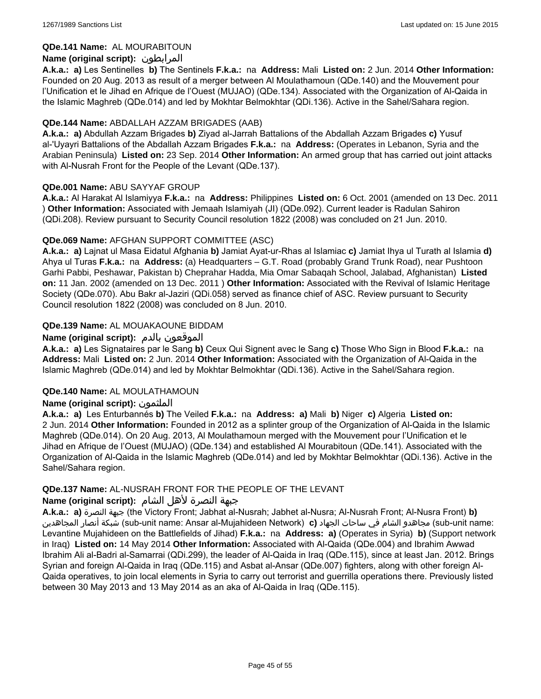### **QDe.141 Name:** AL MOURABITOUN

### **Name (original script):** المرابطون

**A.k.a.: a)** Les Sentinelles **b)** The Sentinels **F.k.a.:** na **Address:** Mali **Listed on:** 2 Jun. 2014 **Other Information:**  Founded on 20 Aug. 2013 as result of a merger between Al Moulathamoun (QDe.140) and the Mouvement pour l'Unification et le Jihad en Afrique de l'Ouest (MUJAO) (QDe.134). Associated with the Organization of Al-Qaida in the Islamic Maghreb (QDe.014) and led by Mokhtar Belmokhtar (QDi.136). Active in the Sahel/Sahara region.

#### **QDe.144 Name:** ABDALLAH AZZAM BRIGADES (AAB)

**A.k.a.: a)** Abdullah Azzam Brigades **b)** Ziyad al-Jarrah Battalions of the Abdallah Azzam Brigades **c)** Yusuf al-'Uyayri Battalions of the Abdallah Azzam Brigades **F.k.a.:** na **Address:** (Operates in Lebanon, Syria and the Arabian Peninsula) **Listed on:** 23 Sep. 2014 **Other Information:** An armed group that has carried out joint attacks with Al-Nusrah Front for the People of the Levant (QDe.137).

### **QDe.001 Name:** ABU SAYYAF GROUP

**A.k.a.:** Al Harakat Al Islamiyya **F.k.a.:** na **Address:** Philippines **Listed on:** 6 Oct. 2001 (amended on 13 Dec. 2011 ) **Other Information:** Associated with Jemaah Islamiyah (JI) (QDe.092). Current leader is Radulan Sahiron (QDi.208). Review pursuant to Security Council resolution 1822 (2008) was concluded on 21 Jun. 2010.

### **QDe.069 Name:** AFGHAN SUPPORT COMMITTEE (ASC)

**A.k.a.: a)** Lajnat ul Masa Eidatul Afghania **b)** Jamiat Ayat-ur-Rhas al Islamiac **c)** Jamiat Ihya ul Turath al Islamia **d)** Ahya ul Turas **F.k.a.:** na **Address:** (a) Headquarters – G.T. Road (probably Grand Trunk Road), near Pushtoon Garhi Pabbi, Peshawar, Pakistan b) Cheprahar Hadda, Mia Omar Sabaqah School, Jalabad, Afghanistan) **Listed on:** 11 Jan. 2002 (amended on 13 Dec. 2011 ) **Other Information:** Associated with the Revival of Islamic Heritage Society (QDe.070). Abu Bakr al-Jaziri (QDi.058) served as finance chief of ASC. Review pursuant to Security Council resolution 1822 (2008) was concluded on 8 Jun. 2010.

### **QDe.139 Name:** AL MOUAKAOUNE BIDDAM

### **Name (original script):** بالدم الموقعون

**A.k.a.: a)** Les Signataires par le Sang **b)** Ceux Qui Signent avec le Sang **c)** Those Who Sign in Blood **F.k.a.:** na **Address:** Mali **Listed on:** 2 Jun. 2014 **Other Information:** Associated with the Organization of Al-Qaida in the Islamic Maghreb (QDe.014) and led by Mokhtar Belmokhtar (QDi.136). Active in the Sahel/Sahara region.

#### **QDe.140 Name:** AL MOULATHAMOUN

#### **Name (original script):** الملثمون

**A.k.a.: a)** Les Enturbannés **b)** The Veiled **F.k.a.:** na **Address: a)** Mali **b)** Niger **c)** Algeria **Listed on:** 2 Jun. 2014 **Other Information:** Founded in 2012 as a splinter group of the Organization of Al-Qaida in the Islamic Maghreb (QDe.014). On 20 Aug. 2013, Al Moulathamoun merged with the Mouvement pour l'Unification et le Jihad en Afrique de l'Ouest (MUJAO) (QDe.134) and established Al Mourabitoun (QDe.141). Associated with the Organization of Al-Qaida in the Islamic Maghreb (QDe.014) and led by Mokhtar Belmokhtar (QDi.136). Active in the Sahel/Sahara region.

#### **QDe.137 Name:** AL-NUSRAH FRONT FOR THE PEOPLE OF THE LEVANT

#### جبهة النصرة لأهل الشام **:(script original (Name**

**A.k.a.: a)** النصرة جبهة) the Victory Front; Jabhat al-Nusrah; Jabhet al-Nusra; Al-Nusrah Front; Al-Nusra Front) **b)**  المجاهدين أنصار شبكة) sub-unit name: Ansar al-Mujahideen Network) **c)** الجهاد ساحات في الشام مجاهدو) sub-unit name: Levantine Mujahideen on the Battlefields of Jihad) **F.k.a.:** na **Address: a)** (Operates in Syria) **b)** (Support network in Iraq) **Listed on:** 14 May 2014 **Other Information:** Associated with Al-Qaida (QDe.004) and Ibrahim Awwad Ibrahim Ali al-Badri al-Samarrai (QDi.299), the leader of Al-Qaida in Iraq (QDe.115), since at least Jan. 2012. Brings Syrian and foreign Al-Qaida in Iraq (QDe.115) and Asbat al-Ansar (QDe.007) fighters, along with other foreign Al-Qaida operatives, to join local elements in Syria to carry out terrorist and guerrilla operations there. Previously listed between 30 May 2013 and 13 May 2014 as an aka of Al-Qaida in Iraq (QDe.115).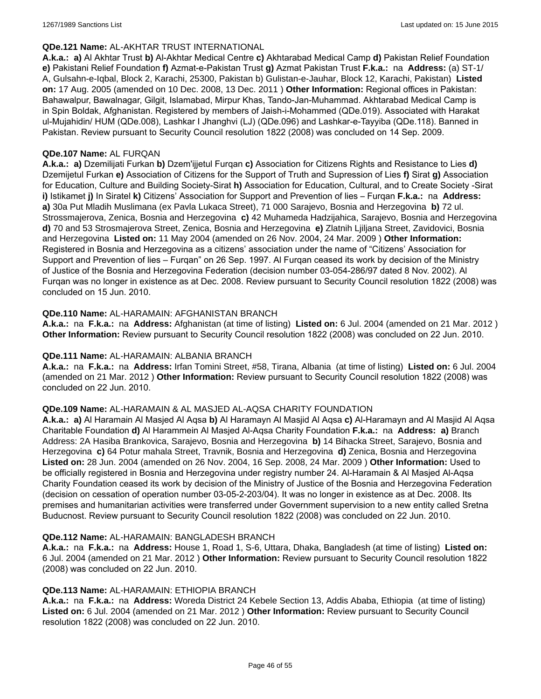#### **QDe.121 Name:** AL-AKHTAR TRUST INTERNATIONAL

**A.k.a.: a)** Al Akhtar Trust **b)** Al-Akhtar Medical Centre **c)** Akhtarabad Medical Camp **d)** Pakistan Relief Foundation **e)** Pakistani Relief Foundation **f)** Azmat-e-Pakistan Trust **g)** Azmat Pakistan Trust **F.k.a.:** na **Address:** (a) ST-1/ A, Gulsahn-e-Iqbal, Block 2, Karachi, 25300, Pakistan b) Gulistan-e-Jauhar, Block 12, Karachi, Pakistan) **Listed on:** 17 Aug. 2005 (amended on 10 Dec. 2008, 13 Dec. 2011 ) **Other Information:** Regional offices in Pakistan: Bahawalpur, Bawalnagar, Gilgit, Islamabad, Mirpur Khas, Tando-Jan-Muhammad. Akhtarabad Medical Camp is in Spin Boldak, Afghanistan. Registered by members of Jaish-i-Mohammed (QDe.019). Associated with Harakat ul-Mujahidin/ HUM (QDe.008), Lashkar I Jhanghvi (LJ) (QDe.096) and Lashkar-e-Tayyiba (QDe.118). Banned in Pakistan. Review pursuant to Security Council resolution 1822 (2008) was concluded on 14 Sep. 2009.

#### **QDe.107 Name:** AL FURQAN

**A.k.a.: a)** Dzemilijati Furkan **b)** Dzem'ijjetul Furqan **c)** Association for Citizens Rights and Resistance to Lies **d)** Dzemijetul Furkan **e)** Association of Citizens for the Support of Truth and Supression of Lies **f)** Sirat **g)** Association for Education, Culture and Building Society-Sirat **h)** Association for Education, Cultural, and to Create Society -Sirat **i)** Istikamet **j)** In Siratel **k)** Citizens' Association for Support and Prevention of lies – Furqan **F.k.a.:** na **Address: a)** 30a Put Mladih Muslimana (ex Pavla Lukaca Street), 71 000 Sarajevo, Bosnia and Herzegovina **b)** 72 ul. Strossmajerova, Zenica, Bosnia and Herzegovina **c)** 42 Muhameda Hadzijahica, Sarajevo, Bosnia and Herzegovina **d)** 70 and 53 Strosmajerova Street, Zenica, Bosnia and Herzegovina **e)** Zlatnih Ljiljana Street, Zavidovici, Bosnia and Herzegovina **Listed on:** 11 May 2004 (amended on 26 Nov. 2004, 24 Mar. 2009 ) **Other Information:** Registered in Bosnia and Herzegovina as a citizens' association under the name of "Citizens' Association for Support and Prevention of lies – Furqan" on 26 Sep. 1997. Al Furqan ceased its work by decision of the Ministry of Justice of the Bosnia and Herzegovina Federation (decision number 03-054-286/97 dated 8 Nov. 2002). Al Furqan was no longer in existence as at Dec. 2008. Review pursuant to Security Council resolution 1822 (2008) was concluded on 15 Jun. 2010.

### **QDe.110 Name:** AL-HARAMAIN: AFGHANISTAN BRANCH

**A.k.a.:** na **F.k.a.:** na **Address:** Afghanistan (at time of listing) **Listed on:** 6 Jul. 2004 (amended on 21 Mar. 2012 ) **Other Information:** Review pursuant to Security Council resolution 1822 (2008) was concluded on 22 Jun. 2010.

#### **QDe.111 Name:** AL-HARAMAIN: ALBANIA BRANCH

**A.k.a.:** na **F.k.a.:** na **Address:** Irfan Tomini Street, #58, Tirana, Albania (at time of listing) **Listed on:** 6 Jul. 2004 (amended on 21 Mar. 2012 ) **Other Information:** Review pursuant to Security Council resolution 1822 (2008) was concluded on 22 Jun. 2010.

#### **QDe.109 Name:** AL-HARAMAIN & AL MASJED AL-AQSA CHARITY FOUNDATION

**A.k.a.: a)** Al Haramain Al Masjed Al Aqsa **b)** Al Haramayn Al Masjid Al Aqsa **c)** Al-Haramayn and Al Masjid Al Aqsa Charitable Foundation **d)** Al Harammein Al Masjed Al-Aqsa Charity Foundation **F.k.a.:** na **Address: a)** Branch Address: 2A Hasiba Brankovica, Sarajevo, Bosnia and Herzegovina **b)** 14 Bihacka Street, Sarajevo, Bosnia and Herzegovina **c)** 64 Potur mahala Street, Travnik, Bosnia and Herzegovina **d)** Zenica, Bosnia and Herzegovina **Listed on:** 28 Jun. 2004 (amended on 26 Nov. 2004, 16 Sep. 2008, 24 Mar. 2009 ) **Other Information:** Used to be officially registered in Bosnia and Herzegovina under registry number 24. Al-Haramain & Al Masjed Al-Aqsa Charity Foundation ceased its work by decision of the Ministry of Justice of the Bosnia and Herzegovina Federation (decision on cessation of operation number 03-05-2-203/04). It was no longer in existence as at Dec. 2008. Its premises and humanitarian activities were transferred under Government supervision to a new entity called Sretna Buducnost. Review pursuant to Security Council resolution 1822 (2008) was concluded on 22 Jun. 2010.

#### **QDe.112 Name:** AL-HARAMAIN: BANGLADESH BRANCH

**A.k.a.:** na **F.k.a.:** na **Address:** House 1, Road 1, S-6, Uttara, Dhaka, Bangladesh (at time of listing) **Listed on:** 6 Jul. 2004 (amended on 21 Mar. 2012 ) **Other Information:** Review pursuant to Security Council resolution 1822 (2008) was concluded on 22 Jun. 2010.

#### **QDe.113 Name:** AL-HARAMAIN: ETHIOPIA BRANCH

**A.k.a.:** na **F.k.a.:** na **Address:** Woreda District 24 Kebele Section 13, Addis Ababa, Ethiopia (at time of listing) **Listed on:** 6 Jul. 2004 (amended on 21 Mar. 2012 ) **Other Information:** Review pursuant to Security Council resolution 1822 (2008) was concluded on 22 Jun. 2010.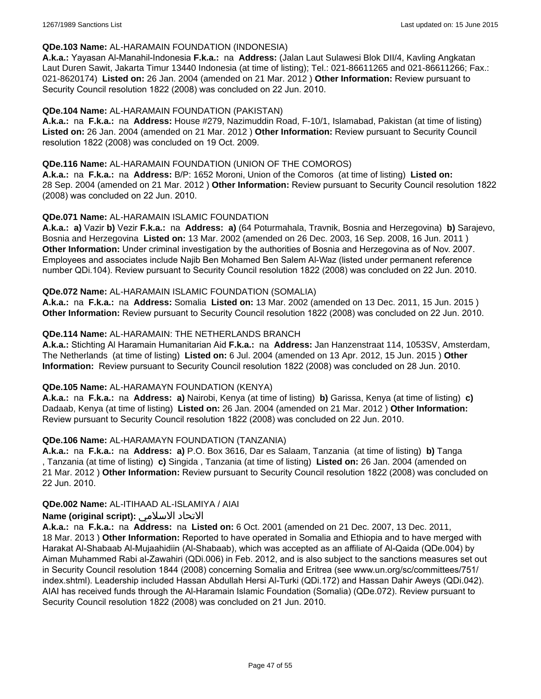#### **QDe.103 Name:** AL-HARAMAIN FOUNDATION (INDONESIA)

**A.k.a.:** Yayasan Al-Manahil-Indonesia **F.k.a.:** na **Address:** (Jalan Laut Sulawesi Blok DII/4, Kavling Angkatan Laut Duren Sawit, Jakarta Timur 13440 Indonesia (at time of listing); Tel.: 021-86611265 and 021-86611266; Fax.: 021-8620174) **Listed on:** 26 Jan. 2004 (amended on 21 Mar. 2012 ) **Other Information:** Review pursuant to Security Council resolution 1822 (2008) was concluded on 22 Jun. 2010.

### **QDe.104 Name:** AL-HARAMAIN FOUNDATION (PAKISTAN)

**A.k.a.:** na **F.k.a.:** na **Address:** House #279, Nazimuddin Road, F-10/1, Islamabad, Pakistan (at time of listing) **Listed on:** 26 Jan. 2004 (amended on 21 Mar. 2012 ) **Other Information:** Review pursuant to Security Council resolution 1822 (2008) was concluded on 19 Oct. 2009.

#### **QDe.116 Name:** AL-HARAMAIN FOUNDATION (UNION OF THE COMOROS)

**A.k.a.:** na **F.k.a.:** na **Address:** B/P: 1652 Moroni, Union of the Comoros (at time of listing) **Listed on:** 28 Sep. 2004 (amended on 21 Mar. 2012 ) **Other Information:** Review pursuant to Security Council resolution 1822 (2008) was concluded on 22 Jun. 2010.

### **QDe.071 Name:** AL-HARAMAIN ISLAMIC FOUNDATION

**A.k.a.: a)** Vazir **b)** Vezir **F.k.a.:** na **Address: a)** (64 Poturmahala, Travnik, Bosnia and Herzegovina) **b)** Sarajevo, Bosnia and Herzegovina **Listed on:** 13 Mar. 2002 (amended on 26 Dec. 2003, 16 Sep. 2008, 16 Jun. 2011 ) **Other Information:** Under criminal investigation by the authorities of Bosnia and Herzegovina as of Nov. 2007. Employees and associates include Najib Ben Mohamed Ben Salem Al-Waz (listed under permanent reference number QDi.104). Review pursuant to Security Council resolution 1822 (2008) was concluded on 22 Jun. 2010.

### **QDe.072 Name:** AL-HARAMAIN ISLAMIC FOUNDATION (SOMALIA)

**A.k.a.:** na **F.k.a.:** na **Address:** Somalia **Listed on:** 13 Mar. 2002 (amended on 13 Dec. 2011, 15 Jun. 2015 ) **Other Information:** Review pursuant to Security Council resolution 1822 (2008) was concluded on 22 Jun. 2010.

### **QDe.114 Name:** AL-HARAMAIN: THE NETHERLANDS BRANCH

**A.k.a.:** Stichting Al Haramain Humanitarian Aid **F.k.a.:** na **Address:** Jan Hanzenstraat 114, 1053SV, Amsterdam, The Netherlands (at time of listing) **Listed on:** 6 Jul. 2004 (amended on 13 Apr. 2012, 15 Jun. 2015 ) **Other Information:** Review pursuant to Security Council resolution 1822 (2008) was concluded on 28 Jun. 2010.

#### **QDe.105 Name:** AL-HARAMAYN FOUNDATION (KENYA)

**A.k.a.:** na **F.k.a.:** na **Address: a)** Nairobi, Kenya (at time of listing) **b)** Garissa, Kenya (at time of listing) **c)** Dadaab, Kenya (at time of listing) **Listed on:** 26 Jan. 2004 (amended on 21 Mar. 2012 ) **Other Information:** Review pursuant to Security Council resolution 1822 (2008) was concluded on 22 Jun. 2010.

#### **QDe.106 Name:** AL-HARAMAYN FOUNDATION (TANZANIA)

**A.k.a.:** na **F.k.a.:** na **Address: a)** P.O. Box 3616, Dar es Salaam, Tanzania (at time of listing) **b)** Tanga , Tanzania (at time of listing) **c)** Singida , Tanzania (at time of listing) **Listed on:** 26 Jan. 2004 (amended on 21 Mar. 2012 ) **Other Information:** Review pursuant to Security Council resolution 1822 (2008) was concluded on 22 Jun. 2010.

#### **QDe.002 Name:** AL-ITIHAAD AL-ISLAMIYA / AIAI

### **Name (original script):** الاسلامي الاتحاد

**A.k.a.:** na **F.k.a.:** na **Address:** na **Listed on:** 6 Oct. 2001 (amended on 21 Dec. 2007, 13 Dec. 2011, 18 Mar. 2013 ) **Other Information:** Reported to have operated in Somalia and Ethiopia and to have merged with Harakat Al-Shabaab Al-Mujaahidiin (Al-Shabaab), which was accepted as an affiliate of Al-Qaida (QDe.004) by Aiman Muhammed Rabi al-Zawahiri (QDi.006) in Feb. 2012, and is also subject to the sanctions measures set out in Security Council resolution 1844 (2008) concerning Somalia and Eritrea (see www.un.org/sc/committees/751/ index.shtml). Leadership included Hassan Abdullah Hersi Al-Turki (QDi.172) and Hassan Dahir Aweys (QDi.042). AIAI has received funds through the Al-Haramain Islamic Foundation (Somalia) (QDe.072). Review pursuant to Security Council resolution 1822 (2008) was concluded on 21 Jun. 2010.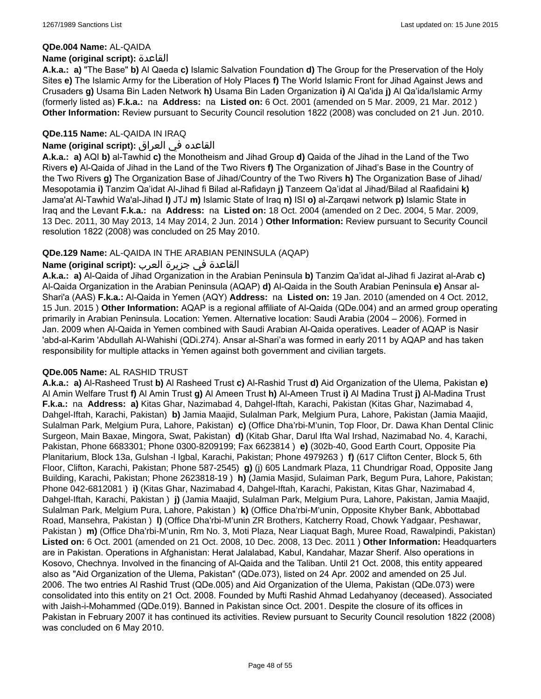#### **QDe.004 Name:** AL-QAIDA

#### **Name (original script):** القاعدة

**A.k.a.: a)** "The Base" **b)** Al Qaeda **c)** Islamic Salvation Foundation **d)** The Group for the Preservation of the Holy Sites **e)** The Islamic Army for the Liberation of Holy Places **f)** The World Islamic Front for Jihad Against Jews and Crusaders **g)** Usama Bin Laden Network **h)** Usama Bin Laden Organization **i)** Al Qa'ida **j)** Al Qa'ida/Islamic Army (formerly listed as) **F.k.a.:** na **Address:** na **Listed on:** 6 Oct. 2001 (amended on 5 Mar. 2009, 21 Mar. 2012 ) **Other Information:** Review pursuant to Security Council resolution 1822 (2008) was concluded on 21 Jun. 2010.

### **QDe.115 Name:** AL-QAIDA IN IRAQ

### القاعده في العراق **:(script original (Name**

**A.k.a.: a)** AQI **b)** al-Tawhid **c)** the Monotheism and Jihad Group **d)** Qaida of the Jihad in the Land of the Two Rivers **e)** Al-Qaida of Jihad in the Land of the Two Rivers **f)** The Organization of Jihad's Base in the Country of the Two Rivers **g)** The Organization Base of Jihad/Country of the Two Rivers **h)** The Organization Base of Jihad/ Mesopotamia **i)** Tanzim Qa'idat Al-Jihad fi Bilad al-Rafidayn **j)** Tanzeem Qa'idat al Jihad/Bilad al Raafidaini **k)** Jama'at Al-Tawhid Wa'al-Jihad **l)** JTJ **m)** Islamic State of Iraq **n)** ISI **o)** al-Zarqawi network **p)** Islamic State in Iraq and the Levant **F.k.a.:** na **Address:** na **Listed on:** 18 Oct. 2004 (amended on 2 Dec. 2004, 5 Mar. 2009, 13 Dec. 2011, 30 May 2013, 14 May 2014, 2 Jun. 2014 ) **Other Information:** Review pursuant to Security Council resolution 1822 (2008) was concluded on 25 May 2010.

### **QDe.129 Name:** AL-QAIDA IN THE ARABIAN PENINSULA (AQAP)

### القاعدة في جزيرة العرب **:(script original (Name**

**A.k.a.: a)** Al-Qaida of Jihad Organization in the Arabian Peninsula **b)** Tanzim Qa'idat al-Jihad fi Jazirat al-Arab **c)** Al-Qaida Organization in the Arabian Peninsula (AQAP) **d)** Al-Qaida in the South Arabian Peninsula **e)** Ansar al-Shari'a (AAS) **F.k.a.:** Al-Qaida in Yemen (AQY) **Address:** na **Listed on:** 19 Jan. 2010 (amended on 4 Oct. 2012, 15 Jun. 2015 ) **Other Information:** AQAP is a regional affiliate of Al-Qaida (QDe.004) and an armed group operating primarily in Arabian Peninsula. Location: Yemen. Alternative location: Saudi Arabia (2004 – 2006). Formed in Jan. 2009 when Al-Qaida in Yemen combined with Saudi Arabian Al-Qaida operatives. Leader of AQAP is Nasir 'abd-al-Karim 'Abdullah Al-Wahishi (QDi.274). Ansar al-Shari'a was formed in early 2011 by AQAP and has taken responsibility for multiple attacks in Yemen against both government and civilian targets.

#### **QDe.005 Name:** AL RASHID TRUST

**A.k.a.: a)** Al-Rasheed Trust **b)** Al Rasheed Trust **c)** Al-Rashid Trust **d)** Aid Organization of the Ulema, Pakistan **e)** Al Amin Welfare Trust **f)** Al Amin Trust **g)** Al Ameen Trust **h)** Al-Ameen Trust **i)** Al Madina Trust **j)** Al-Madina Trust **F.k.a.:** na **Address: a)** Kitas Ghar, Nazimabad 4, Dahgel-Iftah, Karachi, Pakistan (Kitas Ghar, Nazimabad 4, Dahgel-Iftah, Karachi, Pakistan) **b)** Jamia Maajid, Sulalman Park, Melgium Pura, Lahore, Pakistan (Jamia Maajid, Sulalman Park, Melgium Pura, Lahore, Pakistan) **c)** (Office Dha'rbi-M'unin, Top Floor, Dr. Dawa Khan Dental Clinic Surgeon, Main Baxae, Mingora, Swat, Pakistan) **d)** (Kitab Ghar, Darul Ifta Wal Irshad, Nazimabad No. 4, Karachi, Pakistan, Phone 6683301; Phone 0300-8209199; Fax 6623814 ) **e)** (302b-40, Good Earth Court, Opposite Pia Planitarium, Block 13a, Gulshan -l Igbal, Karachi, Pakistan; Phone 4979263 ) **f)** (617 Clifton Center, Block 5, 6th Floor, Clifton, Karachi, Pakistan; Phone 587-2545) **g)** (j) 605 Landmark Plaza, 11 Chundrigar Road, Opposite Jang Building, Karachi, Pakistan; Phone 2623818-19 ) **h)** (Jamia Masjid, Sulaiman Park, Begum Pura, Lahore, Pakistan; Phone 042-6812081 ) **i)** (Kitas Ghar, Nazimabad 4, Dahgel-Iftah, Karachi, Pakistan, Kitas Ghar, Nazimabad 4, Dahgel-Iftah, Karachi, Pakistan ) **j)** (Jamia Maajid, Sulalman Park, Melgium Pura, Lahore, Pakistan, Jamia Maajid, Sulalman Park, Melgium Pura, Lahore, Pakistan ) **k)** (Office Dha'rbi-M'unin, Opposite Khyber Bank, Abbottabad Road, Mansehra, Pakistan ) **l)** (Office Dha'rbi-M'unin ZR Brothers, Katcherry Road, Chowk Yadgaar, Peshawar, Pakistan ) **m)** (Office Dha'rbi-M'unin, Rm No. 3, Moti Plaza, Near Liaquat Bagh, Muree Road, Rawalpindi, Pakistan) **Listed on:** 6 Oct. 2001 (amended on 21 Oct. 2008, 10 Dec. 2008, 13 Dec. 2011 ) **Other Information:** Headquarters are in Pakistan. Operations in Afghanistan: Herat Jalalabad, Kabul, Kandahar, Mazar Sherif. Also operations in Kosovo, Chechnya. Involved in the financing of Al-Qaida and the Taliban. Until 21 Oct. 2008, this entity appeared also as "Aid Organization of the Ulema, Pakistan" (QDe.073), listed on 24 Apr. 2002 and amended on 25 Jul. 2006. The two entries Al Rashid Trust (QDe.005) and Aid Organization of the Ulema, Pakistan (QDe.073) were consolidated into this entity on 21 Oct. 2008. Founded by Mufti Rashid Ahmad Ledahyanoy (deceased). Associated with Jaish-i-Mohammed (QDe.019). Banned in Pakistan since Oct. 2001. Despite the closure of its offices in Pakistan in February 2007 it has continued its activities. Review pursuant to Security Council resolution 1822 (2008) was concluded on 6 May 2010.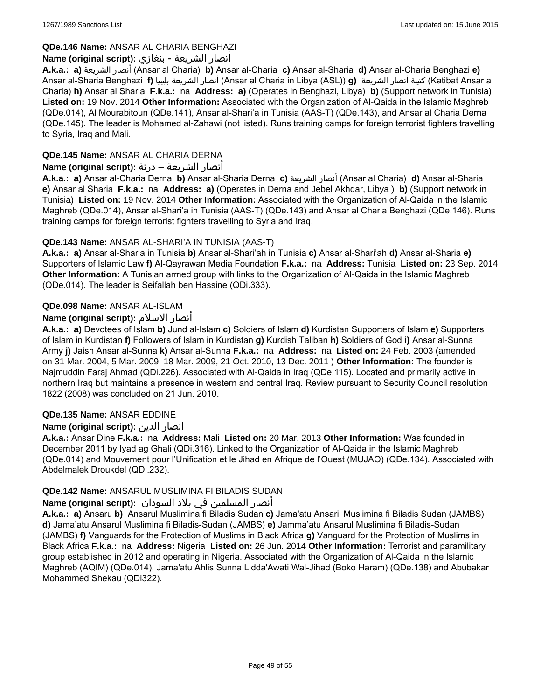### **QDe.146 Name:** ANSAR AL CHARIA BENGHAZI

### أنصار الشريعة - بنغازي **:(script original (Name**

**A.k.a.: a)** الشريعة أنصار) Ansar al Charia) **b)** Ansar al-Charia **c)** Ansar al-Sharia **d)** Ansar al-Charia Benghazi **e)** Ansar al-Sharia Benghazi **f)** بليبيا الشريعة أنصار) Ansar al Charia in Libya (ASL)) **g)** الشريعة أنصار كتيبة) Katibat Ansar al Charia) **h)** Ansar al Sharia **F.k.a.:** na **Address: a)** (Operates in Benghazi, Libya) **b)** (Support network in Tunisia) **Listed on:** 19 Nov. 2014 **Other Information:** Associated with the Organization of Al-Qaida in the Islamic Maghreb (QDe.014), Al Mourabitoun (QDe.141), Ansar al-Shari'a in Tunisia (AAS-T) (QDe.143), and Ansar al Charia Derna (QDe.145). The leader is Mohamed al-Zahawi (not listed). Runs training camps for foreign terrorist fighters travelling to Syria, Iraq and Mali.

### **QDe.145 Name:** ANSAR AL CHARIA DERNA

### أنصار الشريعة – درنة **:(script original (Name**

**A.k.a.: a)** Ansar al-Charia Derna **b)** Ansar al-Sharia Derna **c)** الشريعة أنصار) Ansar al Charia) **d)** Ansar al-Sharia **e)** Ansar al Sharia **F.k.a.:** na **Address: a)** (Operates in Derna and Jebel Akhdar, Libya ) **b)** (Support network in Tunisia) **Listed on:** 19 Nov. 2014 **Other Information:** Associated with the Organization of Al-Qaida in the Islamic Maghreb (QDe.014), Ansar al-Shari'a in Tunisia (AAS-T) (QDe.143) and Ansar al Charia Benghazi (QDe.146). Runs training camps for foreign terrorist fighters travelling to Syria and Iraq.

### **QDe.143 Name:** ANSAR AL-SHARI'A IN TUNISIA (AAS-T)

**A.k.a.: a)** Ansar al-Sharia in Tunisia **b)** Ansar al-Shari'ah in Tunisia **c)** Ansar al-Shari'ah **d)** Ansar al-Sharia **e)** Supporters of Islamic Law **f)** Al-Qayrawan Media Foundation **F.k.a.:** na **Address:** Tunisia **Listed on:** 23 Sep. 2014 **Other Information:** A Tunisian armed group with links to the Organization of Al-Qaida in the Islamic Maghreb (QDe.014). The leader is Seifallah ben Hassine (QDi.333).

# **QDe.098 Name:** ANSAR AL-ISLAM

# **Name (original script):** الاسلام أنصار

**A.k.a.: a)** Devotees of Islam **b)** Jund al-Islam **c)** Soldiers of Islam **d)** Kurdistan Supporters of Islam **e)** Supporters of Islam in Kurdistan **f)** Followers of Islam in Kurdistan **g)** Kurdish Taliban **h)** Soldiers of God **i)** Ansar al-Sunna Army **j)** Jaish Ansar al-Sunna **k)** Ansar al-Sunna **F.k.a.:** na **Address:** na **Listed on:** 24 Feb. 2003 (amended on 31 Mar. 2004, 5 Mar. 2009, 18 Mar. 2009, 21 Oct. 2010, 13 Dec. 2011 ) **Other Information:** The founder is Najmuddin Faraj Ahmad (QDi.226). Associated with Al-Qaida in Iraq (QDe.115). Located and primarily active in northern Iraq but maintains a presence in western and central Iraq. Review pursuant to Security Council resolution 1822 (2008) was concluded on 21 Jun. 2010.

### **QDe.135 Name:** ANSAR EDDINE

### **Name (original script):** الدين انصار

**A.k.a.:** Ansar Dine **F.k.a.:** na **Address:** Mali **Listed on:** 20 Mar. 2013 **Other Information:** Was founded in December 2011 by Iyad ag Ghali (QDi.316). Linked to the Organization of Al-Qaida in the Islamic Maghreb (QDe.014) and Mouvement pour l'Unification et le Jihad en Afrique de l'Ouest (MUJAO) (QDe.134). Associated with Abdelmalek Droukdel (QDi.232).

### **QDe.142 Name:** ANSARUL MUSLIMINA FI BILADIS SUDAN

### أنصار المسلمین في بلاد السودان **:(script original (Name**

**A.k.a.: a)** Ansaru **b)** Ansarul Muslimina fi Biladis Sudan **c)** Jama'atu Ansaril Muslimina fi Biladis Sudan (JAMBS) **d)** Jama'atu Ansarul Muslimina fi Biladis-Sudan (JAMBS) **e)** Jamma'atu Ansarul Muslimina fi Biladis-Sudan (JAMBS) **f)** Vanguards for the Protection of Muslims in Black Africa **g)** Vanguard for the Protection of Muslims in Black Africa **F.k.a.:** na **Address:** Nigeria **Listed on:** 26 Jun. 2014 **Other Information:** Terrorist and paramilitary group established in 2012 and operating in Nigeria. Associated with the Organization of Al-Qaida in the Islamic Maghreb (AQIM) (QDe.014), Jama'atu Ahlis Sunna Lidda'Awati Wal-Jihad (Boko Haram) (QDe.138) and Abubakar Mohammed Shekau (QDi322).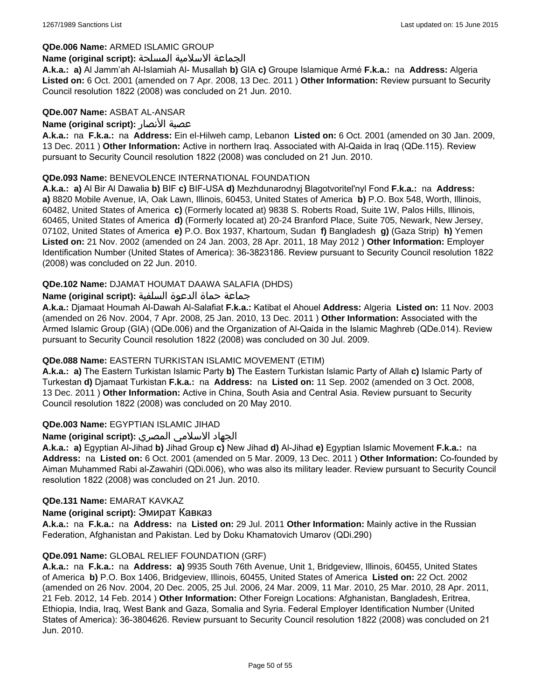#### **QDe.006 Name:** ARMED ISLAMIC GROUP

#### الجماعة الاسلامية المسلحة **:(script original (Name**

**A.k.a.: a)** Al Jamm'ah Al-Islamiah Al- Musallah **b)** GIA **c)** Groupe Islamique Armé **F.k.a.:** na **Address:** Algeria **Listed on:** 6 Oct. 2001 (amended on 7 Apr. 2008, 13 Dec. 2011 ) **Other Information:** Review pursuant to Security Council resolution 1822 (2008) was concluded on 21 Jun. 2010.

#### **QDe.007 Name:** ASBAT AL-ANSAR

#### **Name (original script):** الأنصار عصبة

**A.k.a.:** na **F.k.a.:** na **Address:** Ein el-Hilweh camp, Lebanon **Listed on:** 6 Oct. 2001 (amended on 30 Jan. 2009, 13 Dec. 2011 ) **Other Information:** Active in northern Iraq. Associated with Al-Qaida in Iraq (QDe.115). Review pursuant to Security Council resolution 1822 (2008) was concluded on 21 Jun. 2010.

#### **QDe.093 Name:** BENEVOLENCE INTERNATIONAL FOUNDATION

**A.k.a.: a)** Al Bir Al Dawalia **b)** BIF **c)** BIF-USA **d)** Mezhdunarodnyj Blagotvoritel'nyl Fond **F.k.a.:** na **Address: a)** 8820 Mobile Avenue, IA, Oak Lawn, Illinois, 60453, United States of America **b)** P.O. Box 548, Worth, Illinois, 60482, United States of America **c)** (Formerly located at) 9838 S. Roberts Road, Suite 1W, Palos Hills, Illinois, 60465, United States of America **d)** (Formerly located at) 20-24 Branford Place, Suite 705, Newark, New Jersey, 07102, United States of America **e)** P.O. Box 1937, Khartoum, Sudan **f)** Bangladesh **g)** (Gaza Strip) **h)** Yemen **Listed on:** 21 Nov. 2002 (amended on 24 Jan. 2003, 28 Apr. 2011, 18 May 2012 ) **Other Information:** Employer Identification Number (United States of America): 36-3823186. Review pursuant to Security Council resolution 1822 (2008) was concluded on 22 Jun. 2010.

### **QDe.102 Name:** DJAMAT HOUMAT DAAWA SALAFIA (DHDS)

#### جماعة حماة الدعوة السلفية **:(script original (Name**

**A.k.a.:** Djamaat Houmah Al-Dawah Al-Salafiat **F.k.a.:** Katibat el Ahouel **Address:** Algeria **Listed on:** 11 Nov. 2003 (amended on 26 Nov. 2004, 7 Apr. 2008, 25 Jan. 2010, 13 Dec. 2011 ) **Other Information:** Associated with the Armed Islamic Group (GIA) (QDe.006) and the Organization of Al-Qaida in the Islamic Maghreb (QDe.014). Review pursuant to Security Council resolution 1822 (2008) was concluded on 30 Jul. 2009.

#### **QDe.088 Name:** EASTERN TURKISTAN ISLAMIC MOVEMENT (ETIM)

**A.k.a.: a)** The Eastern Turkistan Islamic Party **b)** The Eastern Turkistan Islamic Party of Allah **c)** Islamic Party of Turkestan **d)** Djamaat Turkistan **F.k.a.:** na **Address:** na **Listed on:** 11 Sep. 2002 (amended on 3 Oct. 2008, 13 Dec. 2011 ) **Other Information:** Active in China, South Asia and Central Asia. Review pursuant to Security Council resolution 1822 (2008) was concluded on 20 May 2010.

#### **QDe.003 Name:** EGYPTIAN ISLAMIC JIHAD

#### الجهاد الاسلامي المصري **:(script original (Name**

**A.k.a.: a)** Egyptian Al-Jihad **b)** Jihad Group **c)** New Jihad **d)** Al-Jihad **e)** Egyptian Islamic Movement **F.k.a.:** na **Address:** na **Listed on:** 6 Oct. 2001 (amended on 5 Mar. 2009, 13 Dec. 2011 ) **Other Information:** Co-founded by Aiman Muhammed Rabi al-Zawahiri (QDi.006), who was also its military leader. Review pursuant to Security Council resolution 1822 (2008) was concluded on 21 Jun. 2010.

#### **QDe.131 Name:** EMARAT KAVKAZ

#### **Name (original script):** Эмират Кавказ

**A.k.a.:** na **F.k.a.:** na **Address:** na **Listed on:** 29 Jul. 2011 **Other Information:** Mainly active in the Russian Federation, Afghanistan and Pakistan. Led by Doku Khamatovich Umarov (QDi.290)

#### **QDe.091 Name:** GLOBAL RELIEF FOUNDATION (GRF)

**A.k.a.:** na **F.k.a.:** na **Address: a)** 9935 South 76th Avenue, Unit 1, Bridgeview, Illinois, 60455, United States of America **b)** P.O. Box 1406, Bridgeview, Illinois, 60455, United States of America **Listed on:** 22 Oct. 2002 (amended on 26 Nov. 2004, 20 Dec. 2005, 25 Jul. 2006, 24 Mar. 2009, 11 Mar. 2010, 25 Mar. 2010, 28 Apr. 2011, 21 Feb. 2012, 14 Feb. 2014 ) **Other Information:** Other Foreign Locations: Afghanistan, Bangladesh, Eritrea, Ethiopia, India, Iraq, West Bank and Gaza, Somalia and Syria. Federal Employer Identification Number (United States of America): 36-3804626. Review pursuant to Security Council resolution 1822 (2008) was concluded on 21 Jun. 2010.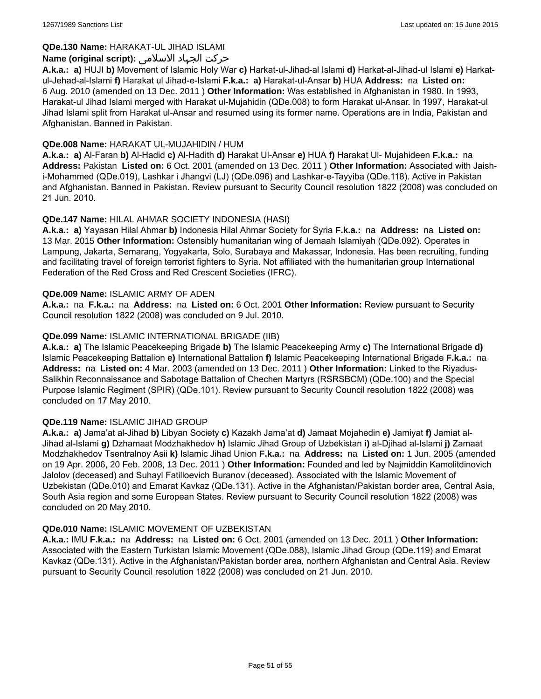### **QDe.130 Name:** HARAKAT-UL JIHAD ISLAMI

### حرکت الجہاد الاسلامی **:(script original (Name**

**A.k.a.: a)** HUJI **b)** Movement of Islamic Holy War **c)** Harkat-ul-Jihad-al Islami **d)** Harkat-al-Jihad-ul Islami **e)** Harkatul-Jehad-al-Islami **f)** Harakat ul Jihad-e-Islami **F.k.a.: a)** Harakat-ul-Ansar **b)** HUA **Address:** na **Listed on:** 6 Aug. 2010 (amended on 13 Dec. 2011 ) **Other Information:** Was established in Afghanistan in 1980. In 1993, Harakat-ul Jihad Islami merged with Harakat ul-Mujahidin (QDe.008) to form Harakat ul-Ansar. In 1997, Harakat-ul Jihad Islami split from Harakat ul-Ansar and resumed using its former name. Operations are in India, Pakistan and Afghanistan. Banned in Pakistan.

#### **QDe.008 Name:** HARAKAT UL-MUJAHIDIN / HUM

**A.k.a.: a)** Al-Faran **b)** Al-Hadid **c)** Al-Hadith **d)** Harakat Ul-Ansar **e)** HUA **f)** Harakat Ul- Mujahideen **F.k.a.:** na **Address:** Pakistan **Listed on:** 6 Oct. 2001 (amended on 13 Dec. 2011 ) **Other Information:** Associated with Jaishi-Mohammed (QDe.019), Lashkar i Jhangvi (LJ) (QDe.096) and Lashkar-e-Tayyiba (QDe.118). Active in Pakistan and Afghanistan. Banned in Pakistan. Review pursuant to Security Council resolution 1822 (2008) was concluded on 21 Jun. 2010.

### **QDe.147 Name:** HILAL AHMAR SOCIETY INDONESIA (HASI)

**A.k.a.: a)** Yayasan Hilal Ahmar **b)** Indonesia Hilal Ahmar Society for Syria **F.k.a.:** na **Address:** na **Listed on:** 13 Mar. 2015 **Other Information:** Ostensibly humanitarian wing of Jemaah Islamiyah (QDe.092). Operates in Lampung, Jakarta, Semarang, Yogyakarta, Solo, Surabaya and Makassar, Indonesia. Has been recruiting, funding and facilitating travel of foreign terrorist fighters to Syria. Not affiliated with the humanitarian group International Federation of the Red Cross and Red Crescent Societies (IFRC).

#### **QDe.009 Name:** ISLAMIC ARMY OF ADEN

**A.k.a.:** na **F.k.a.:** na **Address:** na **Listed on:** 6 Oct. 2001 **Other Information:** Review pursuant to Security Council resolution 1822 (2008) was concluded on 9 Jul. 2010.

### **QDe.099 Name:** ISLAMIC INTERNATIONAL BRIGADE (IIB)

**A.k.a.: a)** The Islamic Peacekeeping Brigade **b)** The Islamic Peacekeeping Army **c)** The International Brigade **d)** Islamic Peacekeeping Battalion **e)** International Battalion **f)** Islamic Peacekeeping International Brigade **F.k.a.:** na **Address:** na **Listed on:** 4 Mar. 2003 (amended on 13 Dec. 2011 ) **Other Information:** Linked to the Riyadus-Salikhin Reconnaissance and Sabotage Battalion of Chechen Martyrs (RSRSBCM) (QDe.100) and the Special Purpose Islamic Regiment (SPIR) (QDe.101). Review pursuant to Security Council resolution 1822 (2008) was concluded on 17 May 2010.

#### **QDe.119 Name:** ISLAMIC JIHAD GROUP

**A.k.a.: a)** Jama'at al-Jihad **b)** Libyan Society **c)** Kazakh Jama'at **d)** Jamaat Mojahedin **e)** Jamiyat **f)** Jamiat al-Jihad al-Islami **g)** Dzhamaat Modzhakhedov **h)** Islamic Jihad Group of Uzbekistan **i)** al-Djihad al-Islami **j)** Zamaat Modzhakhedov Tsentralnoy Asii **k)** Islamic Jihad Union **F.k.a.:** na **Address:** na **Listed on:** 1 Jun. 2005 (amended on 19 Apr. 2006, 20 Feb. 2008, 13 Dec. 2011 ) **Other Information:** Founded and led by Najmiddin Kamolitdinovich Jalolov (deceased) and Suhayl Fatilloevich Buranov (deceased). Associated with the Islamic Movement of Uzbekistan (QDe.010) and Emarat Kavkaz (QDe.131). Active in the Afghanistan/Pakistan border area, Central Asia, South Asia region and some European States. Review pursuant to Security Council resolution 1822 (2008) was concluded on 20 May 2010.

#### **QDe.010 Name:** ISLAMIC MOVEMENT OF UZBEKISTAN

**A.k.a.:** IMU **F.k.a.:** na **Address:** na **Listed on:** 6 Oct. 2001 (amended on 13 Dec. 2011 ) **Other Information:** Associated with the Eastern Turkistan Islamic Movement (QDe.088), Islamic Jihad Group (QDe.119) and Emarat Kavkaz (QDe.131). Active in the Afghanistan/Pakistan border area, northern Afghanistan and Central Asia. Review pursuant to Security Council resolution 1822 (2008) was concluded on 21 Jun. 2010.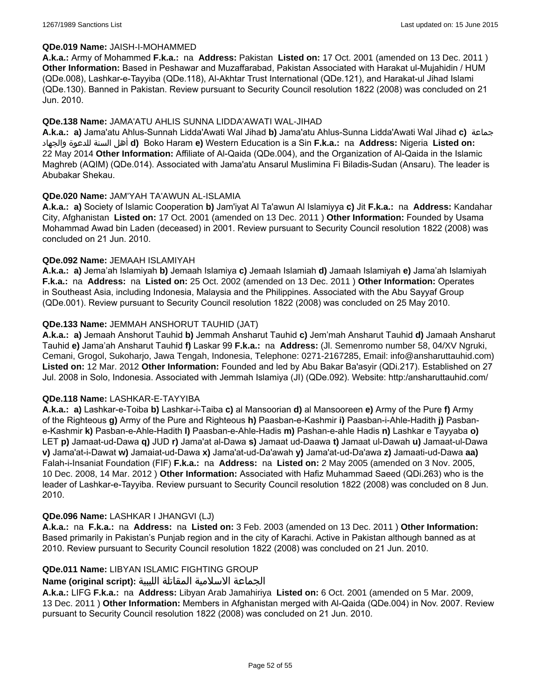#### **QDe.019 Name:** JAISH-I-MOHAMMED

**A.k.a.:** Army of Mohammed **F.k.a.:** na **Address:** Pakistan **Listed on:** 17 Oct. 2001 (amended on 13 Dec. 2011 ) **Other Information:** Based in Peshawar and Muzaffarabad, Pakistan Associated with Harakat ul-Mujahidin / HUM (QDe.008), Lashkar-e-Tayyiba (QDe.118), Al-Akhtar Trust International (QDe.121), and Harakat-ul Jihad Islami (QDe.130). Banned in Pakistan. Review pursuant to Security Council resolution 1822 (2008) was concluded on 21 Jun. 2010.

#### **QDe.138 Name:** JAMA'ATU AHLIS SUNNA LIDDA'AWATI WAL-JIHAD

**A.k.a.: a)** Jama'atu Ahlus-Sunnah Lidda'Awati Wal Jihad **b)** Jama'atu Ahlus-Sunna Lidda'Awati Wal Jihad **c)** جماعة والجهاد للدعوة السنة أهل **d)** Boko Haram **e)** Western Education is a Sin **F.k.a.:** na **Address:** Nigeria **Listed on:** 22 May 2014 **Other Information:** Affiliate of Al-Qaida (QDe.004), and the Organization of Al-Qaida in the Islamic Maghreb (AQIM) (QDe.014). Associated with Jama'atu Ansarul Muslimina Fi Biladis-Sudan (Ansaru). The leader is Abubakar Shekau.

#### **QDe.020 Name:** JAM'YAH TA'AWUN AL-ISLAMIA

**A.k.a.: a)** Society of Islamic Cooperation **b)** Jam'iyat Al Ta'awun Al Islamiyya **c)** Jit **F.k.a.:** na **Address:** Kandahar City, Afghanistan **Listed on:** 17 Oct. 2001 (amended on 13 Dec. 2011 ) **Other Information:** Founded by Usama Mohammad Awad bin Laden (deceased) in 2001. Review pursuant to Security Council resolution 1822 (2008) was concluded on 21 Jun. 2010.

### **QDe.092 Name:** JEMAAH ISLAMIYAH

**A.k.a.: a)** Jema'ah Islamiyah **b)** Jemaah Islamiya **c)** Jemaah Islamiah **d)** Jamaah Islamiyah **e)** Jama'ah Islamiyah **F.k.a.:** na **Address:** na **Listed on:** 25 Oct. 2002 (amended on 13 Dec. 2011 ) **Other Information:** Operates in Southeast Asia, including Indonesia, Malaysia and the Philippines. Associated with the Abu Sayyaf Group (QDe.001). Review pursuant to Security Council resolution 1822 (2008) was concluded on 25 May 2010.

### **QDe.133 Name:** JEMMAH ANSHORUT TAUHID (JAT)

**A.k.a.: a)** Jemaah Anshorut Tauhid **b)** Jemmah Ansharut Tauhid **c)** Jem'mah Ansharut Tauhid **d)** Jamaah Ansharut Tauhid **e)** Jama'ah Ansharut Tauhid **f)** Laskar 99 **F.k.a.:** na **Address:** (Jl. Semenromo number 58, 04/XV Ngruki, Cemani, Grogol, Sukoharjo, Jawa Tengah, Indonesia, Telephone: 0271-2167285, Email: info@ansharuttauhid.com) **Listed on:** 12 Mar. 2012 **Other Information:** Founded and led by Abu Bakar Ba'asyir (QDi.217). Established on 27 Jul. 2008 in Solo, Indonesia. Associated with Jemmah Islamiya (JI) (QDe.092). Website: http:/ansharuttauhid.com/

#### **QDe.118 Name:** LASHKAR-E-TAYYIBA

**A.k.a.: a)** Lashkar-e-Toiba **b)** Lashkar-i-Taiba **c)** al Mansoorian **d)** al Mansooreen **e)** Army of the Pure **f)** Army of the Righteous **g)** Army of the Pure and Righteous **h)** Paasban-e-Kashmir **i)** Paasban-i-Ahle-Hadith **j)** Pasbane-Kashmir **k)** Pasban-e-Ahle-Hadith **l)** Paasban-e-Ahle-Hadis **m)** Pashan-e-ahle Hadis **n)** Lashkar e Tayyaba **o)** LET **p)** Jamaat-ud-Dawa **q)** JUD **r)** Jama'at al-Dawa **s)** Jamaat ud-Daawa **t)** Jamaat ul-Dawah **u)** Jamaat-ul-Dawa **v)** Jama'at-i-Dawat **w)** Jamaiat-ud-Dawa **x)** Jama'at-ud-Da'awah **y)** Jama'at-ud-Da'awa **z)** Jamaati-ud-Dawa **aa)** Falah-i-Insaniat Foundation (FIF) **F.k.a.:** na **Address:** na **Listed on:** 2 May 2005 (amended on 3 Nov. 2005, 10 Dec. 2008, 14 Mar. 2012 ) **Other Information:** Associated with Hafiz Muhammad Saeed (QDi.263) who is the leader of Lashkar-e-Tayyiba. Review pursuant to Security Council resolution 1822 (2008) was concluded on 8 Jun. 2010.

#### **QDe.096 Name:** LASHKAR I JHANGVI (LJ)

**A.k.a.:** na **F.k.a.:** na **Address:** na **Listed on:** 3 Feb. 2003 (amended on 13 Dec. 2011 ) **Other Information:** Based primarily in Pakistan's Punjab region and in the city of Karachi. Active in Pakistan although banned as at 2010. Review pursuant to Security Council resolution 1822 (2008) was concluded on 21 Jun. 2010.

### **QDe.011 Name:** LIBYAN ISLAMIC FIGHTING GROUP

# الجماعة الاسلامية المقاتلة الليبية **:(script original (Name**

**A.k.a.:** LIFG **F.k.a.:** na **Address:** Libyan Arab Jamahiriya **Listed on:** 6 Oct. 2001 (amended on 5 Mar. 2009, 13 Dec. 2011 ) **Other Information:** Members in Afghanistan merged with Al-Qaida (QDe.004) in Nov. 2007. Review pursuant to Security Council resolution 1822 (2008) was concluded on 21 Jun. 2010.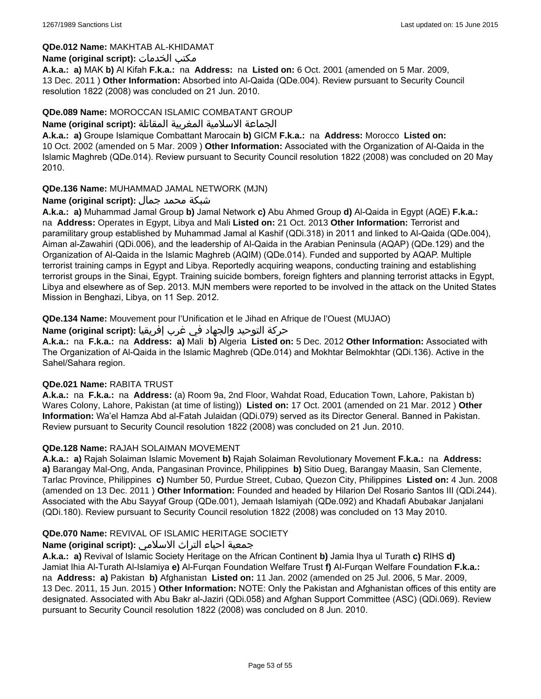### **QDe.012 Name:** MAKHTAB AL-KHIDAMAT

### **Name (original script):** الخدمات مكتب

**A.k.a.: a)** MAK **b)** Al Kifah **F.k.a.:** na **Address:** na **Listed on:** 6 Oct. 2001 (amended on 5 Mar. 2009, 13 Dec. 2011 ) **Other Information:** Absorbed into Al-Qaida (QDe.004). Review pursuant to Security Council resolution 1822 (2008) was concluded on 21 Jun. 2010.

### **QDe.089 Name:** MOROCCAN ISLAMIC COMBATANT GROUP

#### الجماعة الاسلامية المغربية المقاتلة **:(script original (Name**

**A.k.a.: a)** Groupe Islamique Combattant Marocain **b)** GICM **F.k.a.:** na **Address:** Morocco **Listed on:** 10 Oct. 2002 (amended on 5 Mar. 2009 ) **Other Information:** Associated with the Organization of Al-Qaida in the Islamic Maghreb (QDe.014). Review pursuant to Security Council resolution 1822 (2008) was concluded on 20 May 2010.

### **QDe.136 Name:** MUHAMMAD JAMAL NETWORK (MJN)

### شبكة محمد جمال **:(script original (Name**

**A.k.a.: a)** Muhammad Jamal Group **b)** Jamal Network **c)** Abu Ahmed Group **d)** Al-Qaida in Egypt (AQE) **F.k.a.:**  na **Address:** Operates in Egypt, Libya and Mali **Listed on:** 21 Oct. 2013 **Other Information:** Terrorist and paramilitary group established by Muhammad Jamal al Kashif (QDi.318) in 2011 and linked to Al-Qaida (QDe.004), Aiman al-Zawahiri (QDi.006), and the leadership of Al-Qaida in the Arabian Peninsula (AQAP) (QDe.129) and the Organization of Al-Qaida in the Islamic Maghreb (AQIM) (QDe.014). Funded and supported by AQAP. Multiple terrorist training camps in Egypt and Libya. Reportedly acquiring weapons, conducting training and establishing terrorist groups in the Sinai, Egypt. Training suicide bombers, foreign fighters and planning terrorist attacks in Egypt, Libya and elsewhere as of Sep. 2013. MJN members were reported to be involved in the attack on the United States Mission in Benghazi, Libya, on 11 Sep. 2012.

**QDe.134 Name:** Mouvement pour l'Unification et le Jihad en Afrique de l'Ouest (MUJAO)

حركة التوحيد والجهاد في غرب إفريقيا **:Name (original script)** 

**A.k.a.:** na **F.k.a.:** na **Address: a)** Mali **b)** Algeria **Listed on:** 5 Dec. 2012 **Other Information:** Associated with The Organization of Al-Qaida in the Islamic Maghreb (QDe.014) and Mokhtar Belmokhtar (QDi.136). Active in the Sahel/Sahara region.

#### **QDe.021 Name:** RABITA TRUST

**A.k.a.:** na **F.k.a.:** na **Address:** (a) Room 9a, 2nd Floor, Wahdat Road, Education Town, Lahore, Pakistan b) Wares Colony, Lahore, Pakistan (at time of listing)) **Listed on:** 17 Oct. 2001 (amended on 21 Mar. 2012 ) **Other Information:** Wa'el Hamza Abd al-Fatah Julaidan (QDi.079) served as its Director General. Banned in Pakistan. Review pursuant to Security Council resolution 1822 (2008) was concluded on 21 Jun. 2010.

### **QDe.128 Name:** RAJAH SOLAIMAN MOVEMENT

**A.k.a.: a)** Rajah Solaiman Islamic Movement **b)** Rajah Solaiman Revolutionary Movement **F.k.a.:** na **Address: a)** Barangay Mal-Ong, Anda, Pangasinan Province, Philippines **b)** Sitio Dueg, Barangay Maasin, San Clemente, Tarlac Province, Philippines **c)** Number 50, Purdue Street, Cubao, Quezon City, Philippines **Listed on:** 4 Jun. 2008 (amended on 13 Dec. 2011 ) **Other Information:** Founded and headed by Hilarion Del Rosario Santos III (QDi.244). Associated with the Abu Sayyaf Group (QDe.001), Jemaah Islamiyah (QDe.092) and Khadafi Abubakar Janjalani (QDi.180). Review pursuant to Security Council resolution 1822 (2008) was concluded on 13 May 2010.

### **QDe.070 Name:** REVIVAL OF ISLAMIC HERITAGE SOCIETY

### جمعية احياء التراث الاسلامي **:(script original (Name**

**A.k.a.: a)** Revival of Islamic Society Heritage on the African Continent **b)** Jamia Ihya ul Turath **c)** RIHS **d)** Jamiat Ihia Al-Turath Al-Islamiya **e)** Al-Furqan Foundation Welfare Trust **f)** Al-Furqan Welfare Foundation **F.k.a.:**  na **Address: a)** Pakistan **b)** Afghanistan **Listed on:** 11 Jan. 2002 (amended on 25 Jul. 2006, 5 Mar. 2009, 13 Dec. 2011, 15 Jun. 2015 ) **Other Information:** NOTE: Only the Pakistan and Afghanistan offices of this entity are designated. Associated with Abu Bakr al-Jaziri (QDi.058) and Afghan Support Committee (ASC) (QDi.069). Review pursuant to Security Council resolution 1822 (2008) was concluded on 8 Jun. 2010.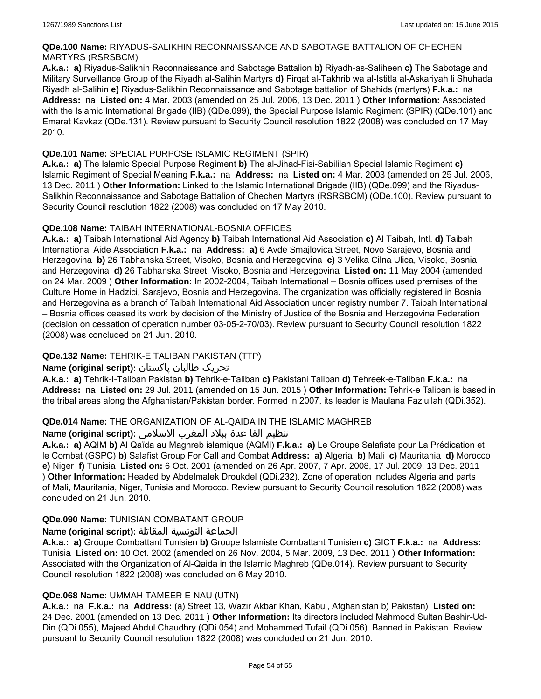### **QDe.100 Name:** RIYADUS-SALIKHIN RECONNAISSANCE AND SABOTAGE BATTALION OF CHECHEN MARTYRS (RSRSBCM)

**A.k.a.: a)** Riyadus-Salikhin Reconnaissance and Sabotage Battalion **b)** Riyadh-as-Saliheen **c)** The Sabotage and Military Surveillance Group of the Riyadh al-Salihin Martyrs **d)** Firqat al-Takhrib wa al-Istitla al-Askariyah li Shuhada Riyadh al-Salihin **e)** Riyadus-Salikhin Reconnaissance and Sabotage battalion of Shahids (martyrs) **F.k.a.:** na **Address:** na **Listed on:** 4 Mar. 2003 (amended on 25 Jul. 2006, 13 Dec. 2011 ) **Other Information:** Associated with the Islamic International Brigade (IIB) (QDe.099), the Special Purpose Islamic Regiment (SPIR) (QDe.101) and Emarat Kavkaz (QDe.131). Review pursuant to Security Council resolution 1822 (2008) was concluded on 17 May 2010.

### **QDe.101 Name:** SPECIAL PURPOSE ISLAMIC REGIMENT (SPIR)

**A.k.a.: a)** The Islamic Special Purpose Regiment **b)** The al-Jihad-Fisi-Sabililah Special Islamic Regiment **c)** Islamic Regiment of Special Meaning **F.k.a.:** na **Address:** na **Listed on:** 4 Mar. 2003 (amended on 25 Jul. 2006, 13 Dec. 2011 ) **Other Information:** Linked to the Islamic International Brigade (IIB) (QDe.099) and the Riyadus-Salikhin Reconnaissance and Sabotage Battalion of Chechen Martyrs (RSRSBCM) (QDe.100). Review pursuant to Security Council resolution 1822 (2008) was concluded on 17 May 2010.

### **QDe.108 Name:** TAIBAH INTERNATIONAL-BOSNIA OFFICES

**A.k.a.: a)** Taibah International Aid Agency **b)** Taibah International Aid Association **c)** Al Taibah, Intl. **d)** Taibah International Aide Association **F.k.a.:** na **Address: a)** 6 Avde Smajlovica Street, Novo Sarajevo, Bosnia and Herzegovina **b)** 26 Tabhanska Street, Visoko, Bosnia and Herzegovina **c)** 3 Velika Cilna Ulica, Visoko, Bosnia and Herzegovina **d)** 26 Tabhanska Street, Visoko, Bosnia and Herzegovina **Listed on:** 11 May 2004 (amended on 24 Mar. 2009 ) **Other Information:** In 2002-2004, Taibah International – Bosnia offices used premises of the Culture Home in Hadzici, Sarajevo, Bosnia and Herzegovina. The organization was officially registered in Bosnia and Herzegovina as a branch of Taibah International Aid Association under registry number 7. Taibah International – Bosnia offices ceased its work by decision of the Ministry of Justice of the Bosnia and Herzegovina Federation (decision on cessation of operation number 03-05-2-70/03). Review pursuant to Security Council resolution 1822 (2008) was concluded on 21 Jun. 2010.

# **QDe.132 Name:** TEHRIK-E TALIBAN PAKISTAN (TTP)

# تحریک طالبان پاکستان **:(script original (Name**

**A.k.a.: a)** Tehrik-I-Taliban Pakistan **b)** Tehrik-e-Taliban **c)** Pakistani Taliban **d)** Tehreek-e-Taliban **F.k.a.:** na **Address:** na **Listed on:** 29 Jul. 2011 (amended on 15 Jun. 2015 ) **Other Information:** Tehrik-e Taliban is based in the tribal areas along the Afghanistan/Pakistan border. Formed in 2007, its leader is Maulana Fazlullah (QDi.352).

### **QDe.014 Name:** THE ORGANIZATION OF AL-QAIDA IN THE ISLAMIC MAGHREB

### تنظيم القا عدة ببلاد المغرب الاسلامي **:(script original (Name**

**A.k.a.: a)** AQIM **b)** Al Qaïda au Maghreb islamique (AQMI) **F.k.a.: a)** Le Groupe Salafiste pour La Prédication et le Combat (GSPC) **b)** Salafist Group For Call and Combat **Address: a)** Algeria **b)** Mali **c)** Mauritania **d)** Morocco **e)** Niger **f)** Tunisia **Listed on:** 6 Oct. 2001 (amended on 26 Apr. 2007, 7 Apr. 2008, 17 Jul. 2009, 13 Dec. 2011 ) **Other Information:** Headed by Abdelmalek Droukdel (QDi.232). Zone of operation includes Algeria and parts of Mali, Mauritania, Niger, Tunisia and Morocco. Review pursuant to Security Council resolution 1822 (2008) was concluded on 21 Jun. 2010.

### **QDe.090 Name:** TUNISIAN COMBATANT GROUP

### الجماعة التونسية المقاتلة **:(script original (Name**

**A.k.a.: a)** Groupe Combattant Tunisien **b)** Groupe Islamiste Combattant Tunisien **c)** GICT **F.k.a.:** na **Address:** Tunisia **Listed on:** 10 Oct. 2002 (amended on 26 Nov. 2004, 5 Mar. 2009, 13 Dec. 2011 ) **Other Information:** Associated with the Organization of Al-Qaida in the Islamic Maghreb (QDe.014). Review pursuant to Security Council resolution 1822 (2008) was concluded on 6 May 2010.

### **QDe.068 Name:** UMMAH TAMEER E-NAU (UTN)

**A.k.a.:** na **F.k.a.:** na **Address:** (a) Street 13, Wazir Akbar Khan, Kabul, Afghanistan b) Pakistan) **Listed on:** 24 Dec. 2001 (amended on 13 Dec. 2011 ) **Other Information:** Its directors included Mahmood Sultan Bashir-Ud-Din (QDi.055), Majeed Abdul Chaudhry (QDi.054) and Mohammed Tufail (QDi.056). Banned in Pakistan. Review pursuant to Security Council resolution 1822 (2008) was concluded on 21 Jun. 2010.